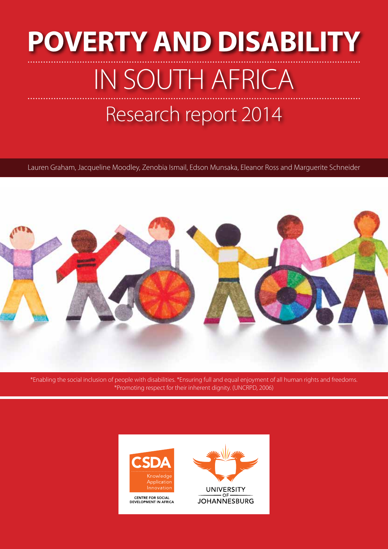# Research report 2014 **POVERTY AND DISABILITY**  IN SOUTH AFRICA

Lauren Graham, Jacqueline Moodley, Zenobia Ismail, Edson Munsaka, Eleanor Ross and Marguerite Schneider



\*Enabling the social inclusion of people with disabilities. \*Ensuring full and equal enjoyment of all human rights and freedoms. \*Promoting respect for their inherent dignity. (UNCRPD, 2006)



CENTRE FOR SOCIAL<br>DEVELOPMENT IN AFRICA

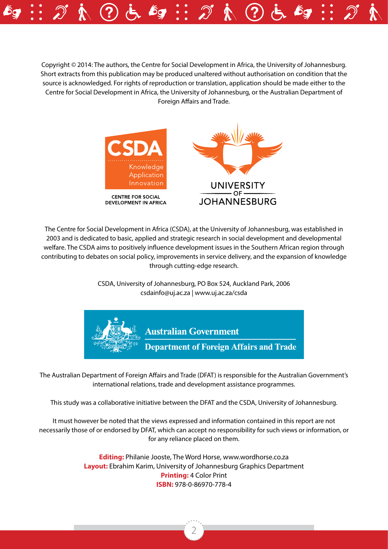Copyright © 2014: The authors, the Centre for Social Development in Africa, the University of Johannesburg. Short extracts from this publication may be produced unaltered without authorisation on condition that the source is acknowledged. For rights of reproduction or translation, application should be made either to the Centre for Social Development in Africa, the University of Johannesburg, or the Australian Department of Foreign Affairs and Trade.



The Centre for Social Development in Africa (CSDA), at the University of Johannesburg, was established in 2003 and is dedicated to basic, applied and strategic research in social development and developmental welfare. The CSDA aims to positively influence development issues in the Southern African region through contributing to debates on social policy, improvements in service delivery, and the expansion of knowledge through cutting-edge research.

> CSDA, University of Johannesburg, PO Box 524, Auckland Park, 2006 csdainfo@uj.ac.za | www.uj.ac.za/csda



The Australian Department of Foreign Affairs and Trade (DFAT) is responsible for the Australian Government's international relations, trade and development assistance programmes.

This study was a collaborative initiative between the DFAT and the CSDA, University of Johannesburg.

It must however be noted that the views expressed and information contained in this report are not necessarily those of or endorsed by DFAT, which can accept no responsibility for such views or information, or for any reliance placed on them.

> **Editing:** Philanie Jooste, The Word Horse, www.wordhorse.co.za **Layout:** Ebrahim Karim, University of Johannesburg Graphics Department **Printing:** 4 Color Print **ISBN:** 978-0-86970-778-4

> > 2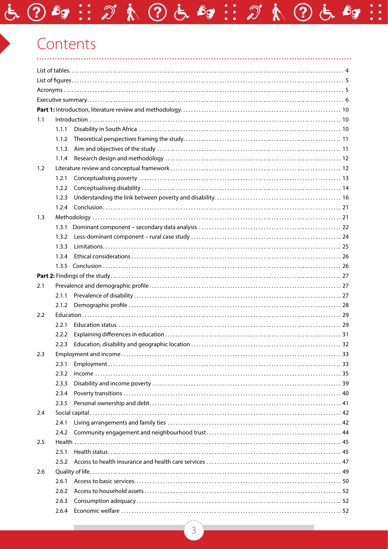# Contents

| 1.1 |       | $Introduction \dots 10$ |  |  |
|-----|-------|-------------------------|--|--|
|     | 1.1.1 |                         |  |  |
|     | 1.1.2 |                         |  |  |
|     | 1.1.3 |                         |  |  |
|     | 1.1.4 |                         |  |  |
| 1.2 |       |                         |  |  |
|     | 1.2.1 |                         |  |  |
|     | 1.2.2 |                         |  |  |
|     | 1.2.3 |                         |  |  |
|     | 1.2.4 |                         |  |  |
| 1.3 |       |                         |  |  |
|     | 1.3.1 |                         |  |  |
|     | 1.3.2 |                         |  |  |
|     | 1.3.3 |                         |  |  |
|     | 1.3.4 |                         |  |  |
|     | 1.3.5 |                         |  |  |
|     |       |                         |  |  |
|     |       |                         |  |  |
| 2.1 |       |                         |  |  |
|     | 2.1.1 |                         |  |  |
|     | 2.1.2 |                         |  |  |
| 2.2 |       |                         |  |  |
|     | 2.2.1 |                         |  |  |
|     | 2.2.2 |                         |  |  |
|     | 2.2.3 |                         |  |  |
| 2.3 |       |                         |  |  |
|     | 2.3.1 |                         |  |  |
|     | 2.3.2 |                         |  |  |
|     | 2.3.3 |                         |  |  |
|     | 2.3.4 |                         |  |  |
|     | 2.3.5 |                         |  |  |
| 2.4 |       |                         |  |  |
|     | 2.4.1 |                         |  |  |
|     | 2.4.2 |                         |  |  |
| 2.5 |       |                         |  |  |
|     | 2.5.1 |                         |  |  |
|     | 2.5.2 |                         |  |  |
| 2.6 |       |                         |  |  |
|     | 2.6.1 |                         |  |  |
|     | 2.6.2 |                         |  |  |
|     | 2.6.3 |                         |  |  |
|     | 2.6.4 |                         |  |  |

さ ?ちョ…がれ ?ちょう…がれ ?ちょ。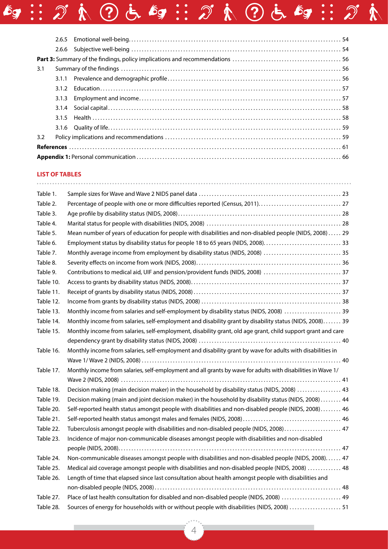| 3.1 |       |
|-----|-------|
|     |       |
|     | 3.1.2 |
|     | 3.1.3 |
|     |       |
|     |       |
|     |       |
| 3.2 |       |
|     |       |
|     |       |

 $\mathcal{L}_{\mathcal{F}} :: \mathcal{D} \land \mathcal{D} \in \mathcal{L}_{\mathcal{F}} :: \mathcal{D} \land \mathcal{D} \in \mathcal{L}_{\mathcal{F}} :: \mathcal{D} \land$ 

#### **LIST OF TABLES**

| Table 1.  |                                                                                                              |
|-----------|--------------------------------------------------------------------------------------------------------------|
| Table 2.  |                                                                                                              |
| Table 3.  |                                                                                                              |
| Table 4.  |                                                                                                              |
| Table 5.  | Mean number of years of education for people with disabilities and non-disabled people (NIDS, 2008)  29      |
| Table 6.  |                                                                                                              |
| Table 7.  | Monthly average income from employment by disability status (NIDS, 2008)  35                                 |
| Table 8.  |                                                                                                              |
| Table 9.  | Contributions to medical aid, UIF and pension/provident funds (NIDS, 2008)  37                               |
| Table 10. |                                                                                                              |
| Table 11. |                                                                                                              |
| Table 12. |                                                                                                              |
| Table 13. | Monthly income from salaries and self-employment by disability status (NIDS, 2008)  39                       |
| Table 14. | Monthly income from salaries, self-employment and disability grant by disability status (NIDS, 2008) 39      |
| Table 15. | Monthly income from salaries, self-employment, disability grant, old age grant, child support grant and care |
|           |                                                                                                              |
| Table 16. | Monthly income from salaries, self-employment and disability grant by wave for adults with disabilities in   |
|           |                                                                                                              |
| Table 17. | Monthly income from salaries, self-employment and all grants by wave for adults with disabilities in Wave 1/ |
|           |                                                                                                              |
| Table 18. | Decision making (main decision maker) in the household by disability status (NIDS, 2008)  43                 |
| Table 19. | Decision making (main and joint decision maker) in the household by disability status (NIDS, 2008)  44       |
| Table 20. | Self-reported health status amongst people with disabilities and non-disabled people (NIDS, 2008) 46         |
| Table 21. |                                                                                                              |
| Table 22. | Tuberculosis amongst people with disabilities and non-disabled people (NIDS, 2008) 47                        |
| Table 23. | Incidence of major non-communicable diseases amongst people with disabilities and non-disabled               |
|           |                                                                                                              |
| Table 24. | Non-communicable diseases amongst people with disabilities and non-disabled people (NIDS, 2008) 47           |
| Table 25. | Medical aid coverage amongst people with disabilities and non-disabled people (NIDS, 2008)  48               |
| Table 26. | Length of time that elapsed since last consultation about health amongst people with disabilities and        |
|           |                                                                                                              |
| Table 27. | Place of last health consultation for disabled and non-disabled people (NIDS, 2008)  49                      |
| Table 28. | Sources of energy for households with or without people with disabilities (NIDS, 2008)  51                   |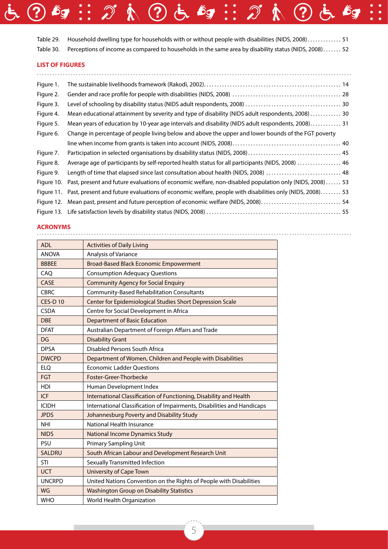| Table 29. Household dwelling type for households with or without people with disabilities (NIDS, 2008) 51       |
|-----------------------------------------------------------------------------------------------------------------|
| Table 30. Perceptions of income as compared to households in the same area by disability status (NIDS, 2008) 52 |

さ ? 6g … が A ? さ 6g … が A ? さ 6g …

#### **LIST OF FIGURES**

| Figure 1.  |                                                                                                         |  |
|------------|---------------------------------------------------------------------------------------------------------|--|
| Figure 2.  |                                                                                                         |  |
| Figure 3.  |                                                                                                         |  |
| Figure 4.  | Mean educational attainment by severity and type of disability (NIDS adult respondents, 2008) 30        |  |
| Figure 5.  | Mean years of education by 10-year age intervals and disability (NIDS adult respondents, 2008) 31       |  |
| Figure 6.  | Change in percentage of people living below and above the upper and lower bounds of the FGT poverty     |  |
|            |                                                                                                         |  |
| Figure 7.  |                                                                                                         |  |
| Figure 8.  | Average age of participants by self-reported health status for all participants (NIDS, 2008)  46        |  |
| Figure 9.  | Length of time that elapsed since last consultation about health (NIDS, 2008)  48                       |  |
| Figure 10. | Past, present and future evaluations of economic welfare, non-disabled population only (NIDS, 2008)  53 |  |
| Figure 11. | Past, present and future evaluations of economic welfare, people with disabilities only (NIDS, 2008) 53 |  |
| Figure 12. | Mean past, present and future perception of economic welfare (NIDS, 2008) 54                            |  |
|            |                                                                                                         |  |

. . . . . . . . . . . . . . . . . . .

# **ACRONYMS**

| <b>ADL</b>     | <b>Activities of Daily Living</b>                                       |
|----------------|-------------------------------------------------------------------------|
| <b>ANOVA</b>   | Analysis of Variance                                                    |
| <b>BBBEE</b>   | <b>Broad-Based Black Economic Empowerment</b>                           |
| CAQ            | <b>Consumption Adequacy Questions</b>                                   |
| CASE           | <b>Community Agency for Social Enquiry</b>                              |
| <b>CBRC</b>    | <b>Community-Based Rehabilitation Consultants</b>                       |
| <b>CES-D10</b> | Center for Epidemiological Studies Short Depression Scale               |
| <b>CSDA</b>    | Centre for Social Development in Africa                                 |
| <b>DBE</b>     | <b>Department of Basic Education</b>                                    |
| <b>DFAT</b>    | Australian Department of Foreign Affairs and Trade                      |
| DG             | <b>Disability Grant</b>                                                 |
| <b>DPSA</b>    | Disabled Persons South Africa                                           |
| <b>DWCPD</b>   | Department of Women, Children and People with Disabilities              |
| <b>ELQ</b>     | <b>Economic Ladder Questions</b>                                        |
| <b>FGT</b>     | Foster-Greer-Thorbecke                                                  |
| <b>HDI</b>     | Human Development Index                                                 |
| <b>ICF</b>     | International Classification of Functioning, Disability and Health      |
| <b>ICIDH</b>   | International Classification of Impairments, Disabilities and Handicaps |
| <b>JPDS</b>    | Johannesburg Poverty and Disability Study                               |
| <b>NHI</b>     | National Health Insurance                                               |
| <b>NIDS</b>    | <b>National Income Dynamics Study</b>                                   |
| PSU            | <b>Primary Sampling Unit</b>                                            |
| <b>SALDRU</b>  | South African Labour and Development Research Unit                      |
| STI            | Sexually Transmitted Infection                                          |
| <b>UCT</b>     | <b>University of Cape Town</b>                                          |
| <b>UNCRPD</b>  | United Nations Convention on the Rights of People with Disabilities     |
| WG             | <b>Washington Group on Disability Statistics</b>                        |
| <b>WHO</b>     | World Health Organization                                               |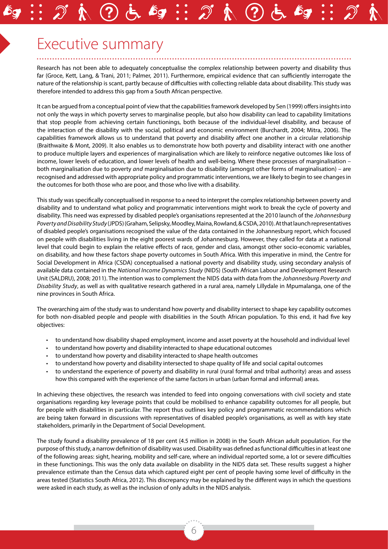# Executive summary

Research has not been able to adequately conceptualise the complex relationship between poverty and disability thus far (Groce, Kett, Lang, & Trani, 2011; Palmer, 2011). Furthermore, empirical evidence that can sufficiently interrogate the nature of the relationship is scant, partly because of difficulties with collecting reliable data about disability. This study was therefore intended to address this gap from a South African perspective.

It can be argued from a conceptual point of view that the capabilities framework developed by Sen (1999) offers insights into not only the ways in which poverty serves to marginalise people, but also how disability can lead to capability limitations that stop people from achieving certain functionings, both because of the individual-level disability, and because of the interaction of the disability with the social, political and economic environment (Burchardt, 2004; Mitra, 2006). The capabilities framework allows us to understand that poverty and disability affect one another in a circular relationship (Braithwaite & Mont, 2009). It also enables us to demonstrate how both poverty and disability interact with one another to produce multiple layers and experiences of marginalisation which are likely to reinforce negative outcomes like loss of income, lower levels of education, and lower levels of health and well-being. Where these processes of marginalisation – both marginalisation due to poverty *and* marginalisation due to disability (amongst other forms of marginalisation) – are recognised and addressed with appropriate policy and programmatic interventions, we are likely to begin to see changes in the outcomes for both those who are poor, and those who live with a disability.

This study was specifically conceptualised in response to a need to interpret the complex relationship between poverty and disability and to understand what policy and programmatic interventions might work to break the cycle of poverty and disability. This need was expressed by disabled people's organisations represented at the 2010 launch of the *Johannesburg Poverty and Disability Study* (JPDS) (Graham, Selipsky, Moodley, Maina, Rowland, & CSDA, 2010). At that launch representatives of disabled people's organisations recognised the value of the data contained in the Johannesburg report, which focused on people with disabilities living in the eight poorest wards of Johannesburg. However, they called for data at a national level that could begin to explain the relative effects of race, gender and class, amongst other socio-economic variables, on disability, and how these factors shape poverty outcomes in South Africa. With this imperative in mind, the Centre for Social Development in Africa (CSDA) conceptualised a national poverty and disability study, using secondary analysis of available data contained in the *National Income Dynamics Study* (NIDS) (South African Labour and Development Research Unit (SALDRU), 2008; 2011). The intention was to complement the NIDS data with data from the *Johannesburg Poverty and Disability Study*, as well as with qualitative research gathered in a rural area, namely Lillydale in Mpumalanga, one of the nine provinces in South Africa.

The overarching aim of the study was to understand how poverty and disability intersect to shape key capability outcomes for both non-disabled people and people with disabilities in the South African population. To this end, it had five key objectives:

- to understand how disability shaped employment, income and asset poverty at the household and individual level
- to understand how poverty and disability interacted to shape educational outcomes
- to understand how poverty and disability interacted to shape health outcomes
- to understand how poverty and disability intersected to shape quality of life and social capital outcomes
- to understand the experience of poverty and disability in rural (rural formal and tribal authority) areas and assess how this compared with the experience of the same factors in urban (urban formal and informal) areas.

In achieving these objectives, the research was intended to feed into ongoing conversations with civil society and state organisations regarding key leverage points that could be mobilised to enhance capability outcomes for all people, but for people with disabilities in particular. The report thus outlines key policy and programmatic recommendations which are being taken forward in discussions with representatives of disabled people's organisations, as well as with key state stakeholders, primarily in the Department of Social Development.

The study found a disability prevalence of 18 per cent (4.5 million in 2008) in the South African adult population. For the purpose of this study, a narrow definition of disability was used. Disability was defined as functional difficulties in at least one of the following areas: sight, hearing, mobility and self-care, where an individual reported some, a lot or severe difficulties in these functionings. This was the only data available on disability in the NIDS data set. These results suggest a higher prevalence estimate than the Census data which captured eight per cent of people having some level of difficulty in the areas tested (Statistics South Africa, 2012). This discrepancy may be explained by the different ways in which the questions were asked in each study, as well as the inclusion of only adults in the NIDS analysis.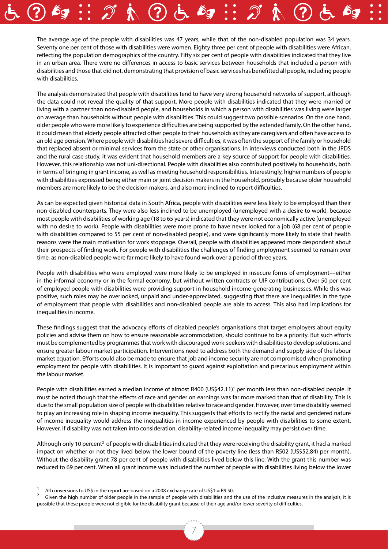The average age of the people with disabilities was 47 years, while that of the non-disabled population was 34 years. Seventy one per cent of those with disabilities were women. Eighty three per cent of people with disabilities were African, reflecting the population demographics of the country. Fifty six per cent of people with disabilities indicated that they live in an urban area. There were no differences in access to basic services between households that included a person with disabilities and those that did not, demonstrating that provision of basic services has benefitted all people, including people with disabilities.

The analysis demonstrated that people with disabilities tend to have very strong household networks of support, although the data could not reveal the quality of that support. More people with disabilities indicated that they were married or living with a partner than non-disabled people, and households in which a person with disabilities was living were larger on average than households without people with disabilities. This could suggest two possible scenarios. On the one hand, older people who were more likely to experience difficulties are being supported by the extended family. On the other hand, it could mean that elderly people attracted other people to their households as they are caregivers and often have access to an old age pension. Where people with disabilities had severe difficulties, it was often the support of the family or household that replaced absent or minimal services from the state or other organisations. In interviews conducted both in the JPDS and the rural case study, it was evident that household members are a key source of support for people with disabilities. However, this relationship was not uni-directional. People with disabilities also contributed positively to households, both in terms of bringing in grant income, as well as meeting household responsibilities. Interestingly, higher numbers of people with disabilities expressed being either main or joint decision makers in the household, probably because older household members are more likely to be the decision makers, and also more inclined to report difficulties.

As can be expected given historical data in South Africa, people with disabilities were less likely to be employed than their non-disabled counterparts. They were also less inclined to be unemployed (unemployed with a desire to work), because most people with disabilities of working age (18 to 65 years) indicated that they were not economically active (unemployed with no desire to work). People with disabilities were more prone to have never looked for a job (68 per cent of people with disabilities compared to 55 per cent of non-disabled people), and were significantly more likely to state that health reasons were the main motivation for work stoppage. Overall, people with disabilities appeared more despondent about their prospects of finding work. For people with disabilities the challenges of finding employment seemed to remain over time, as non-disabled people were far more likely to have found work over a period of three years.

People with disabilities who were employed were more likely to be employed in insecure forms of employment—either in the informal economy or in the formal economy, but without written contracts or UIF contributions. Over 50 per cent of employed people with disabilities were providing support in household income-generating businesses. While this was positive, such roles may be overlooked, unpaid and under-appreciated, suggesting that there are inequalities in the type of employment that people with disabilities and non-disabled people are able to access. This also had implications for inequalities in income.

These findings suggest that the advocacy efforts of disabled people's organisations that target employers about equity policies and advise them on how to ensure reasonable accommodation, should continue to be a priority. But such efforts must be complemented by programmes that work with discouraged work-seekers with disabilities to develop solutions, and ensure greater labour market participation. Interventions need to address both the demand and supply side of the labour market equation. Efforts could also be made to ensure that job and income security are not compromised when promoting employment for people with disabilities. It is important to guard against exploitation and precarious employment within the labour market.

People with disabilities earned a median income of almost R400 (US\$42.11)<sup>1</sup> per month less than non-disabled people. It must be noted though that the effects of race and gender on earnings was far more marked than that of disability. This is due to the small population size of people with disabilities relative to race and gender. However, over time disability seemed to play an increasing role in shaping income inequality. This suggests that efforts to rectify the racial and gendered nature of income inequality would address the inequalities in income experienced by people with disabilities to some extent. However, if disability was not taken into consideration, disability-related income inequality may persist over time.

Although only 10 percent<sup>2</sup> of people with disabilities indicated that they were receiving the disability grant, it had a marked impact on whether or not they lived below the lower bound of the poverty line (less than R502 (US\$52.84) per month). Without the disability grant 78 per cent of people with disabilities lived below this line. With the grant this number was reduced to 69 per cent. When all grant income was included the number of people with disabilities living below the lower

All conversions to US\$ in the report are based on a 2008 exchange rate of US\$1 = R9.50.<br>Given the high number of older people in the sample of people with disabilities and the use of the inclusive measures in the analysis, possible that these people were not eligible for the disability grant because of their age and/or lower severity of difficulties.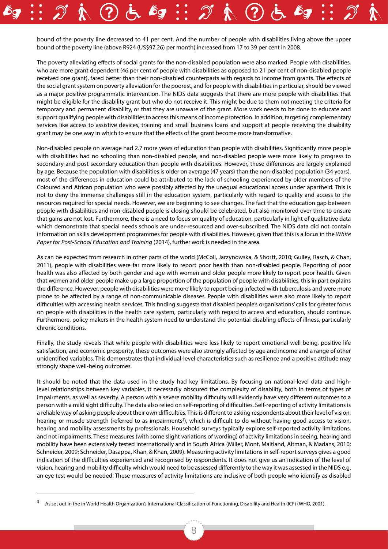bound of the poverty line decreased to 41 per cent. And the number of people with disabilities living above the upper bound of the poverty line (above R924 (US\$97.26) per month) increased from 17 to 39 per cent in 2008.

The poverty alleviating effects of social grants for the non-disabled population were also marked. People with disabilities, who are more grant dependent (46 per cent of people with disabilities as opposed to 21 per cent of non-disabled people received one grant), fared better than their non-disabled counterparts with regards to income from grants. The effects of the social grant system on poverty alleviation for the poorest, and for people with disabilities in particular, should be viewed as a major positive programmatic intervention. The NIDS data suggests that there are more people with disabilities that might be eligible for the disability grant but who do not receive it. This might be due to them not meeting the criteria for temporary and permanent disability, or that they are unaware of the grant. More work needs to be done to educate and support qualifying people with disabilities to access this means of income protection. In addition, targeting complementary services like access to assistive devices, training and small business loans and support at people receiving the disability grant may be one way in which to ensure that the effects of the grant become more transformative.

Non-disabled people on average had 2.7 more years of education than people with disabilities. Significantly more people with disabilities had no schooling than non-disabled people, and non-disabled people were more likely to progress to secondary and post-secondary education than people with disabilities. However, these differences are largely explained by age. Because the population with disabilities is older on average (47 years) than the non-disabled population (34 years), most of the differences in education could be attributed to the lack of schooling experienced by older members of the Coloured and African population who were possibly affected by the unequal educational access under apartheid. This is not to deny the immense challenges still in the education system, particularly with regard to quality and access to the resources required for special needs. However, we are beginning to see changes. The fact that the education gap between people with disabilities and non-disabled people is closing should be celebrated, but also monitored over time to ensure that gains are not lost. Furthermore, there is a need to focus on quality of education, particularly in light of qualitative data which demonstrate that special needs schools are under-resourced and over-subscribed. The NIDS data did not contain information on skills development programmes for people with disabilities. However, given that this is a focus in the *White Paper for Post-School Education and Training* (2014), further work is needed in the area.

As can be expected from research in other parts of the world (McColl, Jarzynowska, & Shortt, 2010; Gulley, Rasch, & Chan, 2011), people with disabilities were far more likely to report poor health than non-disabled people. Reporting of poor health was also affected by both gender and age with women and older people more likely to report poor health. Given that women and older people make up a large proportion of the population of people with disabilities, this in part explains the difference. However, people with disabilities were more likely to report being infected with tuberculosis and were more prone to be affected by a range of non-communicable diseases. People with disabilities were also more likely to report difficulties with accessing health services. This finding suggests that disabled people's organisations' calls for greater focus on people with disabilities in the health care system, particularly with regard to access and education, should continue. Furthermore, policy makers in the health system need to understand the potential disabling effects of illness, particularly chronic conditions.

Finally, the study reveals that while people with disabilities were less likely to report emotional well-being, positive life satisfaction, and economic prosperity, these outcomes were also strongly affected by age and income and a range of other unidentified variables. This demonstrates that individual-level characteristics such as resilience and a positive attitude may strongly shape well-being outcomes.

It should be noted that the data used in the study had key limitations. By focusing on national-level data and highlevel relationships between key variables, it necessarily obscured the complexity of disability, both in terms of types of impairments, as well as severity. A person with a severe mobility difficulty will evidently have very different outcomes to a person with a mild sight difficulty. The data also relied on self-reporting of difficulties. Self-reporting of activity limitations is a reliable way of asking people about their own difficulties. This is different to asking respondents about their level of vision, hearing or muscle strength (referred to as impairments<sup>3</sup>), which is difficult to do without having good access to vision, hearing and mobility assessments by professionals. Household surveys typically explore self-reported activity limitations, and not impairments. These measures (with some slight variations of wording) of activity limitations in seeing, hearing and mobility have been extensively tested internationally and in South Africa (Miller, Mont, Maitland, Altman, & Madans, 2010; Schneider, 2009; Schneider, Dasappa, Khan, & Khan, 2009). Measuring activity limitations in self-report surveys gives a good indication of the difficulties experienced and recognised by respondents. It does not give us an indication of the level of vision, hearing and mobility difficulty which would need to be assessed differently to the way it was assessed in the NIDS e.g. an eye test would be needed. These measures of activity limitations are inclusive of both people who identify as disabled

As set out in the in World Health Organization's International Classification of Functioning, Disability and Health (ICF) (WHO, 2001).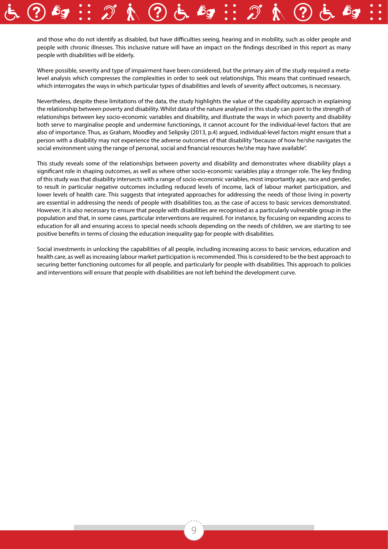and those who do not identify as disabled, but have difficulties seeing, hearing and in mobility, such as older people and people with chronic illnesses. This inclusive nature will have an impact on the findings described in this report as many people with disabilities will be elderly.

Where possible, severity and type of impairment have been considered, but the primary aim of the study required a metalevel analysis which compresses the complexities in order to seek out relationships. This means that continued research, which interrogates the ways in which particular types of disabilities and levels of severity affect outcomes, is necessary.

Nevertheless, despite these limitations of the data, the study highlights the value of the capability approach in explaining the relationship between poverty and disability. Whilst data of the nature analysed in this study can point to the strength of relationships between key socio-economic variables and disability, and illustrate the ways in which poverty and disability both serve to marginalise people and undermine functionings, it cannot account for the individual-level factors that are also of importance. Thus, as Graham, Moodley and Selipsky (2013, p.4) argued, individual-level factors might ensure that a person with a disability may not experience the adverse outcomes of that disability "because of how he/she navigates the social environment using the range of personal, social and financial resources he/she may have available".

This study reveals some of the relationships between poverty and disability and demonstrates where disability plays a significant role in shaping outcomes, as well as where other socio-economic variables play a stronger role. The key finding of this study was that disability intersects with a range of socio-economic variables, most importantly age, race and gender, to result in particular negative outcomes including reduced levels of income, lack of labour market participation, and lower levels of health care. This suggests that integrated approaches for addressing the needs of those living in poverty are essential in addressing the needs of people with disabilities too, as the case of access to basic services demonstrated. However, it is also necessary to ensure that people with disabilities are recognised as a particularly vulnerable group in the population and that, in some cases, particular interventions are required. For instance, by focusing on expanding access to education for all and ensuring access to special needs schools depending on the needs of children, we are starting to see positive benefits in terms of closing the education inequality gap for people with disabilities.

Social investments in unlocking the capabilities of all people, including increasing access to basic services, education and health care, as well as increasing labour market participation is recommended. This is considered to be the best approach to securing better functioning outcomes for all people, and particularly for people with disabilities. This approach to policies and interventions will ensure that people with disabilities are not left behind the development curve.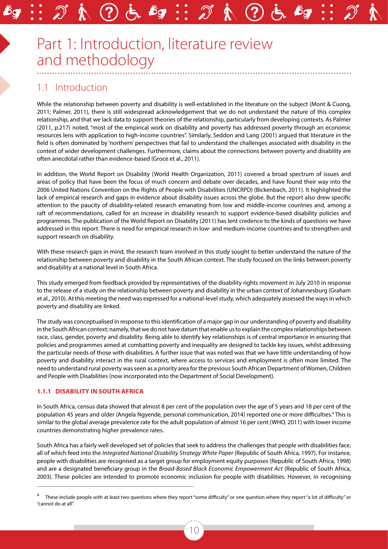# Part 1: Introduction, literature review and methodology

# 1.1 Introduction

While the relationship between poverty and disability is well-established in the literature on the subject (Mont & Cuong, 2011; Palmer, 2011), there is still widespread acknowledgement that we do not understand the nature of this complex relationship, and that we lack data to support theories of the relationship, particularly from developing contexts. As Palmer (2011, p.217) noted, "most of the empirical work on disability and poverty has addressed poverty through an economic resources lens with application to high-income countries". Similarly, Seddon and Lang (2001) argued that literature in the field is often dominated by 'northern' perspectives that fail to understand the challenges associated with disability in the context of wider development challenges. Furthermore, claims about the connections between poverty and disability are often anecdotal rather than evidence-based (Groce et al., 2011).

In addition, the World Report on Disability (World Health Organization, 2011) covered a broad spectrum of issues and areas of policy that have been the focus of much concern and debate over decades, and have found their way into the 2006 United Nations Convention on the Rights of People with Disabilities (UNCRPD) (Bickenbach, 2011). It highlighted the lack of empirical research and gaps in evidence about disability issues across the globe. But the report also drew specific attention to the paucity of disability-related research emanating from low and middle-income countries and, among a raft of recommendations, called for an increase in disability research to support evidence-based disability policies and programmes. The publication of the World Report on Disability (2011) has lent credence to the kinds of questions we have addressed in this report. There is need for empirical research in low- and medium-income countries and to strengthen and support research on disability.

With these research gaps in mind, the research team involved in this study sought to better understand the nature of the relationship between poverty and disability in the South African context. The study focused on the links between poverty and disability at a national level in South Africa.

This study emerged from feedback provided by representatives of the disability rights movement in July 2010 in response to the release of a study on the relationship between poverty and disability in the urban context of Johannesburg (Graham et al., 2010). At this meeting the need was expressed for a national-level study, which adequately assessed the ways in which poverty and disability are linked.

The study was conceptualised in response to this identification of a major gap in our understanding of poverty and disability in the South African context; namely, that we do not have datum that enable us to explain the complex relationships between race, class, gender, poverty and disability. Being able to identify key relationships is of central importance in ensuring that policies and programmes aimed at combatting poverty and inequality are designed to tackle key issues, whilst addressing the particular needs of those with disabilities. A further issue that was noted was that we have little understanding of how poverty and disability interact in the rural context, where access to services and employment is often more limited. The need to understand rural poverty was seen as a priority area for the previous South African Department of Women, Children and People with Disabilities (now incorporated into the Department of Social Development).

#### **1.1.1 Disability in South Africa**

In South Africa, census data showed that almost 8 per cent of the population over the age of 5 years and 18 per cent of the population 45 years and older (Angela Ngyende, personal communication, 2014) reported one or more difficulties.<sup>4</sup> This is similar to the global average prevalence rate for the adult population of almost 16 per cent (WHO, 2011) with lower income countries demonstrating higher prevalence rates.

South Africa has a fairly well developed set of policies that seek to address the challenges that people with disabilities face, all of which feed into the *Integrated National Disability Strategy White Paper* (Republic of South Africa, 1997). For instance, people with disabilities are recognised as a target group for employment equity purposes (Republic of South Africa, 1998) and are a designated beneficiary group in the *Broad-Based Black Economic Empowerment Act* (Republic of South Africa, 2003). These policies are intended to promote economic inclusion for people with disabilities. However, in recognising

These include people with at least two questions where they report "some difficulty" or one question where they report "a lot of difficulty" or "cannot do at all".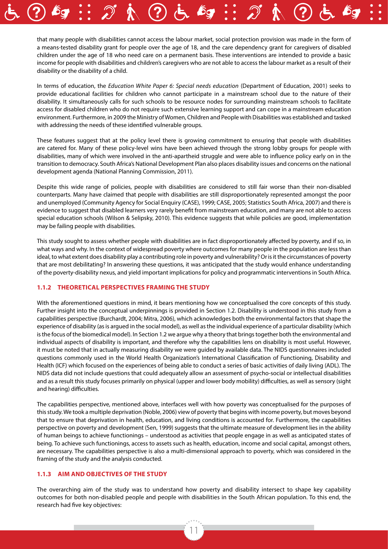that many people with disabilities cannot access the labour market, social protection provision was made in the form of a means-tested disability grant for people over the age of 18, and the care dependency grant for caregivers of disabled children under the age of 18 who need care on a permanent basis. These interventions are intended to provide a basic income for people with disabilities and children's caregivers who are not able to access the labour market as a result of their disability or the disability of a child.

In terms of education, the *Education White Paper 6: Special needs education* (Department of Education, 2001) seeks to provide educational facilities for children who cannot participate in a mainstream school due to the nature of their disability. It simultaneously calls for such schools to be resource nodes for surrounding mainstream schools to facilitate access for disabled children who do not require such extensive learning support and can cope in a mainstream education environment. Furthermore, in 2009 the Ministry of Women, Children and People with Disabilities was established and tasked with addressing the needs of these identified vulnerable groups.

These features suggest that at the policy level there is growing commitment to ensuring that people with disabilities are catered for. Many of these policy-level wins have been achieved through the strong lobby groups for people with disabilities, many of which were involved in the anti-apartheid struggle and were able to influence policy early on in the transition to democracy. South Africa's National Development Plan also places disability issues and concerns on the national development agenda (National Planning Commission, 2011).

Despite this wide range of policies, people with disabilities are considered to still fair worse than their non-disabled counterparts. Many have claimed that people with disabilities are still disproportionately represented amongst the poor and unemployed (Community Agency for Social Enquiry (CASE), 1999; CASE, 2005; Statistics South Africa, 2007) and there is evidence to suggest that disabled learners very rarely benefit from mainstream education, and many are not able to access special education schools (Wilson & Selipsky, 2010). This evidence suggests that while policies are good, implementation may be failing people with disabilities.

This study sought to assess whether people with disabilities are in fact disproportionately affected by poverty, and if so, in what ways and why. In the context of widespread poverty where outcomes for many people in the population are less than ideal, to what extent does disability play a contributing role in poverty and vulnerability? Or is it the circumstances of poverty that are most debilitating? In answering these questions, it was anticipated that the study would enhance understanding of the poverty-disability nexus, and yield important implications for policy and programmatic interventions in South Africa.

#### **1.1.2 Theoretical perspectives framing the study**

With the aforementioned questions in mind, it bears mentioning how we conceptualised the core concepts of this study. Further insight into the conceptual underpinnings is provided in Section 1.2. Disability is understood in this study from a capabilities perspective (Burchardt, 2004; Mitra, 2006), which acknowledges both the environmental factors that shape the experience of disability (as is argued in the social model), as well as the individual experience of a particular disability (which is the focus of the biomedical model). In Section 1.2 we argue why a theory that brings together both the environmental and individual aspects of disability is important, and therefore why the capabilities lens on disability is most useful. However, it must be noted that in actually measuring disability we were guided by available data. The NIDS questionnaires included questions commonly used in the World Health Organization's International Classification of Functioning, Disability and Health (ICF) which focused on the experiences of being able to conduct a series of basic activities of daily living (ADL). The NIDS data did not include questions that could adequately allow an assessment of psycho-social or intellectual disabilities and as a result this study focuses primarily on physical (upper and lower body mobility) difficulties, as well as sensory (sight and hearing) difficulties.

The capabilities perspective, mentioned above, interfaces well with how poverty was conceptualised for the purposes of this study. We took a multiple deprivation (Noble, 2006) view of poverty that begins with income poverty, but moves beyond that to ensure that deprivation in health, education, and living conditions is accounted for. Furthermore, the capabilities perspective on poverty and development (Sen, 1999) suggests that the ultimate measure of development lies in the ability of human beings to achieve functionings – understood as activities that people engage in as well as anticipated states of being. To achieve such functionings, access to assets such as health, education, income and social capital, amongst others, are necessary. The capabilities perspective is also a multi-dimensional approach to poverty, which was considered in the framing of the study and the analysis conducted.

#### **1.1.3 Aim and objectives of the study**

The overarching aim of the study was to understand how poverty and disability intersect to shape key capability outcomes for both non-disabled people and people with disabilities in the South African population. To this end, the research had five key objectives: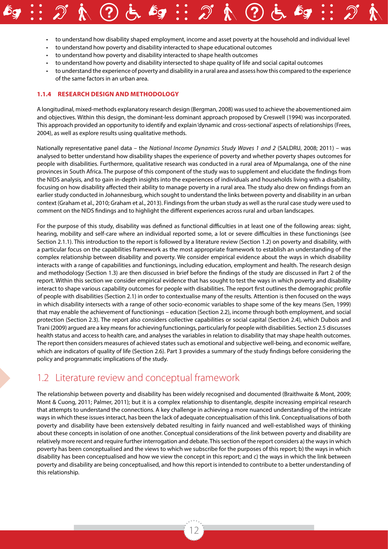- to understand how disability shaped employment, income and asset poverty at the household and individual level
- to understand how poverty and disability interacted to shape educational outcomes
- to understand how poverty and disability interacted to shape health outcomes
- to understand how poverty and disability intersected to shape quality of life and social capital outcomes
- to understand the experience of poverty and disability in a rural area and assess how this compared to the experience of the same factors in an urban area.

#### **1.1.4 Research design and methodology**

A longitudinal, mixed-methods explanatory research design (Bergman, 2008) was used to achieve the abovementioned aim and objectives. Within this design, the dominant-less dominant approach proposed by Creswell (1994) was incorporated. This approach provided an opportunity to identify and explain 'dynamic and cross-sectional' aspects of relationships (Frees, 2004), as well as explore results using qualitative methods.

Nationally representative panel data – the *National Income Dynamics Study Waves 1 and 2* (SALDRU, 2008; 2011) – was analysed to better understand how disability shapes the experience of poverty and whether poverty shapes outcomes for people with disabilities. Furthermore, qualitative research was conducted in a rural area of Mpumalanga, one of the nine provinces in South Africa. The purpose of this component of the study was to supplement and elucidate the findings from the NIDS analysis, and to gain in-depth insights into the experiences of individuals and households living with a disability, focusing on how disability affected their ability to manage poverty in a rural area. The study also drew on findings from an earlier study conducted in Johannesburg, which sought to understand the links between poverty and disability in an urban context (Graham et al., 2010; Graham et al., 2013). Findings from the urban study as well as the rural case study were used to comment on the NIDS findings and to highlight the different experiences across rural and urban landscapes.

For the purpose of this study, disability was defined as functional difficulties in at least one of the following areas: sight, hearing, mobility and self-care where an individual reported some, a lot or severe difficulties in these functionings (see Section 2.1.1). This introduction to the report is followed by a literature review (Section 1.2) on poverty and disability, with a particular focus on the capabilities framework as the most appropriate framework to establish an understanding of the complex relationship between disability and poverty. We consider empirical evidence about the ways in which disability interacts with a range of capabilities and functionings, including education, employment and health. The research design and methodology (Section 1.3) are then discussed in brief before the findings of the study are discussed in Part 2 of the report. Within this section we consider empirical evidence that has sought to test the ways in which poverty and disability interact to shape various capability outcomes for people with disabilities. The report first outlines the demographic profile of people with disabilities (Section 2.1) in order to contextualise many of the results. Attention is then focused on the ways in which disability intersects with a range of other socio-economic variables to shape some of the key means (Sen, 1999) that may enable the achievement of functionings – education (Section 2.2), income through both employment, and social protection (Section 2.3). The report also considers collective capabilities or social capital (Section 2.4), which Dubois and Trani (2009) argued are a key means for achieving functionings, particularly for people with disabilities. Section 2.5 discusses health status and access to health care, and analyses the variables in relation to disability that may shape health outcomes. The report then considers measures of achieved states such as emotional and subjective well-being, and economic welfare, which are indicators of quality of life (Section 2.6). Part 3 provides a summary of the study findings before considering the policy and programmatic implications of the study.

### 1.2 Literature review and conceptual framework

The relationship between poverty and disability has been widely recognised and documented (Braithwaite & Mont, 2009; Mont & Cuong, 2011; Palmer, 2011); but it is a complex relationship to disentangle, despite increasing empirical research that attempts to understand the connections. A key challenge in achieving a more nuanced understanding of the intricate ways in which these issues interact, has been the lack of adequate conceptualisation of this link. Conceptualisations of both poverty and disability have been extensively debated resulting in fairly nuanced and well-established ways of thinking about these concepts in isolation of one another. Conceptual considerations of the *link* between poverty and disability are relatively more recent and require further interrogation and debate. This section of the report considers a) the ways in which poverty has been conceptualised and the views to which we subscribe for the purposes of this report; b) the ways in which disability has been conceptualised and how we view the concept in this report; and c) the ways in which the link between poverty and disability are being conceptualised, and how this report is intended to contribute to a better understanding of this relationship.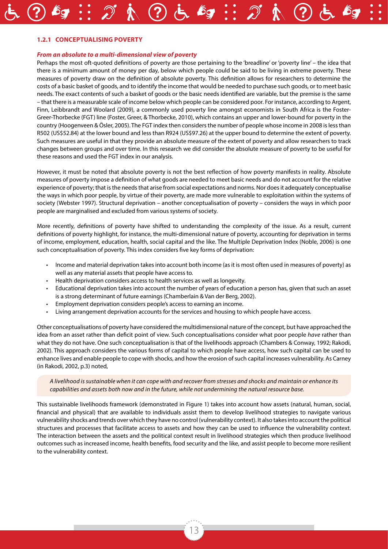#### **1.2.1 Conceptualising poverty**

#### *From an absolute to a multi-dimensional view of poverty*

Perhaps the most oft-quoted definitions of poverty are those pertaining to the 'breadline' or 'poverty line' – the idea that there is a minimum amount of money per day, below which people could be said to be living in extreme poverty. These measures of poverty draw on the definition of absolute poverty. This definition allows for researchers to determine the costs of a basic basket of goods, and to identify the income that would be needed to purchase such goods, or to meet basic needs. The exact contents of such a basket of goods or the basic needs identified are variable, but the premise is the same – that there is a measurable scale of income below which people can be considered poor. For instance, according to Argent, Finn, Leibbrandt and Woolard (2009), a commonly used poverty line amongst economists in South Africa is the Foster-Greer-Thorbecke (FGT) line (Foster, Greer, & Thorbecke, 2010), which contains an upper and lower-bound for poverty in the country (Hoogenveen & Ösler, 2005). The FGT index then considers the number of people whose income in 2008 is less than R502 (US\$52.84) at the lower bound and less than R924 (US\$97.26) at the upper bound to determine the extent of poverty. Such measures are useful in that they provide an absolute measure of the extent of poverty and allow researchers to track changes between groups and over time. In this research we did consider the absolute measure of poverty to be useful for these reasons and used the FGT index in our analysis.

However, it must be noted that absolute poverty is not the best reflection of how poverty manifests in reality. Absolute measures of poverty impose a definition of what goods are needed to meet basic needs and do not account for the relative experience of poverty; that is the needs that arise from social expectations and norms. Nor does it adequately conceptualise the ways in which poor people, by virtue of their poverty, are made more vulnerable to exploitation within the systems of society (Webster 1997). Structural deprivation – another conceptualisation of poverty – considers the ways in which poor people are marginalised and excluded from various systems of society.

More recently, definitions of poverty have shifted to understanding the complexity of the issue. As a result, current definitions of poverty highlight, for instance, the multi-dimensional nature of poverty, accounting for deprivation in terms of income, employment, education, health, social capital and the like. The Multiple Deprivation Index (Noble, 2006) is one such conceptualisation of poverty. This index considers five key forms of deprivation:

- Income and material deprivation takes into account both income (as it is most often used in measures of poverty) as well as any material assets that people have access to.
- Health deprivation considers access to health services as well as longevity.
- Educational deprivation takes into account the number of years of education a person has, given that such an asset is a strong determinant of future earnings (Chamberlain & Van der Berg, 2002).
- Employment deprivation considers people's access to earning an income.
- Living arrangement deprivation accounts for the services and housing to which people have access.

Other conceptualisations of poverty have considered the multidimensional nature of the concept, but have approached the idea from an asset rather than deficit point of view. Such conceptualisations consider what poor people *have* rather than what they do not have. One such conceptualisation is that of the livelihoods approach (Chambers & Conway, 1992; Rakodi, 2002). This approach considers the various forms of capital to which people have access, how such capital can be used to enhance lives and enable people to cope with shocks, and how the erosion of such capital increases vulnerability. As Carney (in Rakodi, 2002, p.3) noted,

*A livelihood is sustainable when it can cope with and recover from stresses and shocks and maintain or enhance its capabilities and assets both now and in the future, while not undermining the natural resource base.*

This sustainable livelihoods framework (demonstrated in Figure 1) takes into account how assets (natural, human, social, financial and physical) that are available to individuals assist them to develop livelihood strategies to navigate various vulnerability shocks and trends over which they have no control (vulnerability context). It also takes into account the political structures and processes that facilitate access to assets and how they can be used to influence the vulnerability context. The interaction between the assets and the political context result in livelihood strategies which then produce livelihood outcomes such as increased income, health benefits, food security and the like, and assist people to become more resilient to the vulnerability context.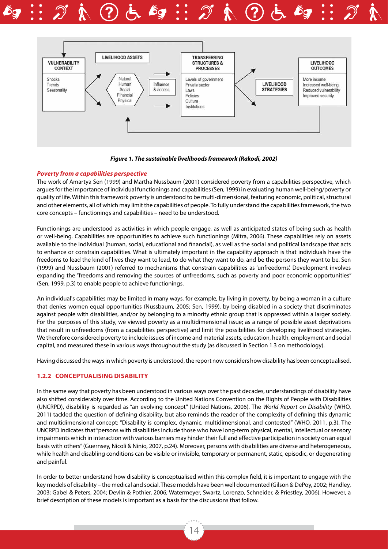



*Figure 1. The sustainable livelihoods framework (Rakodi, 2002)*

#### *Poverty from a capabilities perspective*

The work of Amartya Sen (1999) and Martha Nussbaum (2001) considered poverty from a capabilities perspective, which argues for the importance of individual functionings and capabilities (Sen, 1999) in evaluating human well-being/poverty or quality of life. Within this framework poverty is understood to be multi-dimensional, featuring economic, political, structural and other elements, all of which may limit the capabilities of people. To fully understand the capabilities framework, the two core concepts – functionings and capabilities – need to be understood.

Functionings are understood as activities in which people engage, as well as anticipated states of being such as health or well-being. Capabilities are opportunities to achieve such functionings (Mitra, 2006). These capabilities rely on assets available to the individual (human, social, educational and financial), as well as the social and political landscape that acts to enhance or constrain capabilities. What is ultimately important in the capability approach is that individuals have the freedoms to lead the kind of lives they want to lead, to do what they want to do, and be the persons they want to be. Sen (1999) and Nussbaum (2001) referred to mechanisms that constrain capabilities as 'unfreedoms'. Development involves expanding the "freedoms and removing the sources of unfreedoms, such as poverty and poor economic opportunities" (Sen, 1999, p.3) to enable people to achieve functionings.

An individual's capabilities may be limited in many ways, for example, by living in poverty, by being a woman in a culture that denies women equal opportunities (Nussbaum, 2005; Sen, 1999), by being disabled in a society that discriminates against people with disabilities, and/or by belonging to a minority ethnic group that is oppressed within a larger society. For the purposes of this study, we viewed poverty as a multidimensional issue; as a range of possible asset deprivations that result in unfreedoms (from a capabilities perspective) and limit the possibilities for developing livelihood strategies. We therefore considered poverty to include issues of income and material assets, education, health, employment and social capital, and measured these in various ways throughout the study (as discussed in Section 1.3 on methodology).

Having discussed the ways in which poverty is understood, the report now considers how disability has been conceptualised.

#### **1.2.2 Conceptualising disability**

In the same way that poverty has been understood in various ways over the past decades, understandings of disability have also shifted considerably over time. According to the United Nations Convention on the Rights of People with Disabilities (UNCRPD), disability is regarded as "an evolving concept" (United Nations, 2006). The *World Report on Disability* (WHO, 2011) tackled the question of defining disability, but also reminds the reader of the complexity of defining this dynamic and multidimensional concept: "Disability is complex, dynamic, multidimensional, and contested" (WHO, 2011, p.3). The UNCRPD indicates that "persons with disabilities include those who have long-term physical, mental, intellectual or sensory impairments which in interaction with various barriers may hinder their full and effective participation in society on an equal basis with others" (Guernsey, Nicoli & Ninio, 2007, p.24). Moreover, persons with disabilities are diverse and heterogeneous, while health and disabling conditions can be visible or invisible, temporary or permanent, static, episodic, or degenerating and painful.

In order to better understand how disability is conceptualised within this complex field, it is important to engage with the key models of disability – the medical and social. These models have been well documented (Gilson & DePoy, 2002; Handley, 2003; Gabel & Peters, 2004; Devlin & Pothier, 2006; Watermeyer, Swartz, Lorenzo, Schneider, & Priestley, 2006). However, a brief description of these models is important as a basis for the discussions that follow.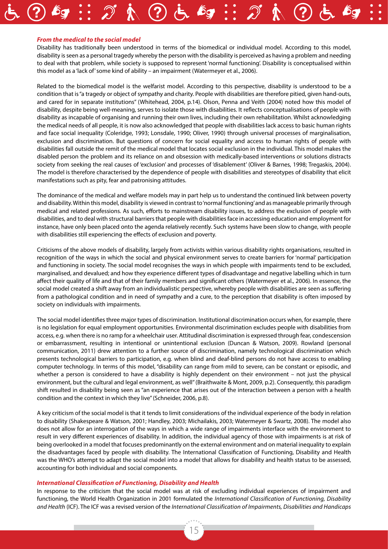#### *From the medical to the social model*

Disability has traditionally been understood in terms of the biomedical or individual model. According to this model, disability is seen as a personal tragedy whereby the person with the disability is perceived as having a problem and needing to deal with that problem, while society is supposed to represent 'normal functioning'. Disability is conceptualised within this model as a 'lack of' some kind of ability – an impairment (Watermeyer et al., 2006).

Related to the biomedical model is the welfarist model. According to this perspective, disability is understood to be a condition that is "a tragedy or object of sympathy and charity. People with disabilities are therefore pitied, given hand-outs, and cared for in separate institutions" (Whitehead, 2004, p.14). Olson, Penna and Veith (2004) noted how this model of disability, despite being well-meaning, serves to isolate those with disabilities. It reflects conceptualisations of people with disability as incapable of organising and running their own lives, including their own rehabilitation. Whilst acknowledging the medical needs of all people, it is now also acknowledged that people with disabilities lack access to basic human rights and face social inequality (Coleridge, 1993; Lonsdale, 1990; Oliver, 1990) through universal processes of marginalisation, exclusion and discrimination. But questions of concern for social equality and access to human rights of people with disabilities fall outside the remit of the medical model that locates social exclusion in the individual. This model makes the disabled person the problem and its reliance on and obsession with medically-based interventions or solutions distracts society from seeking the real causes of 'exclusion' and processes of 'disablement' (Oliver & Barnes, 1998; Tregaskis, 2004). The model is therefore characterised by the dependence of people with disabilities and stereotypes of disability that elicit manifestations such as pity, fear and patronising attitudes.

The dominance of the medical and welfare models may in part help us to understand the continued link between poverty and disability. Within this model, disability is viewed in contrast to 'normal functioning' and as manageable primarily through medical and related professions. As such, efforts to mainstream disability issues, to address the exclusion of people with disabilities, and to deal with structural barriers that people with disabilities face in accessing education and employment for instance, have only been placed onto the agenda relatively recently. Such systems have been slow to change, with people with disabilities still experiencing the effects of exclusion and poverty.

Criticisms of the above models of disability, largely from activists within various disability rights organisations, resulted in recognition of the ways in which the social and physical environment serves to create barriers for 'normal' participation and functioning in society. The social model recognises the ways in which people with impairments tend to be excluded, marginalised, and devalued; and how they experience different types of disadvantage and negative labelling which in turn affect their quality of life and that of their family members and significant others (Watermeyer et al., 2006). In essence, the social model created a shift away from an individualistic perspective, whereby people with disabilities are seen as suffering from a pathological condition and in need of sympathy and a cure, to the perception that disability is often imposed by society on individuals with impairments.

The social model identifies three major types of discrimination. Institutional discrimination occurs when, for example, there is no legislation for equal employment opportunities. Environmental discrimination excludes people with disabilities from access, e.g. when there is no ramp for a wheelchair user. Attitudinal discrimination is expressed through fear, condescension or embarrassment, resulting in intentional or unintentional exclusion (Duncan & Watson, 2009). Rowland (personal communication, 2011) drew attention to a further source of discrimination, namely technological discrimination which presents technological barriers to participation, e.g. when blind and deaf-blind persons do not have access to enabling computer technology. In terms of this model, "disability can range from mild to severe, can be constant or episodic, and whether a person is considered to have a disability is highly dependent on their environment – not just the physical environment, but the cultural and legal environment, as well" (Braithwaite & Mont, 2009, p.2). Consequently, this paradigm shift resulted in disability being seen as "an experience that arises out of the interaction between a person with a health condition and the context in which they live" (Schneider, 2006, p.8).

A key criticism of the social model is that it tends to limit considerations of the individual experience of the body in relation to disability (Shakespeare & Watson, 2001; Handley, 2003; Michailakis, 2003; Watermeyer & Swartz, 2008). The model also does not allow for an interrogation of the ways in which a wide range of impairments interface with the environment to result in very different experiences of disability. In addition, the individual agency of those with impairments is at risk of being overlooked in a model that focuses predominantly on the external environment and on material inequality to explain the disadvantages faced by people with disability. The International Classification of Functioning, Disability and Health was the WHO's attempt to adapt the social model into a model that allows for disability and health status to be assessed, accounting for both individual and social components.

#### *International Classification of Functioning, Disability and Health*

In response to the criticism that the social model was at risk of excluding individual experiences of impairment and functioning, the World Health Organization in 2001 formulated the *International Classification of Functioning, Disability and Health* (ICF). The ICF was a revised version of the *International Classification of Impairments, Disabilities and Handicaps*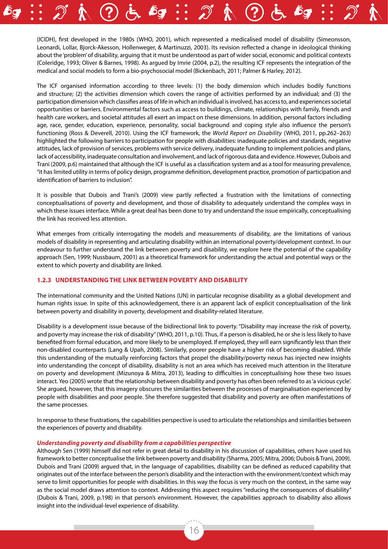(ICIDH), first developed in the 1980s (WHO, 2001), which represented a medicalised model of disability (Simeonsson, Leonardi, Lollar, Bjorck-Akesson, Hollenweger, & Martinuzzi, 2003). Its revision reflected a change in ideological thinking about the 'problem' of disability, arguing that it must be understood as part of wider social, economic and political contexts (Coleridge, 1993; Oliver & Barnes, 1998). As argued by Imrie (2004, p.2), the resulting ICF represents the integration of the medical and social models to form a bio-psychosocial model (Bickenbach, 2011; Palmer & Harley, 2012).

The ICF organised information according to three levels: (1) the body dimension which includes bodily functions and structure; (2) the activities dimension which covers the range of activities performed by an individual; and (3) the participation dimension which classifies areas of life in which an individual is involved, has access to, and experiences societal opportunities or barriers. Environmental factors such as access to buildings, climate, relationships with family, friends and health care workers, and societal attitudes all exert an impact on these dimensions. In addition, personal factors including age, race, gender, education, experience, personality, social background and coping style also influence the person's functioning (Ross & Deverell, 2010). Using the ICF framework, the *World Report on Disability* (WHO, 2011, pp.262–263) highlighted the following barriers to participation for people with disabilities: inadequate policies and standards, negative attitudes, lack of provision of services, problems with service delivery, inadequate funding to implement policies and plans, lack of accessibility, inadequate consultation and involvement, and lack of rigorous data and evidence. However, Dubois and Trani (2009, p.6) maintained that although the ICF is useful as a classification system and as a tool for measuring prevalence, "it has limited utility in terms of policy design, programme definition, development practice, promotion of participation and identification of barriers to inclusion".

It is possible that Dubois and Trani's (2009) view partly reflected a frustration with the limitations of connecting conceptualisations of poverty and development, and those of disability to adequately understand the complex ways in which these issues interface. While a great deal has been done to try and understand the issue empirically, conceptualising the link has received less attention.

What emerges from critically interrogating the models and measurements of disability, are the limitations of various models of disability in representing and articulating disability within an international poverty/development context. In our endeavour to further understand the link between poverty and disability, we explore here the potential of the capability approach (Sen, 1999; Nussbaum, 2001) as a theoretical framework for understanding the actual and potential ways or the extent to which poverty and disability are linked.

#### **1.2.3 Understanding the link between poverty and disability**

The international community and the United Nations (UN) in particular recognise disability as a global development and human rights issue. In spite of this acknowledgement, there is an apparent lack of explicit conceptualisation of the link between poverty and disability in poverty, development and disability-related literature.

Disability is a development issue because of the bidirectional link to poverty. "Disability may increase the risk of poverty, and poverty may increase the risk of disability" (WHO, 2011, p.10). Thus, if a person is disabled, he or she is less likely to have benefited from formal education, and more likely to be unemployed. If employed, they will earn significantly less than their non-disabled counterparts (Lang & Upah, 2008). Similarly, poorer people have a higher risk of becoming disabled. While this understanding of the mutually reinforcing factors that propel the disability/poverty nexus has injected new insights into understanding the concept of disability, disability is not an area which has received much attention in the literature on poverty and development (Mizunoya & Mitra, 2013), leading to difficulties in conceptualising how these two issues interact. Yeo (2005) wrote that the relationship between disability and poverty has often been referred to as 'a vicious cycle'. She argued, however, that this imagery obscures the similarities between the processes of marginalisation experienced by people with disabilities and poor people. She therefore suggested that disability and poverty are often manifestations of the same processes.

In response to these frustrations, the capabilities perspective is used to articulate the relationships and similarities between the experiences of poverty and disability.

#### *Understanding poverty and disability from a capabilities perspective*

Although Sen (1999) himself did not refer in great detail to disability in his discussion of capabilities, others have used his framework to better conceptualise the link between poverty and disability (Sharma, 2005; Mitra, 2006; Dubois & Trani, 2009). Dubois and Trani (2009) argued that, in the language of capabilities, disability can be defined as reduced capability that originates out of the interface between the person's disability and the interaction with the environment/context which may serve to limit opportunities for people with disabilities. In this way the focus is very much on the context, in the same way as the social model draws attention to context. Addressing this aspect requires "reducing the consequences of disability" (Dubois & Trani, 2009, p.198) in that person's environment. However, the capabilities approach to disability also allows insight into the individual-level experience of disability.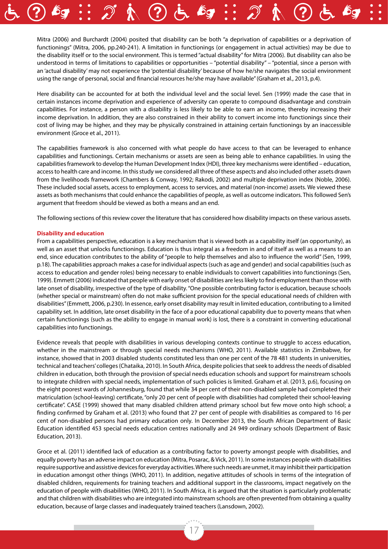

Here disability can be accounted for at both the individual level and the social level. Sen (1999) made the case that in certain instances income deprivation and experience of adversity can operate to compound disadvantage and constrain capabilities. For instance, a person with a disability is less likely to be able to earn an income, thereby increasing their income deprivation. In addition, they are also constrained in their ability to convert income into functionings since their cost of living may be higher, and they may be physically constrained in attaining certain functionings by an inaccessible environment (Groce et al., 2011).

The capabilities framework is also concerned with what people do have access to that can be leveraged to enhance capabilities and functionings. Certain mechanisms or assets are seen as being able to enhance capabilities. In using the capabilities framework to develop the Human Development Index (HDI), three key mechanisms were identified – education, access to health care and income. In this study we considered all three of these aspects and also included other assets drawn from the livelihoods framework (Chambers & Conway, 1992; Rakodi, 2002) and multiple deprivation index (Noble, 2006). These included social assets, access to employment, access to services, and material (non-income) assets. We viewed these assets as both mechanisms that could enhance the capabilities of people, as well as outcome indicators. This followed Sen's argument that freedom should be viewed as both a means and an end.

The following sections of this review cover the literature that has considered how disability impacts on these various assets.

#### **Disability and education**

From a capabilities perspective, education is a key mechanism that is viewed both as a capability itself (an opportunity), as well as an asset that unlocks functionings. Education is thus integral as a freedom in and of itself as well as a means to an end, since education contributes to the ability of "people to help themselves and also to influence the world" (Sen, 1999, p.18). The capabilities approach makes a case for individual aspects (such as age and gender) and social capabilities (such as access to education and gender roles) being necessary to enable individuals to convert capabilities into functionings (Sen, 1999). Emmett (2006) indicated that people with early onset of disabilities are less likely to find employment than those with late onset of disability, irrespective of the type of disability. "One possible contributing factor is education, because schools (whether special or mainstream) often do not make sufficient provision for the special educational needs of children with disabilities" (Emmett, 2006, p.230). In essence, early onset disability may result in limited education, contributing to a limited capability set. In addition, late onset disability in the face of a poor educational capability due to poverty means that when certain functionings (such as the ability to engage in manual work) is lost, there is a constraint in converting educational capabilities into functionings.

Evidence reveals that people with disabilities in various developing contexts continue to struggle to access education, whether in the mainstream or through special needs mechanisms (WHO, 2011). Available statistics in Zimbabwe, for instance, showed that in 2003 disabled students constituted less than one per cent of the 78 481 students in universities, technical and teachers' colleges (Chataika, 2010). In South Africa, despite policies that seek to address the needs of disabled children in education, both through the provision of special needs education schools and support for mainstream schools to integrate children with special needs, implementation of such policies is limited. Graham et al. (2013, p.6), focusing on the eight poorest wards of Johannesburg, found that while 34 per cent of their non-disabled sample had completed their matriculation (school-leaving) certificate, "only 20 per cent of people with disabilities had completed their school-leaving certificate". CASE (1999) showed that many disabled children attend primary school but few move onto high school; a finding confirmed by Graham et al. (2013) who found that 27 per cent of people with disabilities as compared to 16 per cent of non-disabled persons had primary education only. In December 2013, the South African Department of Basic Education identified 453 special needs education centres nationally and 24 949 ordinary schools (Department of Basic Education, 2013).

Groce et al. (2011) identified lack of education as a contributing factor to poverty amongst people with disabilities, and equally poverty has an adverse impact on education (Mitra, Posarac, & Vick, 2011). In some instances people with disabilities require supportive and assistive devices for everyday activities. Where such needs are unmet, it may inhibit their participation in education amongst other things (WHO, 2011). In addition, negative attitudes of schools in terms of the integration of disabled children, requirements for training teachers and additional support in the classrooms, impact negatively on the education of people with disabilities (WHO, 2011). In South Africa, it is argued that the situation is particularly problematic and that children with disabilities who are integrated into mainstream schools are often prevented from obtaining a quality education, because of large classes and inadequately trained teachers (Lansdown, 2002).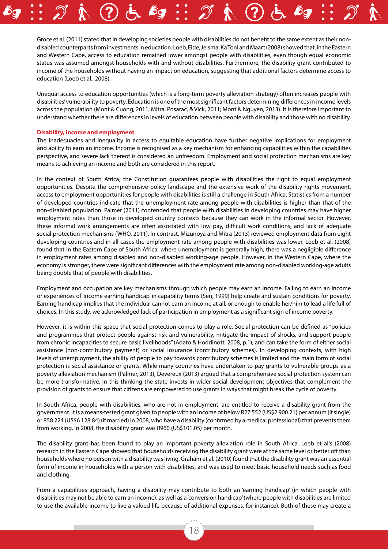Groce et al. (2011) stated that in developing societies people with disabilities do not benefit to the same extent as their nondisabled counterparts from investments in education. Loeb, Eide, Jelsma, Ka Toni and Maart (2008) showed that, in the Eastern and Western Cape, access to education remained lower amongst people with disabilities, even though equal economic status was assumed amongst households with and without disabilities. Furthermore, the disability grant contributed to income of the households without having an impact on education, suggesting that additional factors determine access to education (Loeb et al., 2008).

Unequal access to education opportunities (which is a long-term poverty alleviation strategy) often increases people with disabilities' vulnerability to poverty. Education is one of the most significant factors determining differences in income levels across the population (Mont & Cuong, 2011; Mitra, Posarac, & Vick, 2011; Mont & Nguyen, 2013). It is therefore important to understand whether there are differences in levels of education between people with disability and those with no disability.

#### **Disability, income and employment**

The inadequacies and inequality in access to equitable education have further negative implications for employment and ability to earn an income. Income is recognised as a key mechanism for enhancing capabilities within the capabilities perspective, and severe lack thereof is considered an unfreedom. Employment and social protection mechanisms are key means to achieving an income and both are considered in this report.

In the context of South Africa, the Constitution guarantees people with disabilities the right to equal employment opportunities. Despite the comprehensive policy landscape and the extensive work of the disability rights movement, access to employment opportunities for people with disabilities is still a challenge in South Africa. Statistics from a number of developed countries indicate that the unemployment rate among people with disabilities is higher than that of the non-disabled population. Palmer (2011) contended that people with disabilities in developing countries may have higher employment rates than those in developed country contexts because they can work in the informal sector. However, these informal work arrangements are often associated with low pay, difficult work conditions, and lack of adequate social protection mechanisms (WHO, 2011). In contrast, Mizunoya and Mitra (2013) reviewed employment data from eight developing countries and in all cases the employment rate among people with disabilities was lower. Loeb et al. (2008) found that in the Eastern Cape of South Africa, where unemployment is generally high, there was a negligible difference in employment rates among disabled and non-disabled working-age people. However, in the Western Cape, where the economy is stronger, there were significant differences with the employment rate among non-disabled working-age adults being double that of people with disabilities.

Employment and occupation are key mechanisms through which people may earn an income. Failing to earn an income or experiences of 'income earning handicap' in capability terms (Sen, 1999) help create and sustain conditions for poverty. Earning handicap implies that the individual cannot earn an income at all, or enough to enable her/him to lead a life full of choices. In this study, we acknowledged lack of participation in employment as a significant sign of income poverty.

However, it is within this space that social protection comes to play a role. Social protection can be defined as "policies and programmes that protect people against risk and vulnerability, mitigate the impact of shocks, and support people from chronic incapacities to secure basic livelihoods" (Adato & Hoddinott, 2008, p.1), and can take the form of either social assistance (non-contributory payment) or social insurance (contributory schemes). In developing contexts, with high levels of unemployment, the ability of people to pay towards contributory schemes is limited and the main form of social protection is social assistance or grants. While many countries have undertaken to pay grants to vulnerable groups as a poverty alleviation mechanism (Palmer, 2013), Devereux (2013) argued that a comprehensive social protection system can be more transformative. In this thinking the state invests in wider social development objectives that complement the provision of grants to ensure that citizens are empowered to use grants in ways that might break the cycle of poverty.

In South Africa, people with disabilities, who are not in employment, are entitled to receive a disability grant from the government. It is a means-tested grant given to people with an income of below R27 552 (US\$2 900.21) per annum (if single) or R58 224 (US\$6 128.84) (if married) in 2008, who have a disability (confirmed by a medical professional) that prevents them from working. In 2008, the disability grant was R960 (US\$101.05) per month.

The disability grant has been found to play an important poverty alleviation role in South Africa. Loeb et al.'s (2008) research in the Eastern Cape showed that households receiving the disability grant were at the same level or better off than households where no person with a disability was living. Graham et al. (2010) found that the disability grant was an essential form of income in households with a person with disabilities, and was used to meet basic household needs such as food and clothing.

From a capabilities approach, having a disability may contribute to both an 'earning handicap' (in which people with disabilities may not be able to earn an income), as well as a 'conversion handicap' (where people with disabilities are limited to use the available income to live a valued life because of additional expenses, for instance). Both of these may create a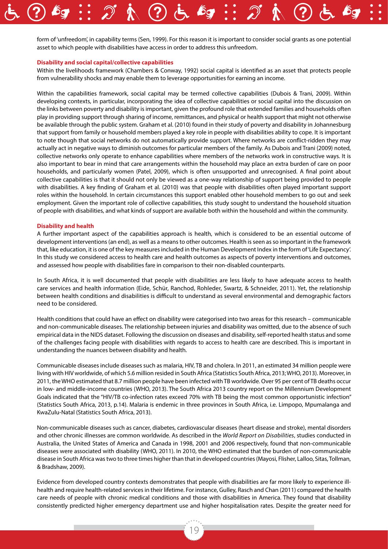form of 'unfreedom', in capability terms (Sen, 1999). For this reason it is important to consider social grants as one potential asset to which people with disabilities have access in order to address this unfreedom.

#### **Disability and social capital/collective capabilities**

Within the livelihoods framework (Chambers & Conway, 1992) social capital is identified as an asset that protects people from vulnerability shocks and may enable them to leverage opportunities for earning an income.

Within the capabilities framework, social capital may be termed collective capabilities (Dubois & Trani, 2009). Within developing contexts, in particular, incorporating the idea of collective capabilities or social capital into the discussion on the links between poverty and disability is important, given the profound role that extended families and households often play in providing support through sharing of income, remittances, and physical or health support that might not otherwise be available through the public system. Graham et al. (2010) found in their study of poverty and disability in Johannesburg that support from family or household members played a key role in people with disabilities ability to cope. It is important to note though that social networks do not automatically provide support. Where networks are conflict-ridden they may actually act in negative ways to diminish outcomes for particular members of the family. As Dubois and Trani (2009) noted, collective networks only operate to enhance capabilities where members of the networks work in constructive ways. It is also important to bear in mind that care arrangements within the household may place an extra burden of care on poor households, and particularly women (Patel, 2009), which is often unsupported and unrecognised. A final point about collective capabilities is that it should not only be viewed as a one-way relationship of support being provided to people with disabilities. A key finding of Graham et al. (2010) was that people with disabilities often played important support roles within the household. In certain circumstances this support enabled other household members to go out and seek employment. Given the important role of collective capabilities, this study sought to understand the household situation of people with disabilities, and what kinds of support are available both within the household and within the community.

#### **Disability and health**

A further important aspect of the capabilities approach is health, which is considered to be an essential outcome of development interventions (an end), as well as a means to other outcomes. Health is seen as so important in the framework that, like education, it is one of the key measures included in the Human Development Index in the form of 'Life Expectancy'. In this study we considered access to health care and health outcomes as aspects of poverty interventions and outcomes, and assessed how people with disabilities fare in comparison to their non-disabled counterparts.

In South Africa, it is well documented that people with disabilities are less likely to have adequate access to health care services and health information (Eide, Schür, Ranchod, Rohleder, Swartz, & Schneider, 2011). Yet, the relationship between health conditions and disabilities is difficult to understand as several environmental and demographic factors need to be considered.

Health conditions that could have an effect on disability were categorised into two areas for this research – communicable and non-communicable diseases. The relationship between injuries and disability was omitted, due to the absence of such empirical data in the NIDS dataset. Following the discussion on diseases and disability, self-reported health status and some of the challenges facing people with disabilities with regards to access to health care are described. This is important in understanding the nuances between disability and health.

Communicable diseases include diseases such as malaria, HIV, TB and cholera. In 2011, an estimated 34 million people were living with HIV worldwide, of which 5.6 million resided in South Africa (Statistics South Africa, 2013; WHO, 2013). Moreover, in 2011, the WHO estimated that 8.7 million people have been infected with TB worldwide. Over 95 per cent of TB deaths occur in low- and middle-income countries (WHO, 2013). The South Africa 2013 country report on the Millennium Development Goals indicated that the "HIV/TB co-infection rates exceed 70% with TB being the most common opportunistic infection" (Statistics South Africa, 2013, p.14). Malaria is endemic in three provinces in South Africa, i.e. Limpopo, Mpumalanga and KwaZulu-Natal (Statistics South Africa, 2013).

Non-communicable diseases such as cancer, diabetes, cardiovascular diseases (heart disease and stroke), mental disorders and other chronic illnesses are common worldwide. As described in the *World Report on Disabilities*, studies conducted in Australia, the United States of America and Canada in 1998, 2001 and 2006 respectively, found that non-communicable diseases were associated with disability (WHO, 2011). In 2010, the WHO estimated that the burden of non-communicable disease in South Africa was two to three times higher than that in developed countries (Mayosi, Flisher, Lalloo, Sitas, Tollman, & Bradshaw, 2009).

Evidence from developed country contexts demonstrates that people with disabilities are far more likely to experience illhealth and require health-related services in their lifetime. For instance, Gulley, Rasch and Chan (2011) compared the health care needs of people with chronic medical conditions and those with disabilities in America. They found that disability consistently predicted higher emergency department use and higher hospitalisation rates. Despite the greater need for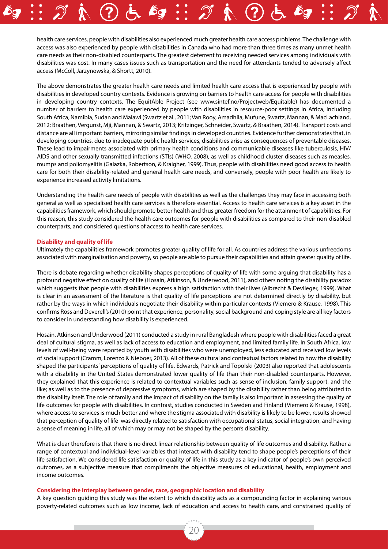health care services, people with disabilities also experienced much greater health care access problems. The challenge with access was also experienced by people with disabilities in Canada who had more than three times as many unmet health care needs as their non-disabled counterparts. The greatest deterrent to receiving needed services among individuals with disabilities was cost. In many cases issues such as transportation and the need for attendants tended to adversely affect access (McColl, Jarzynowska, & Shortt, 2010).

The above demonstrates the greater health care needs and limited health care access that is experienced by people with disabilities in developed country contexts. Evidence is growing on barriers to health care access for people with disabilities in developing country contexts. The EquitAble Project (see www.sintef.no/Projectweb/Equitable) has documented a number of barriers to health care experienced by people with disabilities in resource-poor settings in Africa, including South Africa, Namibia, Sudan and Malawi (Swartz et al., 2011; Van Rooy, Amadhila, Mufune, Swartz, Mannan, & MacLachland, 2012; Braathen, Vergunst, Mji, Mannan, & Swartz, 2013; Kritzinger, Schneider, Swartz, & Braathen, 2014). Transport costs and distance are all important barriers, mirroring similar findings in developed countries. Evidence further demonstrates that, in developing countries, due to inadequate public health services, disabilities arise as consequences of preventable diseases. These lead to impairments associated with primary health conditions and communicable diseases like tuberculosis, HIV/ AIDS and other sexually transmitted infections (STIs) (WHO, 2008), as well as childhood cluster diseases such as measles, mumps and poliomyelitis (Galazka, Robertson, & Kraigher, 1999). Thus, people with disabilities need good access to health care for both their disability-related and general health care needs, and conversely, people with poor health are likely to experience increased activity limitations.

Understanding the health care needs of people with disabilities as well as the challenges they may face in accessing both general as well as specialised health care services is therefore essential. Access to health care services is a key asset in the capabilities framework, which should promote better health and thus greater freedom for the attainment of capabilities. For this reason, this study considered the health care outcomes for people with disabilities as compared to their non-disabled counterparts, and considered questions of access to health care services.

#### **Disability and quality of life**

Ultimately the capabilities framework promotes greater quality of life for all. As countries address the various unfreedoms associated with marginalisation and poverty, so people are able to pursue their capabilities and attain greater quality of life.

There is debate regarding whether disability shapes perceptions of quality of life with some arguing that disability has a profound negative effect on quality of life (Hosain, Atkinson, & Underwood, 2011), and others noting the disability paradox which suggests that people with disabilities express a high satisfaction with their lives (Albrecht & Devlieger, 1999). What is clear in an assessment of the literature is that quality of life perceptions are not determined directly by disability, but rather by the ways in which individuals negotiate their disability within particular contexts (Viemero & Krause, 1998). This confirms Ross and Deverell's (2010) point that experience, personality, social background and coping style are all key factors to consider in understanding how disability is experienced.

Hosain, Atkinson and Underwood (2011) conducted a study in rural Bangladesh where people with disabilities faced a great deal of cultural stigma, as well as lack of access to education and employment, and limited family life. In South Africa, low levels of well-being were reported by youth with disabilities who were unemployed, less educated and received low levels of social support (Cramm, Lorenzo & Nieboer, 2013). All of these cultural and contextual factors related to how the disability shaped the participants' perceptions of quality of life. Edwards, Patrick and Topolski (2003) also reported that adolescents with a disability in the United States demonstrated lower quality of life than their non-disabled counterparts. However, they explained that this experience is related to contextual variables such as sense of inclusion, family support, and the like; as well as to the presence of depressive symptoms, which are shaped by the disability rather than being attributed to the disability itself. The role of family and the impact of disability on the family is also important in assessing the quality of life outcomes for people with disabilities. In contrast, studies conducted in Sweden and Finland (Viemero & Krause, 1998), where access to services is much better and where the stigma associated with disability is likely to be lower, results showed that perception of quality of life was directly related to satisfaction with occupational status, social integration, and having a sense of meaning in life, all of which may or may not be shaped by the person's disability.

What is clear therefore is that there is no direct linear relationship between quality of life outcomes and disability. Rather a range of contextual and individual-level variables that interact with disability tend to shape people's perceptions of their life satisfaction. We considered life satisfaction or quality of life in this study as a key indicator of people's own perceived outcomes, as a subjective measure that compliments the objective measures of educational, health, employment and income outcomes.

#### **Considering the interplay between gender, race, geographic location and disability**

A key question guiding this study was the extent to which disability acts as a compounding factor in explaining various poverty-related outcomes such as low income, lack of education and access to health care, and constrained quality of

20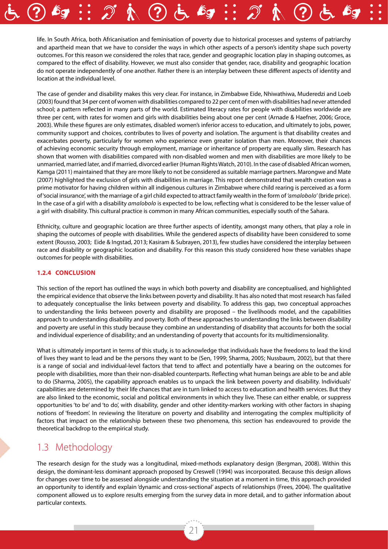life. In South Africa, both Africanisation and feminisation of poverty due to historical processes and systems of patriarchy and apartheid mean that we have to consider the ways in which other aspects of a person's identity shape such poverty outcomes. For this reason we considered the roles that race, gender and geographic location play in shaping outcomes, as compared to the effect of disability. However, we must also consider that gender, race, disability and geographic location do not operate independently of one another. Rather there is an interplay between these different aspects of identity and location at the individual level.

The case of gender and disability makes this very clear. For instance, in Zimbabwe Eide, Nhiwathiwa, Muderedzi and Loeb (2003) found that 34 per cent of women with disabilities compared to 22 per cent of men with disabilities had never attended school; a pattern reflected in many parts of the world. Estimated literacy rates for people with disabilities worldwide are three per cent, with rates for women and girls with disabilities being about one per cent (Arnade & Haefner, 2006; Groce, 2003). While these figures are only estimates, disabled women's inferior access to education, and ultimately to jobs, power, community support and choices, contributes to lives of poverty and isolation. The argument is that disability creates and exacerbates poverty, particularly for women who experience even greater isolation than men. Moreover, their chances of achieving economic security through employment, marriage or inheritance of property are equally slim. Research has shown that women with disabilities compared with non-disabled women and men with disabilities are more likely to be unmarried, married later, and if married, divorced earlier (Human Rights Watch, 2010). In the case of disabled African women, Kamga (2011) maintained that they are more likely to not be considered as suitable marriage partners. Marongwe and Mate (2007) highlighted the exclusion of girls with disabilities in marriage. This report demonstrated that wealth creation was a prime motivator for having children within all indigenous cultures in Zimbabwe where child rearing is perceived as a form of 'social insurance', with the marriage of a girl child expected to attract family wealth in the form of *'amalobolo'* (bride price). In the case of a girl with a disability *amalobolo* is expected to be low, reflecting what is considered to be the lesser value of a girl with disability. This cultural practice is common in many African communities, especially south of the Sahara.

Ethnicity, culture and geographic location are three further aspects of identity, amongst many others, that play a role in shaping the outcomes of people with disabilities. While the gendered aspects of disability have been considered to some extent (Rousso, 2003; Eide & Ingstad, 2013; Kasiram & Subrayen, 2013), few studies have considered the interplay between race and disability or geographic location and disability. For this reason this study considered how these variables shape outcomes for people with disabilities.

#### **1.2.4 Conclusion**

This section of the report has outlined the ways in which both poverty and disability are conceptualised, and highlighted the empirical evidence that observe the links between poverty and disability. It has also noted that most research has failed to adequately conceptualise the links between poverty and disability. To address this gap, two conceptual approaches to understanding the links between poverty and disability are proposed – the livelihoods model, and the capabilities approach to understanding disability and poverty. Both of these approaches to understanding the links between disability and poverty are useful in this study because they combine an understanding of disability that accounts for both the social and individual experience of disability; and an understanding of poverty that accounts for its multidimensionality.

What is ultimately important in terms of this study, is to acknowledge that individuals have the freedoms to lead the kind of lives they want to lead and be the persons they want to be (Sen, 1999; Sharma, 2005; Nussbaum, 2002), but that there is a range of social and individual-level factors that tend to affect and potentially have a bearing on the outcomes for people with disabilities, more than their non-disabled counterparts. Reflecting what human beings are able to be and able to do (Sharma, 2005), the capability approach enables us to unpack the link between poverty and disability. Individuals' capabilities are determined by their life chances that are in turn linked to access to education and health services. But they are also linked to the economic, social and political environments in which they live. These can either enable, or suppress opportunities 'to be' and 'to do', with disability, gender and other identity-markers working with other factors in shaping notions of 'freedom'. In reviewing the literature on poverty and disability and interrogating the complex multiplicity of factors that impact on the relationship between these two phenomena, this section has endeavoured to provide the theoretical backdrop to the empirical study.

### 1.3 Methodology

The research design for the study was a longitudinal, mixed-methods explanatory design (Bergman, 2008). Within this design, the dominant-less dominant approach proposed by Creswell (1994) was incorporated. Because this design allows for changes over time to be assessed alongside understanding the situation at a moment in time, this approach provided an opportunity to identify and explain 'dynamic and cross-sectional' aspects of relationships (Frees, 2004). The qualitative component allowed us to explore results emerging from the survey data in more detail, and to gather information about particular contexts.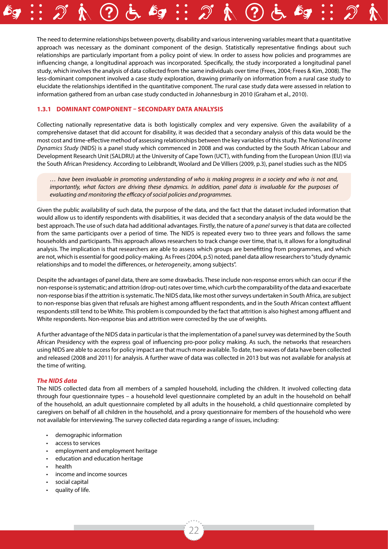The need to determine relationships between poverty, disability and various intervening variables meant that a quantitative approach was necessary as the dominant component of the design. Statistically representative findings about such relationships are particularly important from a policy point of view. In order to assess how policies and programmes are influencing change, a longitudinal approach was incorporated. Specifically, the study incorporated a longitudinal panel study, which involves the analysis of data collected from the same individuals over time (Frees, 2004; Frees & Kim, 2008). The less-dominant component involved a case study exploration, drawing primarily on information from a rural case study to elucidate the relationships identified in the quantitative component. The rural case study data were assessed in relation to information gathered from an urban case study conducted in Johannesburg in 2010 (Graham et al., 2010).

#### **1.3.1 Dominant component – secondary data analysis**

Collecting nationally representative data is both logistically complex and very expensive. Given the availability of a comprehensive dataset that did account for disability, it was decided that a secondary analysis of this data would be the most cost and time-effective method of assessing relationships between the key variables of this study. The *National Income Dynamics Study* (NIDS) is a panel study which commenced in 2008 and was conducted by the South African Labour and Development Research Unit (SALDRU) at the University of Cape Town (UCT), with funding from the European Union (EU) via the South African Presidency. According to Leibbrandt, Woolard and De Villiers (2009, p.3), panel studies such as the NIDS

*… have been invaluable in promoting understanding of who is making progress in a society and who is not and, importantly, what factors are driving these dynamics. In addition, panel data is invaluable for the purposes of evaluating and monitoring the efficacy of social policies and programmes.* 

Given the public availability of such data, the purpose of the data, and the fact that the dataset included information that would allow us to identify respondents with disabilities, it was decided that a secondary analysis of the data would be the best approach. The use of such data had additional advantages. Firstly, the nature of a *panel* survey is that data are collected from the same participants over a period of time. The NIDS is repeated every two to three years and follows the same households and participants. This approach allows researchers to track change over time, that is, it allows for a longitudinal analysis. The implication is that researchers are able to assess which groups are benefitting from programmes, and which are not, which is essential for good policy-making. As Frees (2004, p.5) noted, panel data allow researchers to "study dynamic relationships and to model the differences, or *heterogeneity*, among subjects".

Despite the advantages of panel data, there are some drawbacks. These include non-response errors which can occur if the non-response is systematic; and attrition (drop-out) rates over time, which curb the comparability of the data and exacerbate non-response bias if the attrition is systematic. The NIDS data, like most other surveys undertaken in South Africa, are subject to non-response bias given that refusals are highest among affluent respondents, and in the South African context affluent respondents still tend to be White. This problem is compounded by the fact that attrition is also highest among affluent and White respondents. Non-response bias and attrition were corrected by the use of weights.

A further advantage of the NIDS data in particular is that the implementation of a panel survey was determined by the South African Presidency with the express goal of influencing pro-poor policy making. As such, the networks that researchers using NIDS are able to access for policy impact are that much more available. To date, two waves of data have been collected and released (2008 and 2011) for analysis. A further wave of data was collected in 2013 but was not available for analysis at the time of writing.

#### *The NIDS data*

The NIDS collected data from all members of a sampled household, including the children. It involved collecting data through four questionnaire types – a household level questionnaire completed by an adult in the household on behalf of the household, an adult questionnaire completed by all adults in the household, a child questionnaire completed by caregivers on behalf of all children in the household, and a proxy questionnaire for members of the household who were not available for interviewing. The survey collected data regarding a range of issues, including:

- demographic information
- access to services
- employment and employment heritage
- education and education heritage
- health
- income and income sources
- social capital
- quality of life.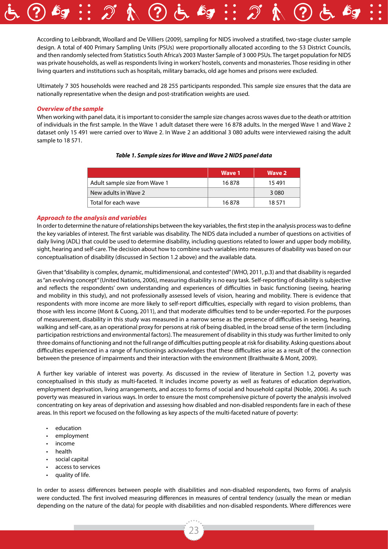According to Leibbrandt, Woollard and De Villiers (2009), sampling for NIDS involved a stratified, two-stage cluster sample design. A total of 400 Primary Sampling Units (PSUs) were proportionally allocated according to the 53 District Councils, and then randomly selected from Statistics South Africa's 2003 Master Sample of 3 000 PSUs. The target population for NIDS was private households, as well as respondents living in workers' hostels, convents and monasteries. Those residing in other living quarters and institutions such as hospitals, military barracks, old age homes and prisons were excluded.

Ultimately 7 305 households were reached and 28 255 participants responded. This sample size ensures that the data are nationally representative when the design and post-stratification weights are used.

#### *Overview of the sample*

When working with panel data, it is important to consider the sample size changes across waves due to the death or attrition of individuals in the first sample. In the Wave 1 adult dataset there were 16 878 adults. In the merged Wave 1 and Wave 2 dataset only 15 491 were carried over to Wave 2. In Wave 2 an additional 3 080 adults were interviewed raising the adult sample to 18 571.

|                               | Wave 1 | Wave 2  |
|-------------------------------|--------|---------|
| Adult sample size from Wave 1 | 16878  | 15491   |
| New adults in Wave 2          |        | 3 0 8 0 |
| Total for each wave           | 16878  | 18.571  |

#### *Table 1. Sample sizes for Wave and Wave 2 NIDS panel data*

#### *Approach to the analysis and variables*

In order to determine the nature of relationships between the key variables, the first step in the analysis process was to define the key variables of interest. The first variable was disability. The NIDS data included a number of questions on activities of daily living (ADL) that could be used to determine disability, including questions related to lower and upper body mobility, sight, hearing and self-care. The decision about how to combine such variables into measures of disability was based on our conceptualisation of disability (discussed in Section 1.2 above) and the available data.

Given that "disability is complex, dynamic, multidimensional, and contested" (WHO, 2011, p.3) and that disability is regarded as "an evolving concept" (United Nations, 2006), measuring disability is no easy task. Self-reporting of disability is subjective and reflects the respondents' own understanding and experiences of difficulties in basic functioning (seeing, hearing and mobility in this study), and not professionally assessed levels of vision, hearing and mobility. There is evidence that respondents with more income are more likely to self-report difficulties, especially with regard to vision problems, than those with less income (Mont & Cuong, 2011), and that moderate difficulties tend to be under-reported. For the purposes of measurement, disability in this study was measured in a narrow sense as the presence of difficulties in seeing, hearing, walking and self-care, as an operational proxy for persons at risk of being disabled, in the broad sense of the term (including participation restrictions and environmental factors). The measurement of disability in this study was further limited to only three domains of functioning and not the full range of difficulties putting people at risk for disability. Asking questions about difficulties experienced in a range of functionings acknowledges that these difficulties arise as a result of the connection between the presence of impairments and their interaction with the environment (Braithwaite & Mont, 2009).

A further key variable of interest was poverty. As discussed in the review of literature in Section 1.2, poverty was conceptualised in this study as multi-faceted. It includes income poverty as well as features of education deprivation, employment deprivation, living arrangements, and access to forms of social and household capital (Noble, 2006). As such poverty was measured in various ways. In order to ensure the most comprehensive picture of poverty the analysis involved concentrating on key areas of deprivation and assessing how disabled and non-disabled respondents fare in each of these areas. In this report we focused on the following as key aspects of the multi-faceted nature of poverty:

- education
- employment
- income
- health
- social capital
- access to services
- quality of life.

In order to assess differences between people with disabilities and non-disabled respondents, two forms of analysis were conducted. The first involved measuring differences in measures of central tendency (usually the mean or median depending on the nature of the data) for people with disabilities and non-disabled respondents. Where differences were

23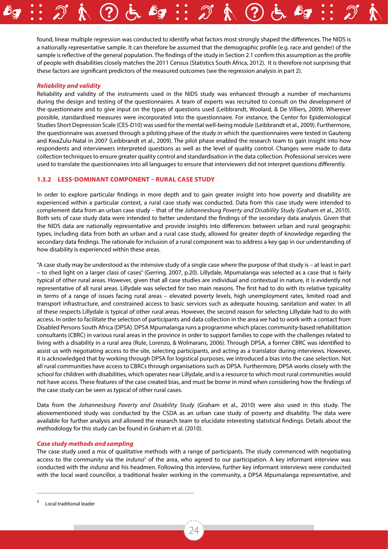found, linear multiple regression was conducted to identify what factors most strongly shaped the differences. The NIDS is a nationally representative sample. It can therefore be assumed that the demographic profile (e.g. race and gender) of the sample is reflective of the general population. The findings of the study in Section 2.1 confirm this assumption as the profile of people with disabilities closely matches the 2011 Census (Statistics South Africa, 2012). It is therefore not surprising that these factors are significant predictors of the measured outcomes (see the regression analysis in part 2).

#### *Reliability and validity*

Reliability and validity of the instruments used in the NIDS study was enhanced through a number of mechanisms during the design and testing of the questionnaires. A team of experts was recruited to consult on the development of the questionnaire and to give input on the types of questions used (Leibbrandt, Woolard, & De Villiers, 2009). Wherever possible, standardised measures were incorporated into the questionnaire. For instance, the Center for Epidemiological Studies Short Depression Scale (CES-D10) was used for the mental well-being module (Leibbrandt et al., 2009). Furthermore, the questionnaire was assessed through a piloting phase of the study in which the questionnaires were tested in Gauteng and KwaZulu-Natal in 2007 (Leibbrandt et al., 2009). The pilot phase enabled the research team to gain insight into how respondents and interviewers interpreted questions as well as the level of quality control. Changes were made to data collection techniques to ensure greater quality control and standardisation in the data collection. Professional services were used to translate the questionnaires into all languages to ensure that interviewers did not interpret questions differently.

#### **1.3.2 Less-dominant component – rural case study**

In order to explore particular findings in more depth and to gain greater insight into how poverty and disability are experienced within a particular context, a rural case study was conducted. Data from this case study were intended to complement data from an urban case study – that of the *Johannesburg Poverty and Disability Study* (Graham et al., 2010). Both sets of case study data were intended to better understand the findings of the secondary data analysis. Given that the NIDS data are nationally representative and provide insights into differences between urban and rural geographic types, including data from both an urban and a rural case study, allowed for greater depth of knowledge regarding the secondary data findings. The rationale for inclusion of a rural component was to address a key gap in our understanding of how disability is experienced within these areas.

"A case study may be understood as the intensive study of a single case where the purpose of that study is – at least in part – to shed light on a larger class of cases" (Gerring, 2007, p.20). Lillydale, Mpumalanga was selected as a case that is fairly typical of other rural areas. However, given that all case studies are individual and contextual in nature, it is evidently not representative of all rural areas. Lillydale was selected for two main reasons. The first had to do with its relative typicality in terms of a range of issues facing rural areas – elevated poverty levels, high unemployment rates, limited road and transport infrastructure, and constrained access to basic services such as adequate housing, sanitation and water. In all of these respects Lillydale is typical of other rural areas. However, the second reason for selecting Lillydale had to do with access. In order to facilitate the selection of participants and data collection in the area we had to work with a contact from Disabled Persons South Africa (DPSA). DPSA Mpumalanga runs a programme which places community-based rehabilitation consultants (CBRC) in various rural areas in the province in order to support families to cope with the challenges related to living with a disability in a rural area (Rule, Lorenzo, & Wolmarans, 2006). Through DPSA, a former CBRC was identified to assist us with negotiating access to the site, selecting participants, and acting as a translator during interviews. However, it is acknowledged that by working through DPSA for logistical purposes, we introduced a bias into the case selection. Not all rural communities have access to CBRCs through organisations such as DPSA. Furthermore, DPSA works closely with the school for children with disabilities, which operates near Lillydale, and is a resource to which most rural communities would not have access. These features of the case created bias, and must be borne in mind when considering how the findings of the case study can be seen as typical of other rural cases.

Data from the *Johannesburg Poverty and Disability Study* (Graham et al., 2010) were also used in this study. The abovementioned study was conducted by the CSDA as an urban case study of poverty and disability. The data were available for further analysis and allowed the research team to elucidate interesting statistical findings. Details about the methodology for this study can be found in Graham et al. (2010).

#### *Case study methods and sampling*

The case study used a mix of qualitative methods with a range of participants. The study commenced with negotiating access to the community via the *induna*<sup>5</sup> of the area, who agreed to our participation. A key informant interview was conducted with the *induna* and his headmen. Following this interview, further key informant interviews were conducted with the local ward councillor, a traditional healer working in the community, a DPSA Mpumalanga representative, and

Local traditional leader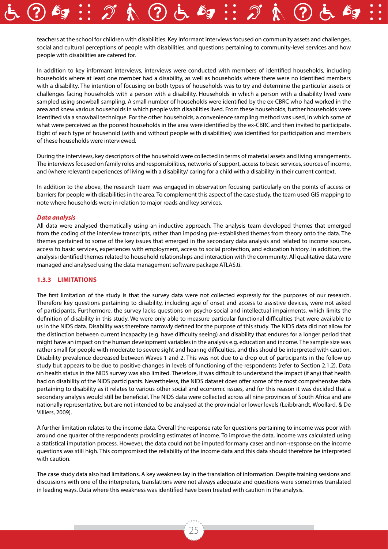teachers at the school for children with disabilities. Key informant interviews focused on community assets and challenges, social and cultural perceptions of people with disabilities, and questions pertaining to community-level services and how people with disabilities are catered for.

In addition to key informant interviews, interviews were conducted with members of identified households, including households where at least one member had a disability, as well as households where there were no identified members with a disability. The intention of focusing on both types of households was to try and determine the particular assets or challenges facing households with a person with a disability. Households in which a person with a disability lived were sampled using snowball sampling. A small number of households were identified by the ex-CBRC who had worked in the area and knew various households in which people with disabilities lived. From these households, further households were identified via a snowball technique. For the other households, a convenience sampling method was used, in which some of what were perceived as the poorest households in the area were identified by the ex-CBRC and then invited to participate. Eight of each type of household (with and without people with disabilities) was identified for participation and members of these households were interviewed.

During the interviews, key descriptors of the household were collected in terms of material assets and living arrangements. The interviews focused on family roles and responsibilities, networks of support, access to basic services, sources of income, and (where relevant) experiences of living with a disability/ caring for a child with a disability in their current context.

In addition to the above, the research team was engaged in observation focusing particularly on the points of access or barriers for people with disabilities in the area. To complement this aspect of the case study, the team used GIS mapping to note where households were in relation to major roads and key services.

#### *Data analysis*

All data were analysed thematically using an inductive approach. The analysis team developed themes that emerged from the coding of the interview transcripts, rather than imposing pre-established themes from theory onto the data. The themes pertained to some of the key issues that emerged in the secondary data analysis and related to income sources, access to basic services, experiences with employment, access to social protection, and education history. In addition, the analysis identified themes related to household relationships and interaction with the community. All qualitative data were managed and analysed using the data management software package ATLAS.ti.

#### **1.3.3 Limitations**

The first limitation of the study is that the survey data were not collected expressly for the purposes of our research. Therefore key questions pertaining to disability, including age of onset and access to assistive devices, were not asked of participants. Furthermore, the survey lacks questions on psycho-social and intellectual impairments, which limits the definition of disability in this study. We were only able to measure particular functional difficulties that were available to us in the NIDS data. Disability was therefore narrowly defined for the purpose of this study. The NIDS data did not allow for the distinction between current incapacity (e.g. have difficulty seeing) and disability that endures for a longer period that might have an impact on the human development variables in the analysis e.g. education and income. The sample size was rather small for people with moderate to severe sight and hearing difficulties, and this should be interpreted with caution. Disability prevalence decreased between Waves 1 and 2. This was not due to a drop out of participants in the follow up study but appears to be due to positive changes in levels of functioning of the respondents (refer to Section 2.1.2). Data on health status in the NIDS survey was also limited. Therefore, it was difficult to understand the impact (if any) that health had on disability of the NIDS participants. Nevertheless, the NIDS dataset does offer some of the most comprehensive data pertaining to disability as it relates to various other social and economic issues, and for this reason it was decided that a secondary analysis would still be beneficial. The NIDS data were collected across all nine provinces of South Africa and are nationally representative, but are not intended to be analysed at the provincial or lower levels (Leibbrandt, Woollard, & De Villiers, 2009).

A further limitation relates to the income data. Overall the response rate for questions pertaining to income was poor with around one quarter of the respondents providing estimates of income. To improve the data, income was calculated using a statistical imputation process. However, the data could not be imputed for many cases and non-response on the income questions was still high. This compromised the reliability of the income data and this data should therefore be interpreted with caution.

The case study data also had limitations. A key weakness lay in the translation of information. Despite training sessions and discussions with one of the interpreters, translations were not always adequate and questions were sometimes translated in leading ways. Data where this weakness was identified have been treated with caution in the analysis.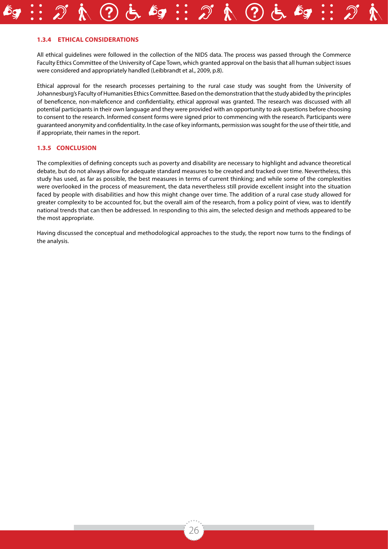#### **1.3.4 Ethical considerations**

All ethical guidelines were followed in the collection of the NIDS data. The process was passed through the Commerce Faculty Ethics Committee of the University of Cape Town, which granted approval on the basis that all human subject issues were considered and appropriately handled (Leibbrandt et al., 2009, p.8).

Ethical approval for the research processes pertaining to the rural case study was sought from the University of Johannesburg's Faculty of Humanities Ethics Committee. Based on the demonstration that the study abided by the principles of beneficence, non-maleficence and confidentiality, ethical approval was granted. The research was discussed with all potential participants in their own language and they were provided with an opportunity to ask questions before choosing to consent to the research. Informed consent forms were signed prior to commencing with the research. Participants were guaranteed anonymity and confidentiality. In the case of key informants, permission was sought for the use of their title, and if appropriate, their names in the report.

#### **1.3.5 Conclusion**

The complexities of defining concepts such as poverty and disability are necessary to highlight and advance theoretical debate, but do not always allow for adequate standard measures to be created and tracked over time. Nevertheless, this study has used, as far as possible, the best measures in terms of current thinking; and while some of the complexities were overlooked in the process of measurement, the data nevertheless still provide excellent insight into the situation faced by people with disabilities and how this might change over time. The addition of a rural case study allowed for greater complexity to be accounted for, but the overall aim of the research, from a policy point of view, was to identify national trends that can then be addressed. In responding to this aim, the selected design and methods appeared to be the most appropriate.

Having discussed the conceptual and methodological approaches to the study, the report now turns to the findings of the analysis.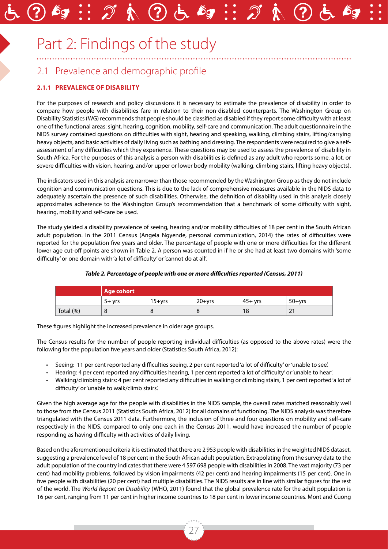# Part 2: Findings of the study

# 2.1 Prevalence and demographic profile

### **2.1.1 Prevalence of disability**

For the purposes of research and policy discussions it is necessary to estimate the prevalence of disability in order to compare how people with disabilities fare in relation to their non-disabled counterparts. The Washington Group on Disability Statistics (WG) recommends that people should be classified as disabled if they report some difficulty with at least one of the functional areas: sight, hearing, cognition, mobility, self-care and communication. The adult questionnaire in the NIDS survey contained questions on difficulties with sight, hearing and speaking, walking, climbing stairs, lifting/carrying heavy objects, and basic activities of daily living such as bathing and dressing. The respondents were required to give a selfassessment of any difficulties which they experience. These questions may be used to assess the prevalence of disability in South Africa. For the purposes of this analysis a person with disabilities is defined as any adult who reports some, a lot, or severe difficulties with vision, hearing, and/or upper or lower body mobility (walking, climbing stairs, lifting heavy objects).

The indicators used in this analysis are narrower than those recommended by the Washington Group as they do not include cognition and communication questions. This is due to the lack of comprehensive measures available in the NIDS data to adequately ascertain the presence of such disabilities. Otherwise, the definition of disability used in this analysis closely approximates adherence to the Washington Group's recommendation that a benchmark of some difficulty with sight, hearing, mobility and self-care be used.

The study yielded a disability prevalence of seeing, hearing and/or mobility difficulties of 18 per cent in the South African adult population. In the 2011 Census (Angela Ngyende, personal communication, 2014) the rates of difficulties were reported for the population five years and older. The percentage of people with one or more difficulties for the different lower age cut-off points are shown in Table 2. A person was counted in if he or she had at least two domains with 'some difficulty' or one domain with 'a lot of difficulty' or 'cannot do at all'.

| Table 2. Percentage of people with one or more difficulties reported (Census, 2011) |  |  |
|-------------------------------------------------------------------------------------|--|--|
|                                                                                     |  |  |

|           | Age cohort |            |          |           |                          |
|-----------|------------|------------|----------|-----------|--------------------------|
|           | $5+$ vrs   | $15 + yrs$ | $20+vrs$ | $45+$ vrs | $50+vrs$                 |
| Total (%) |            | Ö          | 8        | 18        | $\mathbf{\hat{}}$<br>∠ । |

These figures highlight the increased prevalence in older age groups.

The Census results for the number of people reporting individual difficulties (as opposed to the above rates) were the following for the population five years and older (Statistics South Africa, 2012):

- Seeing: 11 per cent reported any difficulties seeing, 2 per cent reported 'a lot of difficulty' or 'unable to see'.
- Hearing: 4 per cent reported any difficulties hearing, 1 per cent reported 'a lot of difficulty' or 'unable to hear'.
- Walking/climbing stairs: 4 per cent reported any difficulties in walking or climbing stairs, 1 per cent reported 'a lot of difficulty' or 'unable to walk/climb stairs'.

Given the high average age for the people with disabilities in the NIDS sample, the overall rates matched reasonably well to those from the Census 2011 (Statistics South Africa, 2012) for all domains of functioning. The NIDS analysis was therefore triangulated with the Census 2011 data. Furthermore, the inclusion of three and four questions on mobility and self-care respectively in the NIDS, compared to only one each in the Census 2011, would have increased the number of people responding as having difficulty with activities of daily living.

Based on the aforementioned criteria it is estimated that there are 2 953 people with disabilities in the weighted NIDS dataset, suggesting a prevalence level of 18 per cent in the South African adult population. Extrapolating from the survey data to the adult population of the country indicates that there were 4 597 698 people with disabilities in 2008. The vast majority (73 per cent) had mobility problems, followed by vision impairments (42 per cent) and hearing impairments (15 per cent). One in five people with disabilities (20 per cent) had multiple disabilities. The NIDS results are in line with similar figures for the rest of the world. The *World Report on Disability* (WHO, 2011) found that the global prevalence rate for the adult population is 16 per cent, ranging from 11 per cent in higher income countries to 18 per cent in lower income countries. Mont and Cuong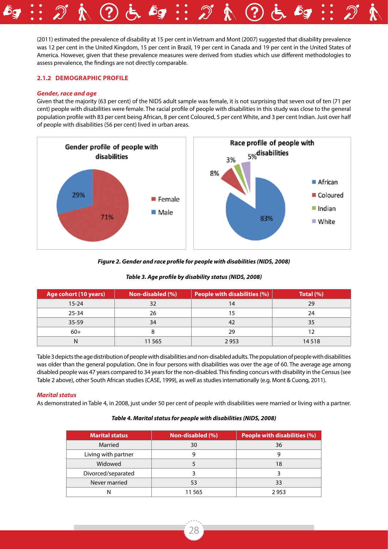(2011) estimated the prevalence of disability at 15 per cent in Vietnam and Mont (2007) suggested that disability prevalence was 12 per cent in the United Kingdom, 15 per cent in Brazil, 19 per cent in Canada and 19 per cent in the United States of America. However, given that these prevalence measures were derived from studies which use different methodologies to assess prevalence, the findings are not directly comparable.

#### **2.1.2 Demographic profile**

#### *Gender, race and age*

Given that the majority (63 per cent) of the NIDS adult sample was female, it is not surprising that seven out of ten (71 per cent) people with disabilities were female. The racial profile of people with disabilities in this study was close to the general population profile with 83 per cent being African, 8 per cent Coloured, 5 per cent White, and 3 per cent Indian. Just over half of people with disabilities (56 per cent) lived in urban areas.



#### *Figure 2. Gender and race profile for people with disabilities (NIDS, 2008)*

#### *Table 3. Age profile by disability status (NIDS, 2008)*

| Age cohort (10 years) | Non-disabled (%) | <b>People with disabilities (%)</b> | Total $(\%)$ |
|-----------------------|------------------|-------------------------------------|--------------|
| $15 - 24$             | 32               | 14                                  | 29           |
| $25 - 34$             | 26               | 15                                  | 24           |
| $35 - 59$             | 34               | 42                                  | 35           |
| $60+$                 |                  | 29                                  | 12           |
| N                     | 11 5 65          | 2953                                | 14 5 18      |

Table 3 depicts the age distribution of people with disabilities and non-disabled adults. The population of people with disabilities was older than the general population. One in four persons with disabilities was over the age of 60. The average age among disabled people was 47 years compared to 34 years for the non-disabled. This finding concurs with disability in the Census (see Table 2 above), other South African studies (CASE, 1999), as well as studies internationally (e.g. Mont & Cuong, 2011).

#### *Marital status*

As demonstrated in Table 4, in 2008, just under 50 per cent of people with disabilities were married or living with a partner.

#### *Table 4. Marital status for people with disabilities (NIDS, 2008)*

| <b>Marital status</b> | Non-disabled (%) | <b>People with disabilities (%)</b> |
|-----------------------|------------------|-------------------------------------|
| Married               | 30               | 36                                  |
| Living with partner   |                  |                                     |
| Widowed               |                  | 18                                  |
| Divorced/separated    |                  |                                     |
| Never married         |                  | 33                                  |
| N                     | 11 565           | 2 953                               |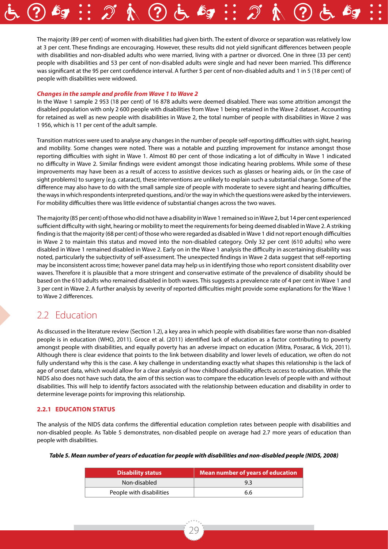The majority (89 per cent) of women with disabilities had given birth. The extent of divorce or separation was relatively low at 3 per cent. These findings are encouraging. However, these results did not yield significant differences between people with disabilities and non-disabled adults who were married, living with a partner or divorced. One in three (33 per cent) people with disabilities and 53 per cent of non-disabled adults were single and had never been married. This difference was significant at the 95 per cent confidence interval. A further 5 per cent of non-disabled adults and 1 in 5 (18 per cent) of people with disabilities were widowed.

#### *Changes in the sample and profile from Wave 1 to Wave 2*

In the Wave 1 sample 2 953 (18 per cent) of 16 878 adults were deemed disabled. There was some attrition amongst the disabled population with only 2 600 people with disabilities from Wave 1 being retained in the Wave 2 dataset. Accounting for retained as well as new people with disabilities in Wave 2, the total number of people with disabilities in Wave 2 was 1 956, which is 11 per cent of the adult sample.

Transition matrices were used to analyse any changes in the number of people self-reporting difficulties with sight, hearing and mobility. Some changes were noted. There was a notable and puzzling improvement for instance amongst those reporting difficulties with sight in Wave 1. Almost 80 per cent of those indicating a lot of difficulty in Wave 1 indicated no difficulty in Wave 2. Similar findings were evident amongst those indicating hearing problems. While some of these improvements may have been as a result of access to assistive devices such as glasses or hearing aids, or (in the case of sight problems) to surgery (e.g. cataract), these interventions are unlikely to explain such a substantial change. Some of the difference may also have to do with the small sample size of people with moderate to severe sight and hearing difficulties, the ways in which respondents interpreted questions, and/or the way in which the questions were asked by the interviewers. For mobility difficulties there was little evidence of substantial changes across the two waves.

The majority (85 per cent) of those who did not have a disability in Wave 1 remained so in Wave 2, but 14 per cent experienced sufficient difficulty with sight, hearing or mobility to meet the requirements for being deemed disabled in Wave 2. A striking finding is that the majority (68 per cent) of those who were regarded as disabled in Wave 1 did not report enough difficulties in Wave 2 to maintain this status and moved into the non-disabled category. Only 32 per cent (610 adults) who were disabled in Wave 1 remained disabled in Wave 2. Early on in the Wave 1 analysis the difficulty in ascertaining disability was noted, particularly the subjectivity of self-assessment. The unexpected findings in Wave 2 data suggest that self-reporting may be inconsistent across time; however panel data may help us in identifying those who report consistent disability over waves. Therefore it is plausible that a more stringent and conservative estimate of the prevalence of disability should be based on the 610 adults who remained disabled in both waves. This suggests a prevalence rate of 4 per cent in Wave 1 and 3 per cent in Wave 2. A further analysis by severity of reported difficulties might provide some explanations for the Wave 1 to Wave 2 differences.

### 2.2 Education

As discussed in the literature review (Section 1.2), a key area in which people with disabilities fare worse than non-disabled people is in education (WHO, 2011). Groce et al. (2011) identified lack of education as a factor contributing to poverty amongst people with disabilities, and equally poverty has an adverse impact on education (Mitra, Posarac, & Vick, 2011). Although there is clear evidence that points to the link between disability and lower levels of education, we often do not fully understand why this is the case. A key challenge in understanding exactly what shapes this relationship is the lack of age of onset data, which would allow for a clear analysis of how childhood disability affects access to education. While the NIDS also does not have such data, the aim of this section was to compare the education levels of people with and without disabilities. This will help to identify factors associated with the relationship between education and disability in order to determine leverage points for improving this relationship.

#### **2.2.1 Education status**

The analysis of the NIDS data confirms the differential education completion rates between people with disabilities and non-disabled people. As Table 5 demonstrates, non-disabled people on average had 2.7 more years of education than people with disabilities.

|  |  |  | Table 5. Mean number of years of education for people with disabilities and non-disabled people (NIDS, 2008) |
|--|--|--|--------------------------------------------------------------------------------------------------------------|
|--|--|--|--------------------------------------------------------------------------------------------------------------|

| <b>Disability status</b> | <b>Mean number of years of education</b> |
|--------------------------|------------------------------------------|
| Non-disabled             | 93                                       |
| People with disabilities | 6.6                                      |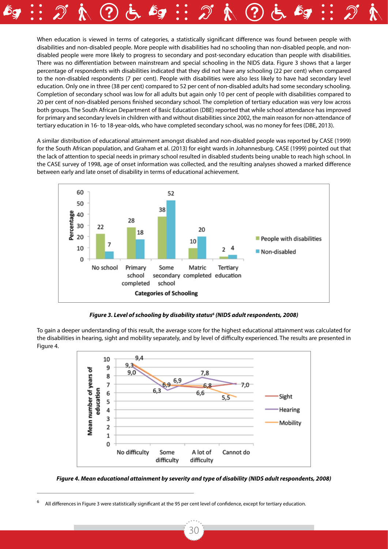When education is viewed in terms of categories, a statistically significant difference was found between people with disabilities and non-disabled people. More people with disabilities had no schooling than non-disabled people, and nondisabled people were more likely to progress to secondary and post-secondary education than people with disabilities. There was no differentiation between mainstream and special schooling in the NIDS data. Figure 3 shows that a larger percentage of respondents with disabilities indicated that they did not have any schooling (22 per cent) when compared to the non-disabled respondents (7 per cent). People with disabilities were also less likely to have had secondary level education. Only one in three (38 per cent) compared to 52 per cent of non-disabled adults had some secondary schooling. Completion of secondary school was low for all adults but again only 10 per cent of people with disabilities compared to 20 per cent of non-disabled persons finished secondary school. The completion of tertiary education was very low across both groups. The South African Department of Basic Education (DBE) reported that while school attendance has improved for primary and secondary levels in children with and without disabilities since 2002, the main reason for non-attendance of tertiary education in 16- to 18-year-olds, who have completed secondary school, was no money for fees (DBE, 2013).

A similar distribution of educational attainment amongst disabled and non-disabled people was reported by CASE (1999) for the South African population, and Graham et al. (2013) for eight wards in Johannesburg. CASE (1999) pointed out that the lack of attention to special needs in primary school resulted in disabled students being unable to reach high school. In the CASE survey of 1998, age of onset information was collected, and the resulting analyses showed a marked difference between early and late onset of disability in terms of educational achievement.



*Figure 3. Level of schooling by disability status6 (NIDS adult respondents, 2008)*

To gain a deeper understanding of this result, the average score for the highest educational attainment was calculated for the disabilities in hearing, sight and mobility separately, and by level of difficulty experienced. The results are presented in Figure 4.



*Figure 4. Mean educational attainment by severity and type of disability (NIDS adult respondents, 2008)*

<sup>6</sup> All differences in Figure 3 were statistically significant at the 95 per cent level of confidence, except for tertiary education.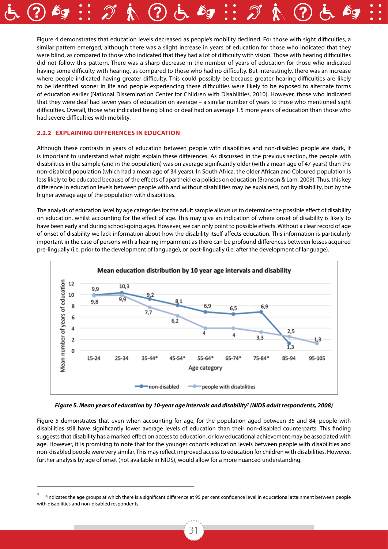Figure 4 demonstrates that education levels decreased as people's mobility declined. For those with sight difficulties, a similar pattern emerged, although there was a slight increase in years of education for those who indicated that they were blind, as compared to those who indicated that they had a lot of difficulty with vision. Those with hearing difficulties did not follow this pattern. There was a sharp decrease in the number of years of education for those who indicated having some difficulty with hearing, as compared to those who had no difficulty. But interestingly, there was an increase where people indicated having greater difficulty. This could possibly be because greater hearing difficulties are likely to be identified sooner in life and people experiencing these difficulties were likely to be exposed to alternate forms of education earlier (National Dissemination Center for Children with Disabilities, 2010). However, those who indicated that they were deaf had seven years of education on average – a similar number of years to those who mentioned sight difficulties. Overall, those who indicated being blind or deaf had on average 1.5 more years of education than those who had severe difficulties with mobility.

#### **2.2.2 Explaining differences in education**

Although these contrasts in years of education between people with disabilities and non-disabled people are stark, it is important to understand what might explain these differences. As discussed in the previous section, the people with disabilities in the sample (and in the population) was on average significantly older (with a mean age of 47 years) than the non-disabled population (which had a mean age of 34 years). In South Africa, the older African and Coloured population is less likely to be educated because of the effects of apartheid era policies on education (Branson & Lam, 2009). Thus, this key difference in education levels between people with and without disabilities may be explained, not by disability, but by the higher average age of the population with disabilities.

The analysis of education level by age categories for the adult sample allows us to determine the possible effect of disability on education, whilst accounting for the effect of age. This may give an indication of where onset of disability is likely to have been early and during school-going ages. However, we can only point to possible effects. Without a clear record of age of onset of disability we lack information about how the disability itself affects education. This information is particularly important in the case of persons with a hearing impairment as there can be profound differences between losses acquired pre-lingually (i.e. prior to the development of language), or post-lingually (i.e. after the development of language).



*Figure 5. Mean years of education by 10-year age intervals and disability7 (NIDS adult respondents, 2008)*

Figure 5 demonstrates that even when accounting for age, for the population aged between 35 and 84, people with disabilities still have significantly lower average levels of education than their non-disabled counterparts. This finding suggests that disability has a marked effect on access to education, or low educational achievement may be associated with age. However, it is promising to note that for the younger cohorts education levels between people with disabilities and non-disabled people were very similar. This may reflect improved access to education for children with disabilities. However, further analysis by age of onset (not available in NIDS), would allow for a more nuanced understanding.

<sup>7</sup> \*Indicates the age groups at which there is a significant difference at 95 per cent confidence level in educational attainment between people with disabilities and non-disabled respondents.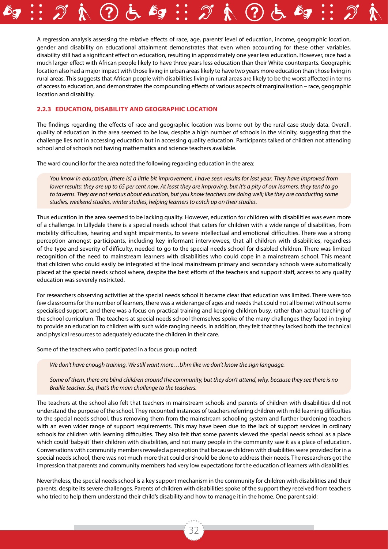A regression analysis assessing the relative effects of race, age, parents' level of education, income, geographic location, gender and disability on educational attainment demonstrates that even when accounting for these other variables, disability still had a significant effect on education, resulting in approximately one year less education. However, race had a much larger effect with African people likely to have three years less education than their White counterparts. Geographic location also had a major impact with those living in urban areas likely to have two years more education than those living in rural areas. This suggests that African people with disabilities living in rural areas are likely to be the worst affected in terms of access to education, and demonstrates the compounding effects of various aspects of marginalisation – race, geographic location and disability.

#### **2.2.3 Education, disability and geographic location**

The findings regarding the effects of race and geographic location was borne out by the rural case study data. Overall, quality of education in the area seemed to be low, despite a high number of schools in the vicinity, suggesting that the challenge lies not in accessing education but in accessing quality education. Participants talked of children not attending school and of schools not having mathematics and science teachers available.

The ward councillor for the area noted the following regarding education in the area:

*You know in education, [there is] a little bit improvement. I have seen results for last year. They have improved from lower results; they are up to 65 per cent now. At least they are improving, but it's a pity of our learners, they tend to go to taverns. They are not serious about education, but you know teachers are doing well; like they are conducting some studies, weekend studies, winter studies, helping learners to catch up on their studies.*

Thus education in the area seemed to be lacking quality. However, education for children with disabilities was even more of a challenge. In Lillydale there is a special needs school that caters for children with a wide range of disabilities, from mobility difficulties, hearing and sight impairments, to severe intellectual and emotional difficulties. There was a strong perception amongst participants, including key informant interviewees, that all children with disabilities, regardless of the type and severity of difficulty, needed to go to the special needs school for disabled children. There was limited recognition of the need to mainstream learners with disabilities who could cope in a mainstream school. This meant that children who could easily be integrated at the local mainstream primary and secondary schools were automatically placed at the special needs school where, despite the best efforts of the teachers and support staff, access to any quality education was severely restricted.

For researchers observing activities at the special needs school it became clear that education was limited. There were too few classrooms for the number of learners, there was a wide range of ages and needs that could not all be met without some specialised support, and there was a focus on practical training and keeping children busy, rather than actual teaching of the school curriculum. The teachers at special needs school themselves spoke of the many challenges they faced in trying to provide an education to children with such wide ranging needs. In addition, they felt that they lacked both the technical and physical resources to adequately educate the children in their care.

Some of the teachers who participated in a focus group noted:

*We don't have enough training. We still want more…Uhm like we don't know the sign language.*

*Some of them, there are blind children around the community, but they don't attend, why, because they see there is no Braille teacher. So, that's the main challenge to the teachers.*

The teachers at the school also felt that teachers in mainstream schools and parents of children with disabilities did not understand the purpose of the school. They recounted instances of teachers referring children with mild learning difficulties to the special needs school, thus removing them from the mainstream schooling system and further burdening teachers with an even wider range of support requirements. This may have been due to the lack of support services in ordinary schools for children with learning difficulties. They also felt that some parents viewed the special needs school as a place which could 'babysit' their children with disabilities, and not many people in the community saw it as a place of education. Conversations with community members revealed a perception that because children with disabilities were provided for in a special needs school, there was not much more that could or should be done to address their needs. The researchers got the impression that parents and community members had very low expectations for the education of learners with disabilities.

Nevertheless, the special needs school is a key support mechanism in the community for children with disabilities and their parents, despite its severe challenges. Parents of children with disabilities spoke of the support they received from teachers who tried to help them understand their child's disability and how to manage it in the home. One parent said: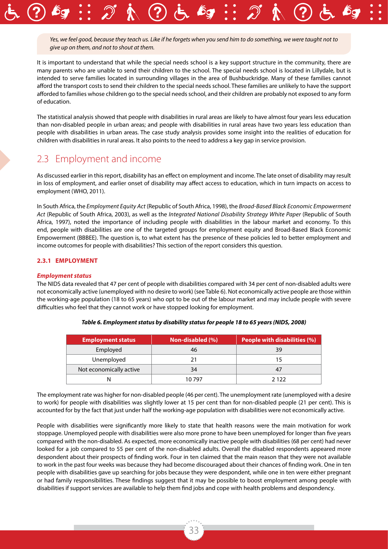*Yes, we feel good, because they teach us. Like if he forgets when you send him to do something, we were taught not to give up on them, and not to shout at them.*

It is important to understand that while the special needs school is a key support structure in the community, there are many parents who are unable to send their children to the school. The special needs school is located in Lillydale, but is intended to serve families located in surrounding villages in the area of Bushbuckridge. Many of these families cannot afford the transport costs to send their children to the special needs school. These families are unlikely to have the support afforded to families whose children go to the special needs school, and their children are probably not exposed to any form of education.

The statistical analysis showed that people with disabilities in rural areas are likely to have almost four years less education than non-disabled people in urban areas; and people with disabilities in rural areas have two years less education than people with disabilities in urban areas. The case study analysis provides some insight into the realities of education for children with disabilities in rural areas. It also points to the need to address a key gap in service provision.

### 2.3 Employment and income

As discussed earlier in this report, disability has an effect on employment and income. The late onset of disability may result in loss of employment, and earlier onset of disability may affect access to education, which in turn impacts on access to employment (WHO, 2011).

In South Africa, the *Employment Equity Act* (Republic of South Africa, 1998), the *Broad-Based Black Economic Empowerment Act* (Republic of South Africa, 2003), as well as the *Integrated National Disability Strategy White Paper* (Republic of South Africa, 1997), noted the importance of including people with disabilities in the labour market and economy. To this end, people with disabilities are one of the targeted groups for employment equity and Broad-Based Black Economic Empowerment (BBBEE). The question is, to what extent has the presence of these policies led to better employment and income outcomes for people with disabilities? This section of the report considers this question.

#### **2.3.1 Employment**

#### *Employment status*

The NIDS data revealed that 47 per cent of people with disabilities compared with 34 per cent of non-disabled adults were not economically active (unemployed with no desire to work) (see Table 6). Not economically active people are those within the working-age population (18 to 65 years) who opt to be out of the labour market and may include people with severe difficulties who feel that they cannot work or have stopped looking for employment.

| <b>Employment status</b> | Non-disabled (%) | <b>People with disabilities (%)</b> |
|--------------------------|------------------|-------------------------------------|
| Employed                 | 46               | 39                                  |
| Unemployed               |                  |                                     |
| Not economically active  | 34               | 47                                  |
|                          | 10 797           | 2 1 2 2                             |

*Table 6. Employment status by disability status for people 18 to 65 years (NIDS, 2008)*

The employment rate was higher for non-disabled people (46 per cent). The unemployment rate (unemployed with a desire to work) for people with disabilities was slightly lower at 15 per cent than for non-disabled people (21 per cent). This is accounted for by the fact that just under half the working-age population with disabilities were not economically active.

People with disabilities were significantly more likely to state that health reasons were the main motivation for work stoppage. Unemployed people with disabilities were also more prone to have been unemployed for longer than five years compared with the non-disabled. As expected, more economically inactive people with disabilities (68 per cent) had never looked for a job compared to 55 per cent of the non-disabled adults. Overall the disabled respondents appeared more despondent about their prospects of finding work. Four in ten claimed that the main reason that they were not available to work in the past four weeks was because they had become discouraged about their chances of finding work. One in ten people with disabilities gave up searching for jobs because they were despondent, while one in ten were either pregnant or had family responsibilities. These findings suggest that it may be possible to boost employment among people with disabilities if support services are available to help them find jobs and cope with health problems and despondency.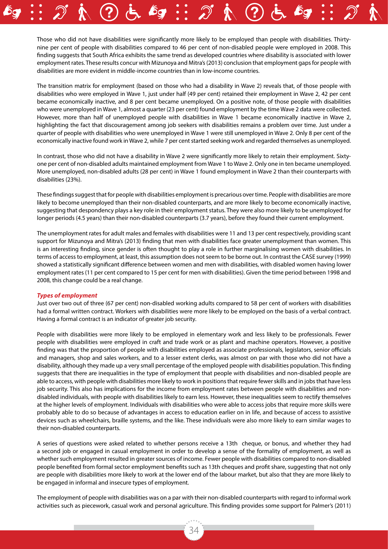Those who did not have disabilities were significantly more likely to be employed than people with disabilities. Thirtynine per cent of people with disabilities compared to 46 per cent of non-disabled people were employed in 2008. This finding suggests that South Africa exhibits the same trend as developed countries where disability is associated with lower employment rates. These results concur with Mizunoya and Mitra's (2013) conclusion that employment gaps for people with disabilities are more evident in middle-income countries than in low-income countries.

The transition matrix for employment (based on those who had a disability in Wave 2) reveals that, of those people with disabilities who were employed in Wave 1, just under half (49 per cent) retained their employment in Wave 2, 42 per cent became economically inactive, and 8 per cent became unemployed. On a positive note, of those people with disabilities who were unemployed in Wave 1, almost a quarter (23 per cent) found employment by the time Wave 2 data were collected. However, more than half of unemployed people with disabilities in Wave 1 became economically inactive in Wave 2, highlighting the fact that discouragement among job seekers with disabilities remains a problem over time. Just under a quarter of people with disabilities who were unemployed in Wave 1 were still unemployed in Wave 2. Only 8 per cent of the economically inactive found work in Wave 2, while 7 per cent started seeking work and regarded themselves as unemployed.

In contrast, those who did not have a disability in Wave 2 were significantly more likely to retain their employment. Sixtyone per cent of non-disabled adults maintained employment from Wave 1 to Wave 2. Only one in ten became unemployed. More unemployed, non-disabled adults (28 per cent) in Wave 1 found employment in Wave 2 than their counterparts with disabilities (23%).

These findings suggest that for people with disabilities employment is precarious over time. People with disabilities are more likely to become unemployed than their non-disabled counterparts, and are more likely to become economically inactive, suggesting that despondency plays a key role in their employment status. They were also more likely to be unemployed for longer periods (4.5 years) than their non-disabled counterparts (3.7 years), before they found their current employment.

The unemployment rates for adult males and females with disabilities were 11 and 13 per cent respectively, providing scant support for Mizunoya and Mitra's (2013) finding that men with disabilities face greater unemployment than women. This is an interesting finding, since gender is often thought to play a role in further marginalising women with disabilities. In terms of access to employment, at least, this assumption does not seem to be borne out. In contrast the CASE survey (1999) showed a statistically significant difference between women and men with disabilities, with disabled women having lower employment rates (11 per cent compared to 15 per cent for men with disabilities). Given the time period between 1998 and 2008, this change could be a real change.

#### *Types of employment*

Just over two out of three (67 per cent) non-disabled working adults compared to 58 per cent of workers with disabilities had a formal written contract. Workers with disabilities were more likely to be employed on the basis of a verbal contract. Having a formal contract is an indicator of greater job security.

People with disabilities were more likely to be employed in elementary work and less likely to be professionals. Fewer people with disabilities were employed in craft and trade work or as plant and machine operators. However, a positive finding was that the proportion of people with disabilities employed as associate professionals, legislators, senior officials and managers, shop and sales workers, and to a lesser extent clerks, was almost on par with those who did not have a disability, although they made up a very small percentage of the employed people with disabilities population. This finding suggests that there are inequalities in the type of employment that people with disabilities and non-disabled people are able to access, with people with disabilities more likely to work in positions that require fewer skills and in jobs that have less job security. This also has implications for the income from employment rates between people with disabilities and nondisabled individuals, with people with disabilities likely to earn less. However, these inequalities seem to rectify themselves at the higher levels of employment. Individuals with disabilities who were able to access jobs that require more skills were probably able to do so because of advantages in access to education earlier on in life, and because of access to assistive devices such as wheelchairs, braille systems, and the like. These individuals were also more likely to earn similar wages to their non-disabled counterparts.

A series of questions were asked related to whether persons receive a 13th cheque, or bonus, and whether they had a second job or engaged in casual employment in order to develop a sense of the formality of employment, as well as whether such employment resulted in greater sources of income. Fewer people with disabilities compared to non-disabled people benefited from formal sector employment benefits such as 13th cheques and profit share, suggesting that not only are people with disabilities more likely to work at the lower end of the labour market, but also that they are more likely to be engaged in informal and insecure types of employment.

The employment of people with disabilities was on a par with their non-disabled counterparts with regard to informal work activities such as piecework, casual work and personal agriculture. This finding provides some support for Palmer's (2011)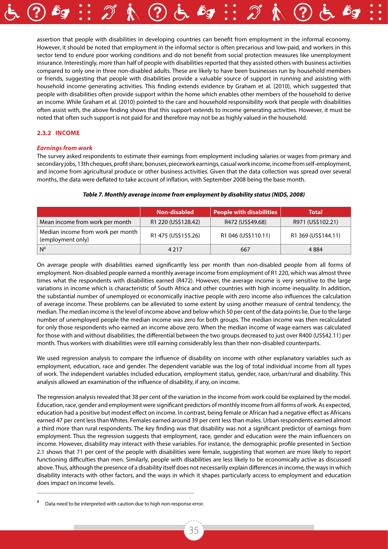

assertion that people with disabilities in developing countries can benefit from employment in the informal economy. However, it should be noted that employment in the informal sector is often precarious and low-paid, and workers in this sector tend to endure poor working conditions and do not benefit from social protection measures like unemployment insurance. Interestingly, more than half of people with disabilities reported that they assisted others with business activities compared to only one in three non-disabled adults. These are likely to have been businesses run by household members or friends, suggesting that people with disabilities provide a valuable source of support in running and assisting with household income generating activities. This finding extends evidence by Graham et al. (2010), which suggested that people with disabilities often provide support within the home which enables other members of the household to derive an income. While Graham et al. (2010) pointed to the care and household responsibility work that people with disabilities often assist with, the above finding shows that this support extends to income generating activities. However, it must be noted that often such support is not paid for and therefore may not be as highly valued in the household.

#### **2.3.2 Income**

#### *Earnings from work*

The survey asked respondents to estimate their earnings from employment including salaries or wages from primary and secondary jobs, 13th cheques, profit share, bonuses, piecework earnings, casual work income, income from self-employment, and income from agricultural produce or other business activities. Given that the data collection was spread over several months, the data were deflated to take account of inflation, with September 2008 being the base month.

|                                                        | <b>Non-disabled</b> | People with disabilities | <b>Total</b>        |
|--------------------------------------------------------|---------------------|--------------------------|---------------------|
| Mean income from work per month                        | R1 220 (US\$128.42) | R472 (US\$49.68)         | R971 (US\$102.21)   |
| Median income from work per month<br>(employment only) | R1 475 (US\$155.26) | R1 046 (US\$110.11)      | R1 369 (US\$144.11) |
| $N^8$                                                  | 4 2 1 7             | 667                      | 4884                |

#### *Table 7. Monthly average income from employment by disability status (NIDS, 2008)*

On average people with disabilities earned significantly less per month than non-disabled people from all forms of employment. Non-disabled people earned a monthly average income from employment of R1 220, which was almost three times what the respondents with disabilities earned (R472). However, the average income is very sensitive to the large variations in income which is characteristic of South Africa and other countries with high income inequality. In addition, the substantial number of unemployed or economically inactive people with zero income also influences the calculation of average income. These problems can be alleviated to some extent by using another measure of central tendency, the median. The median income is the level of income above and below which 50 per cent of the data points lie. Due to the large number of unemployed people the median income was zero for both groups. The median income was then recalculated for only those respondents who earned an income above zero. When the median income of wage earners was calculated for those with and without disabilities, the differential between the two groups decreased to just over R400 (US\$42.11) per month. Thus workers with disabilities were still earning considerably less than their non-disabled counterparts.

We used regression analysis to compare the influence of disability on income with other explanatory variables such as employment, education, race and gender. The dependent variable was the log of total individual income from all types of work. The independent variables included education, employment status, gender, race, urban/rural and disability. This analysis allowed an examination of the influence of disability, if any, on income.

The regression analysis revealed that 38 per cent of the variation in the income from work could be explained by the model. Education, race, gender and employment were significant predictors of monthly income from all forms of work. As expected, education had a positive but modest effect on income. In contrast, being female or African had a negative effect as Africans earned 47 per cent less than Whites. Females earned around 39 per cent less than males. Urban respondents earned almost a third more than rural respondents. The key finding was that disability was not a significant predictor of earnings from employment. Thus the regression suggests that employment, race, gender and education were the main influencers on income. However, disability may interact with these variables. For instance, the demographic profile presented in Section 2.1 shows that 71 per cent of the people with disabilities were female, suggesting that women are more likely to report functioning difficulties than men. Similarly, people with disabilities are less likely to be economically active as discussed above. Thus, although the presence of a disability itself does not necessarily explain differences in income, the ways in which disability interacts with other factors, and the ways in which it shapes particularly access to employment and education does impact on income levels.

Data need to be interpreted with caution due to high non-response error.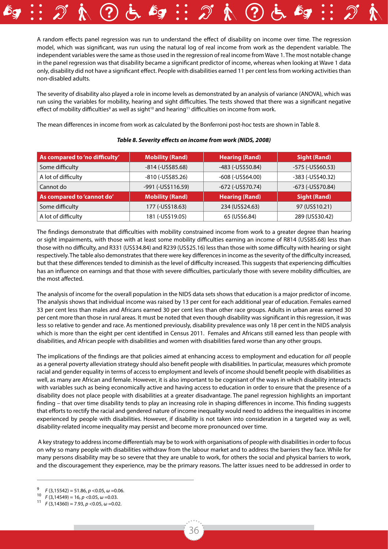A random effects panel regression was run to understand the effect of disability on income over time. The regression model, which was significant, was run using the natural log of real income from work as the dependent variable. The independent variables were the same as those used in the regression of real income from Wave 1. The most notable change in the panel regression was that disability became a significant predictor of income, whereas when looking at Wave 1 data only, disability did not have a significant effect. People with disabilities earned 11 per cent less from working activities than non-disabled adults.

The severity of disability also played a role in income levels as demonstrated by an analysis of variance (ANOVA), which was run using the variables for mobility, hearing and sight difficulties. The tests showed that there was a significant negative effect of mobility difficulties<sup>9</sup> as well as sight<sup>10</sup> and hearing<sup>11</sup> difficulties on income from work.

The mean differences in income from work as calculated by the Bonferroni post-hoc tests are shown in Table 8.

| As compared to 'no difficulty' | <b>Mobility (Rand)</b> | <b>Hearing (Rand)</b>  | <b>Sight (Rand)</b> |
|--------------------------------|------------------------|------------------------|---------------------|
| Some difficulty                | $-814$ ( $-US$85.68$ ) | -483 (-US\$50.84)      | -575 (-US\$60.53)   |
| A lot of difficulty            | -810 (-US\$85.26)      | $-608$ ( $-US$64.00$ ) | -383 (-US\$40.32)   |
| Cannot do                      | -991 (-US\$116.59)     | $-672$ ( $-US$70.74$ ) | -673 (-US\$70.84)   |
| As compared to 'cannot do'     | <b>Mobility (Rand)</b> | <b>Hearing (Rand)</b>  | <b>Sight (Rand)</b> |
| Some difficulty                | 177 (-US\$18.63)       | 234 (US\$24.63)        | 97 (US\$10.21)      |
| A lot of difficulty            | 181 (-US\$19.05)       | 65 (US\$6.84)          | 289 (US\$30.42)     |

#### *Table 8. Severity effects on income from work (NIDS, 2008)*

The findings demonstrate that difficulties with mobility constrained income from work to a greater degree than hearing or sight impairments, with those with at least some mobility difficulties earning an income of R814 (US\$85.68) less than those with no difficulty, and R331 (US\$34.84) and R239 (US\$25.16) less than those with some difficulty with hearing or sight respectively. The table also demonstrates that there were key differences in income as the severity of the difficulty increased, but that these differences tended to diminish as the level of difficulty increased. This suggests that experiencing difficulties has an influence on earnings and that those with severe difficulties, particularly those with severe mobility difficulties, are the most affected.

The analysis of income for the overall population in the NIDS data sets shows that education is a major predictor of income. The analysis shows that individual income was raised by 13 per cent for each additional year of education. Females earned 33 per cent less than males and Africans earned 30 per cent less than other race groups. Adults in urban areas earned 30 per cent more than those in rural areas. It must be noted that even though disability was significant in this regression, it was less so relative to gender and race. As mentioned previously, disability prevalence was only 18 per cent in the NIDS analysis which is more than the eight per cent identified in Census 2011. Females and Africans still earned less than people with disabilities, and African people with disabilities and women with disabilities fared worse than any other groups.

The implications of the findings are that policies aimed at enhancing access to employment and education for *all* people as a general poverty alleviation strategy should also benefit people with disabilities. In particular, measures which promote racial and gender equality in terms of access to employment and levels of income should benefit people with disabilities as well, as many are African and female. However, it is also important to be cognisant of the ways in which disability interacts with variables such as being economically active and having access to education in order to ensure that the presence of a disability does not place people with disabilities at a greater disadvantage. The panel regression highlights an important finding – that over time disability tends to play an increasing role in shaping differences in income. This finding suggests that efforts to rectify the racial and gendered nature of income inequality would need to address the inequalities in income experienced by people with disabilities. However, if disability is not taken into consideration in a targeted way as well, disability-related income inequality may persist and become more pronounced over time.

 A key strategy to address income differentials may be to work with organisations of people with disabilities in order to focus on why so many people with disabilities withdraw from the labour market and to address the barriers they face. While for many persons disability may be so severe that they are unable to work, for others the social and physical barriers to work, and the discouragement they experience, may be the primary reasons. The latter issues need to be addressed in order to

<sup>9</sup> *<sup>F</sup>* (3,15542) = 51.86, *p* <0.05, *<sup>ω</sup>* =0.06. 10 *<sup>F</sup>* (3,14549) = 16, *p* <0.05, *<sup>ω</sup>* =0.03. 11 *<sup>F</sup>* (3,14360) = 7.93, *p* <0.05, *ω* =0.02.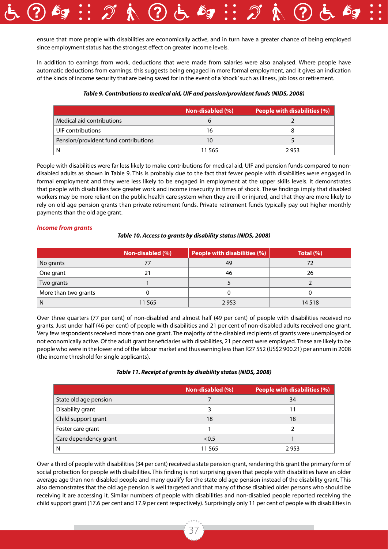

ensure that more people with disabilities are economically active, and in turn have a greater chance of being employed since employment status has the strongest effect on greater income levels.

In addition to earnings from work, deductions that were made from salaries were also analysed. Where people have automatic deductions from earnings, this suggests being engaged in more formal employment, and it gives an indication of the kinds of income security that are being saved for in the event of a 'shock' such as illness, job loss or retirement.

#### *Table 9. Contributions to medical aid, UIF and pension/provident funds (NIDS, 2008)*

|                                      | Non-disabled (%) | <b>People with disabilities (%)</b> |
|--------------------------------------|------------------|-------------------------------------|
| Medical aid contributions            |                  |                                     |
| UIF contributions                    | 16               |                                     |
| Pension/provident fund contributions |                  |                                     |
|                                      | 11 565           | 2953                                |

People with disabilities were far less likely to make contributions for medical aid, UIF and pension funds compared to nondisabled adults as shown in Table 9. This is probably due to the fact that fewer people with disabilities were engaged in formal employment and they were less likely to be engaged in employment at the upper skills levels. It demonstrates that people with disabilities face greater work and income insecurity in times of shock. These findings imply that disabled workers may be more reliant on the public health care system when they are ill or injured, and that they are more likely to rely on old age pension grants than private retirement funds. Private retirement funds typically pay out higher monthly payments than the old age grant.

#### *Income from grants*

#### *Table 10. Access to grants by disability status (NIDS, 2008)*

|                      | Non-disabled (%) | People with disabilities $(\% )^{\top }$ | Total $(\% )$ |
|----------------------|------------------|------------------------------------------|---------------|
| No grants            | 77               | 49                                       |               |
| One grant            | 21               | 46                                       | 26            |
| Two grants           |                  |                                          |               |
| More than two grants |                  |                                          |               |
| N                    | 11 565           | 2953                                     | 14 5 18       |

Over three quarters (77 per cent) of non-disabled and almost half (49 per cent) of people with disabilities received no grants. Just under half (46 per cent) of people with disabilities and 21 per cent of non-disabled adults received one grant. Very few respondents received more than one grant. The majority of the disabled recipients of grants were unemployed or not economically active. Of the adult grant beneficiaries with disabilities, 21 per cent were employed. These are likely to be people who were in the lower end of the labour market and thus earning less than R27 552 (US\$2 900.21) per annum in 2008 (the income threshold for single applicants).

#### *Table 11. Receipt of grants by disability status (NIDS, 2008)*

|                       | Non-disabled (%) | People with disabilities (%) |
|-----------------------|------------------|------------------------------|
| State old age pension |                  | 34                           |
| Disability grant      |                  |                              |
| Child support grant   | 18               | 18                           |
| Foster care grant     |                  |                              |
| Care dependency grant | < 0.5            |                              |
| N                     | 11 565           | 2953                         |

Over a third of people with disabilities (34 per cent) received a state pension grant, rendering this grant the primary form of social protection for people with disabilities. This finding is not surprising given that people with disabilities have an older average age than non-disabled people and many qualify for the state old age pension instead of the disability grant. This also demonstrates that the old age pension is well targeted and that many of those disabled older persons who should be receiving it are accessing it. Similar numbers of people with disabilities and non-disabled people reported receiving the child support grant (17.6 per cent and 17.9 per cent respectively). Surprisingly only 11 per cent of people with disabilities in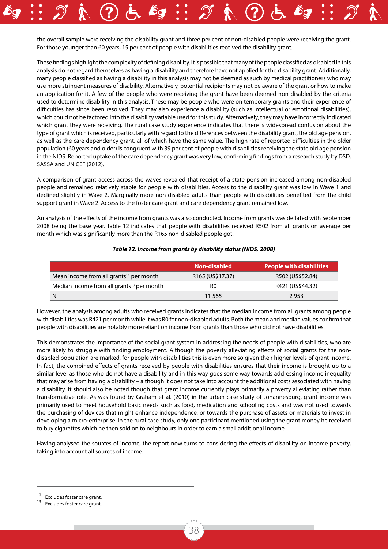the overall sample were receiving the disability grant and three per cent of non-disabled people were receiving the grant. For those younger than 60 years, 15 per cent of people with disabilities received the disability grant.

These findings highlight the complexity of defining disability. It is possible that many of the people classified as disabled in this analysis do not regard themselves as having a disability and therefore have not applied for the disability grant. Additionally, many people classified as having a disability in this analysis may not be deemed as such by medical practitioners who may use more stringent measures of disability. Alternatively, potential recipients may not be aware of the grant or how to make an application for it. A few of the people who were receiving the grant have been deemed non-disabled by the criteria used to determine disability in this analysis. These may be people who were on temporary grants and their experience of difficulties has since been resolved. They may also experience a disability (such as intellectual or emotional disabilities), which could not be factored into the disability variable used for this study. Alternatively, they may have incorrectly indicated which grant they were receiving. The rural case study experience indicates that there is widespread confusion about the type of grant which is received, particularly with regard to the differences between the disability grant, the old age pension, as well as the care dependency grant, all of which have the same value. The high rate of reported difficulties in the older population (60 years and older) is congruent with 39 per cent of people with disabilities receiving the state old age pension in the NIDS. Reported uptake of the care dependency grant was very low, confirming findings from a research study by DSD, SASSA and UNICEF (2012).

A comparison of grant access across the waves revealed that receipt of a state pension increased among non-disabled people and remained relatively stable for people with disabilities. Access to the disability grant was low in Wave 1 and declined slightly in Wave 2. Marginally more non-disabled adults than people with disabilities benefited from the child support grant in Wave 2. Access to the foster care grant and care dependency grant remained low.

An analysis of the effects of the income from grants was also conducted. Income from grants was deflated with September 2008 being the base year. Table 12 indicates that people with disabilities received R502 from all grants on average per month which was significantly more than the R165 non-disabled people got.

|                                                       | Non-disabled     | <b>People with disabilities</b> |
|-------------------------------------------------------|------------------|---------------------------------|
| Mean income from all grants <sup>12</sup> per month   | R165 (US\$17.37) | R502 (US\$52.84)                |
| Median income from all grants <sup>13</sup> per month | R0               | R421 (US\$44.32)                |
| N                                                     | 11 5 65          | 2953                            |

#### *Table 12. Income from grants by disability status (NIDS, 2008)*

However, the analysis among adults who received grants indicates that the median income from all grants among people with disabilities was R421 per month while it was R0 for non-disabled adults. Both the mean and median values confirm that people with disabilities are notably more reliant on income from grants than those who did not have disabilities.

This demonstrates the importance of the social grant system in addressing the needs of people with disabilities, who are more likely to struggle with finding employment. Although the poverty alleviating effects of social grants for the nondisabled population are marked, for people with disabilities this is even more so given their higher levels of grant income. In fact, the combined effects of grants received by people with disabilities ensures that their income is brought up to a similar level as those who do not have a disability and in this way goes some way towards addressing income inequality that may arise from having a disability – although it does not take into account the additional costs associated with having a disability. It should also be noted though that grant income currently plays primarily a poverty alleviating rather than transformative role. As was found by Graham et al. (2010) in the urban case study of Johannesburg, grant income was primarily used to meet household basic needs such as food, medication and schooling costs and was not used towards the purchasing of devices that might enhance independence, or towards the purchase of assets or materials to invest in developing a micro-enterprise. In the rural case study, only one participant mentioned using the grant money he received to buy cigarettes which he then sold on to neighbours in order to earn a small additional income.

Having analysed the sources of income, the report now turns to considering the effects of disability on income poverty, taking into account all sources of income.

 $12$  Excludes foster care grant.<br> $13$  Excludes foster care grant.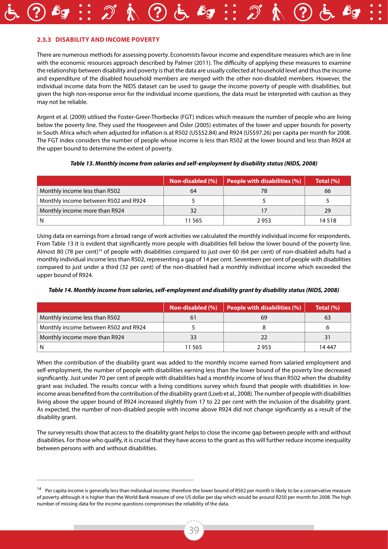#### **2.3.3 Disability and income poverty**

There are numerous methods for assessing poverty. Economists favour income and expenditure measures which are in line with the economic resources approach described by Palmer (2011). The difficulty of applying these measures to examine the relationship between disability and poverty is that the data are usually collected at household level and thus the income and expenditure of the disabled household members are merged with the other non-disabled members. However, the individual income data from the NIDS dataset can be used to gauge the income poverty of people with disabilities, but given the high non-response error for the individual income questions, the data must be interpreted with caution as they may not be reliable.

Argent et al. (2009) utilised the Foster-Greer-Thorbecke (FGT) indices which measure the number of people who are living below the poverty line. They used the Hoogeveen and Ösler (2005) estimates of the lower and upper bounds for poverty in South Africa which when adjusted for inflation is at R502 (US\$52.84) and R924 (US\$97.26) per capita per month for 2008. The FGT index considers the number of people whose income is less than R502 at the lower bound and less than R924 at the upper bound to determine the extent of poverty.

#### *Table 13. Monthly income from salaries and self-employment by disability status (NIDS, 2008)*

|                                      | / Non-disabled (%) | People with disabilities (%) | Total (%) |
|--------------------------------------|--------------------|------------------------------|-----------|
| Monthly income less than R502        | 64                 |                              | 66        |
| Monthly income between R502 and R924 |                    |                              |           |
| Monthly income more than R924        | 32                 |                              | 29        |
|                                      | 11 565             | 2953                         | 14 518    |

Using data on earnings from a broad range of work activities we calculated the monthly individual income for respondents. From Table 13 it is evident that significantly more people with disabilities fell below the lower bound of the poverty line. Almost 80 (78 per cent)<sup>14</sup> of people with disabilities compared to just over 60 (64 per cent) of non-disabled adults had a monthly individual income less than R502, representing a gap of 14 per cent. Seventeen per cent of people with disabilities compared to just under a third (32 per cent) of the non-disabled had a monthly individual income which exceeded the upper bound of R924.

|  | Table 14. Monthly income from salaries, self-employment and disability grant by disability status (NIDS, 2008) |  |  |
|--|----------------------------------------------------------------------------------------------------------------|--|--|
|--|----------------------------------------------------------------------------------------------------------------|--|--|

|                                      | Non-disabled (%) | $\vert$ People with disabilities $(\%)$ | Total (%) |
|--------------------------------------|------------------|-----------------------------------------|-----------|
| Monthly income less than R502        |                  | 69                                      | 63        |
| Monthly income between R502 and R924 |                  |                                         |           |
| Monthly income more than R924        | 33               |                                         |           |
|                                      | 11 565           | 2 953                                   | 14 447    |

When the contribution of the disability grant was added to the monthly income earned from salaried employment and self-employment, the number of people with disabilities earning less than the lower bound of the poverty line decreased significantly. Just under 70 per cent of people with disabilities had a monthly income of less than R502 when the disability grant was included. The results concur with a living conditions survey which found that people with disabilities in lowincome areas benefited from the contribution of the disability grant (Loeb et al., 2008). The number of people with disabilities living above the upper bound of R924 increased slightly from 17 to 22 per cent with the inclusion of the disability grant. As expected, the number of non-disabled people with income above R924 did not change significantly as a result of the disability grant.

The survey results show that access to the disability grant helps to close the income gap between people with and without disabilities. For those who qualify, it is crucial that they have access to the grant as this will further reduce income inequality between persons with and without disabilities.

<sup>&</sup>lt;sup>14</sup> Per capita income is generally less than individual income; therefore the lower bound of R502 per month is likely to be a conservative measure of poverty although it is higher than the World Bank measure of one US dollar per day which would be around R250 per month for 2008. The high number of missing data for the income questions compromises the reliability of the data.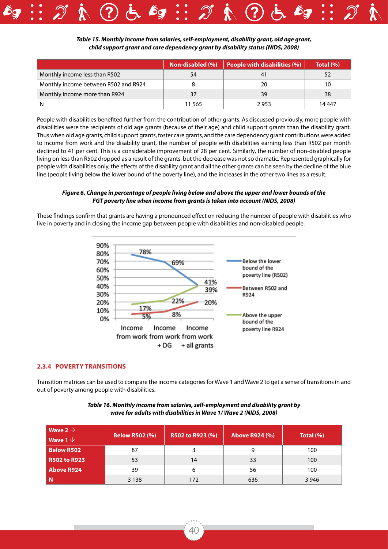

*Table 15. Monthly income from salaries, self-employment, disability grant, old age grant, child support grant and care dependency grant by disability status (NIDS, 2008)*

|                                      | Non-disabled (%) | People with disabilities (%) | Total (%) |
|--------------------------------------|------------------|------------------------------|-----------|
| Monthly income less than R502        | 54               |                              |           |
| Monthly income between R502 and R924 |                  | 20                           | 10        |
| Monthly income more than R924        | 37               | 39                           | 38        |
|                                      | 11 565           | 2 953                        | 14 447    |

People with disabilities benefited further from the contribution of other grants. As discussed previously, more people with disabilities were the recipients of old age grants (because of their age) and child support grants than the disability grant. Thus when old age grants, child support grants, foster care grants, and the care dependency grant contributions were added to income from work and the disability grant, the number of people with disabilities earning less than R502 per month declined to 41 per cent. This is a considerable improvement of 28 per cent. Similarly, the number of non-disabled people living on less than R502 dropped as a result of the grants, but the decrease was not so dramatic. Represented graphically for people with disabilities only, the effects of the disability grant and all the other grants can be seen by the decline of the blue line (people living below the lower bound of the poverty line), and the increases in the other two lines as a result.

#### *Figure 6. Change in percentage of people living below and above the upper and lower bounds of the FGT poverty line when income from grants is taken into account (NIDS, 2008)*

These findings confirm that grants are having a pronounced effect on reducing the number of people with disabilities who live in poverty and in closing the income gap between people with disabilities and non-disabled people.



#### **2.3.4 Poverty transitions**

Transition matrices can be used to compare the income categories for Wave 1 and Wave 2 to get a sense of transitions in and out of poverty among people with disabilities.

| Wave 2 $\rightarrow$    |                       |                  |                       |             |
|-------------------------|-----------------------|------------------|-----------------------|-------------|
| $ $ Wave 1 $\downarrow$ | <b>Below R502 (%)</b> | R502 to R923 (%) | <b>Above R924 (%)</b> | Total $(%)$ |
| <b>Below R502</b>       | 87                    |                  |                       | 100         |
| <b>R502 to R923</b>     | 53                    | 14               | 33                    | 100         |
| <b>Above R924</b>       | 39                    |                  | 56                    | 100         |
| -N                      | 3 1 3 8               | 172              | 636                   | 3 9 4 6     |

#### *Table 16. Monthly income from salaries, self-employment and disability grant by wave for adults with disabilities in Wave 1/ Wave 2 (NIDS, 2008)*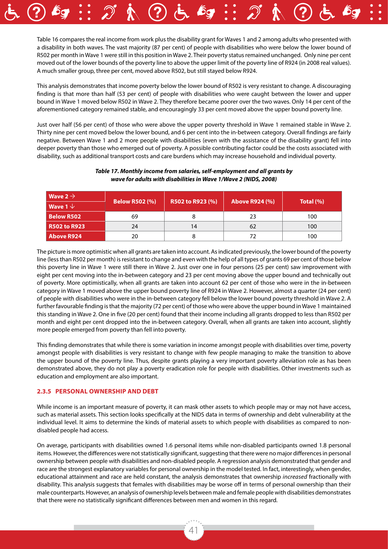Table 16 compares the real income from work plus the disability grant for Waves 1 and 2 among adults who presented with a disability in both waves. The vast majority (87 per cent) of people with disabilities who were below the lower bound of R502 per month in Wave 1 were still in this position in Wave 2. Their poverty status remained unchanged. Only nine per cent moved out of the lower bounds of the poverty line to above the upper limit of the poverty line of R924 (in 2008 real values). A much smaller group, three per cent, moved above R502, but still stayed below R924.

This analysis demonstrates that income poverty below the lower bound of R502 is very resistant to change. A discouraging finding is that more than half (53 per cent) of people with disabilities who were caught between the lower and upper bound in Wave 1 moved below R502 in Wave 2. They therefore became poorer over the two waves. Only 14 per cent of the aforementioned category remained stable, and encouragingly 33 per cent moved above the upper bound poverty line.

Just over half (56 per cent) of those who were above the upper poverty threshold in Wave 1 remained stable in Wave 2. Thirty nine per cent moved below the lower bound, and 6 per cent into the in-between category. Overall findings are fairly negative. Between Wave 1 and 2 more people with disabilities (even with the assistance of the disability grant) fell into deeper poverty than those who emerged out of poverty. A possible contributing factor could be the costs associated with disability, such as additional transport costs and care burdens which may increase household and individual poverty.

| $\mid$ Wave 2 $\rightarrow$ |                       |                  |                       | Total $(\% )$ |  |
|-----------------------------|-----------------------|------------------|-----------------------|---------------|--|
| $\mid$ Wave 1 $\downarrow$  | <b>Below R502 (%)</b> | R502 to R923 (%) | <b>Above R924 (%)</b> |               |  |
| <b>Below R502</b>           | 69                    |                  | 23                    | 100           |  |
| <b>R502 to R923</b>         | 24                    | 14               | 62                    | 100           |  |
| <b>Above R924</b>           | 20                    |                  | 72                    | 100           |  |

#### *Table 17. Monthly income from salaries, self-employment and all grants by wave for adults with disabilities in Wave 1/Wave 2 (NIDS, 2008)*

The picture is more optimistic when all grants are taken into account. As indicated previously, the lower bound of the poverty line (less than R502 per month) is resistant to change and even with the help of all types of grants 69 per cent of those below this poverty line in Wave 1 were still there in Wave 2. Just over one in four persons (25 per cent) saw improvement with eight per cent moving into the in-between category and 23 per cent moving above the upper bound and technically out of poverty. More optimistically, when all grants are taken into account 62 per cent of those who were in the in-between category in Wave 1 moved above the upper bound poverty line of R924 in Wave 2. However, almost a quarter (24 per cent) of people with disabilities who were in the in-between category fell below the lower bound poverty threshold in Wave 2. A further favourable finding is that the majority (72 per cent) of those who were above the upper bound in Wave 1 maintained this standing in Wave 2. One in five (20 per cent) found that their income including all grants dropped to less than R502 per month and eight per cent dropped into the in-between category. Overall, when all grants are taken into account, slightly more people emerged from poverty than fell into poverty.

This finding demonstrates that while there is some variation in income amongst people with disabilities over time, poverty amongst people with disabilities is very resistant to change with few people managing to make the transition to above the upper bound of the poverty line. Thus, despite grants playing a very important poverty alleviation role as has been demonstrated above, they do not play a poverty eradication role for people with disabilities. Other investments such as education and employment are also important.

#### **2.3.5 Personal ownership and debt**

While income is an important measure of poverty, it can mask other assets to which people may or may not have access, such as material assets. This section looks specifically at the NIDS data in terms of ownership and debt vulnerability at the individual level. It aims to determine the kinds of material assets to which people with disabilities as compared to nondisabled people had access.

On average, participants with disabilities owned 1.6 personal items while non-disabled participants owned 1.8 personal items. However, the differences were not statistically significant, suggesting that there were no major differences in personal ownership between people with disabilities and non-disabled people. A regression analysis demonstrated that gender and race are the strongest explanatory variables for personal ownership in the model tested. In fact, interestingly, when gender, educational attainment and race are held constant, the analysis demonstrates that ownership *increased* fractionally with disability. This analysis suggests that females with disabilities may be worse off in terms of personal ownership than their male counterparts. However, an analysis of ownership levels between male and female people with disabilities demonstrates that there were no statistically significant differences between men and women in this regard.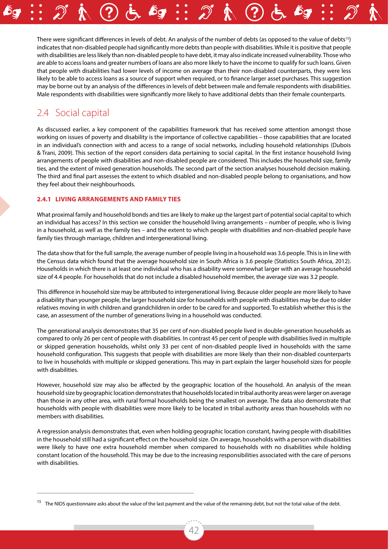There were significant differences in levels of debt. An analysis of the number of debts (as opposed to the value of debts<sup>15</sup>) indicates that non-disabled people had significantly more debts than people with disabilities. While it is positive that people with disabilities are less likely than non-disabled people to have debt, it may also indicate increased vulnerability. Those who are able to access loans and greater numbers of loans are also more likely to have the income to qualify for such loans. Given that people with disabilities had lower levels of income on average than their non-disabled counterparts, they were less likely to be able to access loans as a source of support when required, or to finance larger asset purchases. This suggestion may be borne out by an analysis of the differences in levels of debt between male and female respondents with disabilities. Male respondents with disabilities were significantly more likely to have additional debts than their female counterparts.

# 2.4 Social capital

As discussed earlier, a key component of the capabilities framework that has received some attention amongst those working on issues of poverty and disability is the importance of collective capabilities – those capabilities that are located in an individual's connection with and access to a range of social networks, including household relationships (Dubois & Trani, 2009). This section of the report considers data pertaining to social capital. In the first instance household living arrangements of people with disabilities and non-disabled people are considered. This includes the household size, family ties, and the extent of mixed generation households. The second part of the section analyses household decision making. The third and final part assesses the extent to which disabled and non-disabled people belong to organisations, and how they feel about their neighbourhoods.

#### **2.4.1 Living arrangements and family ties**

What proximal family and household bonds and ties are likely to make up the largest part of potential social capital to which an individual has access? In this section we consider the household living arrangements – number of people, who is living in a household, as well as the family ties – and the extent to which people with disabilities and non-disabled people have family ties through marriage, children and intergenerational living.

The data show that for the full sample, the average number of people living in a household was 3.6 people. This is in line with the Census data which found that the average household size in South Africa is 3.6 people (Statistics South Africa, 2012). Households in which there is at least one individual who has a disability were somewhat larger with an average household size of 4.4 people. For households that do not include a disabled household member, the average size was 3.2 people.

This difference in household size may be attributed to intergenerational living. Because older people are more likely to have a disability than younger people, the larger household size for households with people with disabilities may be due to older relatives moving in with children and grandchildren in order to be cared for and supported. To establish whether this is the case, an assessment of the number of generations living in a household was conducted.

The generational analysis demonstrates that 35 per cent of non-disabled people lived in double-generation households as compared to only 26 per cent of people with disabilities. In contrast 45 per cent of people with disabilities lived in multiple or skipped generation households, whilst only 33 per cent of non-disabled people lived in households with the same household configuration. This suggests that people with disabilities are more likely than their non-disabled counterparts to live in households with multiple or skipped generations. This may in part explain the larger household sizes for people with disabilities.

However, household size may also be affected by the geographic location of the household. An analysis of the mean household size by geographic location demonstrates that households located in tribal authority areas were larger on average than those in any other area, with rural formal households being the smallest on average. The data also demonstrate that households with people with disabilities were more likely to be located in tribal authority areas than households with no members with disabilities.

A regression analysis demonstrates that, even when holding geographic location constant, having people with disabilities in the household still had a significant effect on the household size. On average, households with a person with disabilities were likely to have one extra household member when compared to households with no disabilities while holding constant location of the household. This may be due to the increasing responsibilities associated with the care of persons with disabilities.

<sup>&</sup>lt;sup>15</sup> The NIDS questionnaire asks about the value of the last payment and the value of the remaining debt, but not the total value of the debt.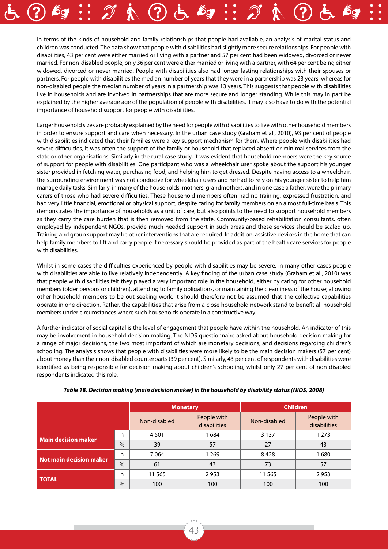In terms of the kinds of household and family relationships that people had available, an analysis of marital status and children was conducted. The data show that people with disabilities had slightly more secure relationships. For people with disabilities, 43 per cent were either married or living with a partner and 57 per cent had been widowed, divorced or never married. For non-disabled people, only 36 per cent were either married or living with a partner, with 64 per cent being either widowed, divorced or never married. People with disabilities also had longer-lasting relationships with their spouses or partners. For people with disabilities the median number of years that they were in a partnership was 23 years, whereas for non-disabled people the median number of years in a partnership was 13 years. This suggests that people with disabilities live in households and are involved in partnerships that are more secure and longer standing. While this may in part be explained by the higher average age of the population of people with disabilities, it may also have to do with the potential importance of household support for people with disabilities.

Larger household sizes are probably explained by the need for people with disabilities to live with other household members in order to ensure support and care when necessary. In the urban case study (Graham et al., 2010), 93 per cent of people with disabilities indicated that their families were a key support mechanism for them. Where people with disabilities had severe difficulties, it was often the support of the family or household that replaced absent or minimal services from the state or other organisations. Similarly in the rural case study, it was evident that household members were the key source of support for people with disabilities. One participant who was a wheelchair user spoke about the support his younger sister provided in fetching water, purchasing food, and helping him to get dressed. Despite having access to a wheelchair, the surrounding environment was not conducive for wheelchair users and he had to rely on his younger sister to help him manage daily tasks. Similarly, in many of the households, mothers, grandmothers, and in one case a father, were the primary carers of those who had severe difficulties. These household members often had no training, expressed frustration, and had very little financial, emotional or physical support, despite caring for family members on an almost full-time basis. This demonstrates the importance of households as a unit of care, but also points to the need to support household members as they carry the care burden that is then removed from the state. Community-based rehabilitation consultants, often employed by independent NGOs, provide much needed support in such areas and these services should be scaled up. Training and group support may be other interventions that are required. In addition, assistive devices in the home that can help family members to lift and carry people if necessary should be provided as part of the health care services for people with disabilities.

Whilst in some cases the difficulties experienced by people with disabilities may be severe, in many other cases people with disabilities are able to live relatively independently. A key finding of the urban case study (Graham et al., 2010) was that people with disabilities felt they played a very important role in the household, either by caring for other household members (older persons or children), attending to family obligations, or maintaining the cleanliness of the house; allowing other household members to be out seeking work. It should therefore not be assumed that the collective capabilities operate in one direction. Rather, the capabilities that arise from a close household network stand to benefit all household members under circumstances where such households operate in a constructive way.

A further indicator of social capital is the level of engagement that people have within the household. An indicator of this may be involvement in household decision making. The NIDS questionnaire asked about household decision making for a range of major decisions, the two most important of which are monetary decisions, and decisions regarding children's schooling. The analysis shows that people with disabilities were more likely to be the main decision makers (57 per cent) about money than their non-disabled counterparts (39 per cent). Similarly, 43 per cent of respondents with disabilities were identified as being responsible for decision making about children's schooling, whilst only 27 per cent of non-disabled respondents indicated this role.

|                         |               | <b>Monetary</b> |                             | <b>Children</b> |                             |
|-------------------------|---------------|-----------------|-----------------------------|-----------------|-----------------------------|
|                         |               | Non-disabled    | People with<br>disabilities | Non-disabled    | People with<br>disabilities |
| Main decision maker     | n             | 4501            | 1684                        | 3 1 3 7         | 1 2 7 3                     |
|                         | $\frac{0}{0}$ | 39              | 57                          | 27              | 43                          |
| Not main decision maker | n             | 7064            | 1 269                       | 8428            | 1680                        |
|                         | $\frac{0}{0}$ | 61              | 43                          | 73              | 57                          |
| <b>TOTAL</b>            | n             | 11 5 65         | 2953                        | 11 5 65         | 2953                        |
|                         | $\%$          | 100             | 100                         | 100             | 100                         |

*Table 18. Decision making (main decision maker) in the household by disability status (NIDS, 2008)*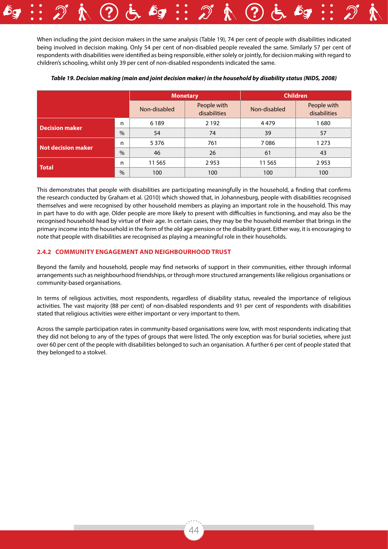When including the joint decision makers in the same analysis (Table 19), 74 per cent of people with disabilities indicated being involved in decision making. Only 54 per cent of non-disabled people revealed the same. Similarly 57 per cent of respondents with disabilities were identified as being responsible, either solely or jointly, for decision making with regard to children's schooling, whilst only 39 per cent of non-disabled respondents indicated the same.

|                                |      | <b>Monetary</b> |                             | <b>Children</b> |                             |
|--------------------------------|------|-----------------|-----------------------------|-----------------|-----------------------------|
|                                |      | Non-disabled    | People with<br>disabilities | Non-disabled    | People with<br>disabilities |
|                                | n    | 6 1 8 9         | 2 1 9 2                     | 4479            | 1680                        |
| <b>Decision maker</b>          | $\%$ | 54              | 74                          | 39              | 57                          |
| n<br><b>Not decision maker</b> |      | 5 3 7 6         | 761                         | 7086            | 1 2 7 3                     |
|                                | $\%$ | 46              | 26                          | 61              | 43                          |
| <b>Total</b>                   | n    | 11565           | 2953                        | 11565           | 2953                        |
|                                | $\%$ | 100             | 100                         | 100             | 100                         |

#### *Table 19. Decision making (main and joint decision maker) in the household by disability status (NIDS, 2008)*

This demonstrates that people with disabilities are participating meaningfully in the household, a finding that confirms the research conducted by Graham et al. (2010) which showed that, in Johannesburg, people with disabilities recognised themselves and were recognised by other household members as playing an important role in the household. This may in part have to do with age. Older people are more likely to present with difficulties in functioning, and may also be the recognised household head by virtue of their age. In certain cases, they may be the household member that brings in the primary income into the household in the form of the old age pension or the disability grant. Either way, it is encouraging to note that people with disabilities are recognised as playing a meaningful role in their households.

#### **2.4.2 Community engagement and neighbourhood trust**

Beyond the family and household, people may find networks of support in their communities, either through informal arrangements such as neighbourhood friendships, or through more structured arrangements like religious organisations or community-based organisations.

In terms of religious activities, most respondents, regardless of disability status, revealed the importance of religious activities. The vast majority (88 per cent) of non-disabled respondents and 91 per cent of respondents with disabilities stated that religious activities were either important or very important to them.

Across the sample participation rates in community-based organisations were low, with most respondents indicating that they did not belong to any of the types of groups that were listed. The only exception was for burial societies, where just over 60 per cent of the people with disabilities belonged to such an organisation. A further 6 per cent of people stated that they belonged to a stokvel.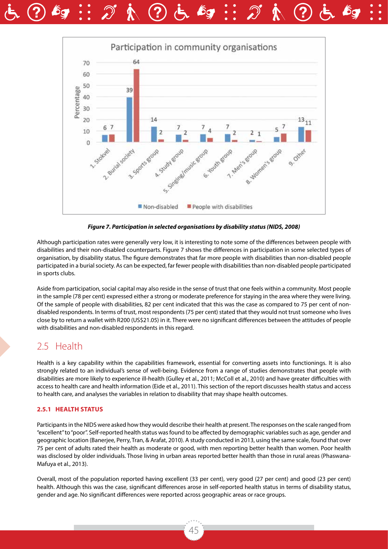



*Figure 7. Participation in selected organisations by disability status (NIDS, 2008)*

Although participation rates were generally very low, it is interesting to note some of the differences between people with disabilities and their non-disabled counterparts. Figure 7 shows the differences in participation in some selected types of organisation, by disability status. The figure demonstrates that far more people with disabilities than non-disabled people participated in a burial society. As can be expected, far fewer people with disabilities than non-disabled people participated in sports clubs.

Aside from participation, social capital may also reside in the sense of trust that one feels within a community. Most people in the sample (78 per cent) expressed either a strong or moderate preference for staying in the area where they were living. Of the sample of people with disabilities, 82 per cent indicated that this was the case as compared to 75 per cent of nondisabled respondents. In terms of trust, most respondents (75 per cent) stated that they would not trust someone who lives close by to return a wallet with R200 (US\$21.05) in it. There were no significant differences between the attitudes of people with disabilities and non-disabled respondents in this regard.

### 2.5 Health

Health is a key capability within the capabilities framework, essential for converting assets into functionings. It is also strongly related to an individual's sense of well-being. Evidence from a range of studies demonstrates that people with disabilities are more likely to experience ill-health (Gulley et al., 2011; McColl et al., 2010) and have greater difficulties with access to health care and health information (Eide et al., 2011). This section of the report discusses health status and access to health care, and analyses the variables in relation to disability that may shape health outcomes.

#### **2.5.1 Health status**

Participants in the NIDS were asked how they would describe their health at present. The responses on the scale ranged from "excellent" to "poor". Self-reported health status was found to be affected by demographic variables such as age, gender and geographic location (Banerjee, Perry, Tran, & Arafat, 2010). A study conducted in 2013, using the same scale, found that over 75 per cent of adults rated their health as moderate or good, with men reporting better health than women. Poor health was disclosed by older individuals. Those living in urban areas reported better health than those in rural areas (Phaswana-Mafuya et al., 2013).

Overall, most of the population reported having excellent (33 per cent), very good (27 per cent) and good (23 per cent) health. Although this was the case, significant differences arose in self-reported health status in terms of disability status, gender and age. No significant differences were reported across geographic areas or race groups.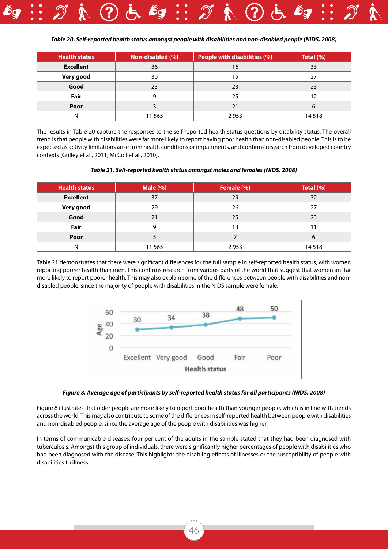

| <b>Health status</b> | Non-disabled (%) | <b>People with disabilities (%)</b> | Total $(\% )$ |
|----------------------|------------------|-------------------------------------|---------------|
| <b>Excellent</b>     | 36               | 16                                  | 33            |
| Very good            | 30               | 15                                  | 27            |
| Good                 | 23               | 23                                  | 23            |
| Fair                 | g                | 25                                  | 12            |
| Poor                 |                  | 21                                  | 6             |
|                      | 11 565           | 2953                                | 14518         |

The results in Table 20 capture the responses to the self-reported health status questions by disability status. The overall trend is that people with disabilities were far more likely to report having poor health than non-disabled people. This is to be expected as activity limitations arise from health conditions or impairments, and confirms research from developed country contexts (Gulley et al., 2011; McColl et al., 2010).

#### *Table 21. Self-reported health status amongst males and females (NIDS, 2008)*

| <b>Health status</b> | <b>Male (%)</b> | Female (%) | Total (%) |
|----------------------|-----------------|------------|-----------|
| <b>Excellent</b>     | 37              | 29         | 32        |
| Very good            | 29              | 26         | 27        |
| Good                 | 21              | 25         | 23        |
| Fair                 | g               | 13         |           |
| Poor                 |                 |            | 6         |
|                      | 11 565          | 2953       | 14518     |

Table 21 demonstrates that there were significant differences for the full sample in self-reported health status, with women reporting poorer health than men. This confirms research from various parts of the world that suggest that women are far more likely to report poorer health. This may also explain some of the differences between people with disabilities and nondisabled people, since the majority of people with disabilities in the NIDS sample were female.



#### *Figure 8. Average age of participants by self-reported health status for all participants (NIDS, 2008)*

Figure 8 illustrates that older people are more likely to report poor health than younger people, which is in line with trends across the world. This may also contribute to some of the differences in self-reported health between people with disabilities and non-disabled people, since the average age of the people with disabilities was higher.

In terms of communicable diseases, four per cent of the adults in the sample stated that they had been diagnosed with tuberculosis. Amongst this group of individuals, there were significantly higher percentages of people with disabilities who had been diagnosed with the disease. This highlights the disabling effects of illnesses or the susceptibility of people with disabilities to illness.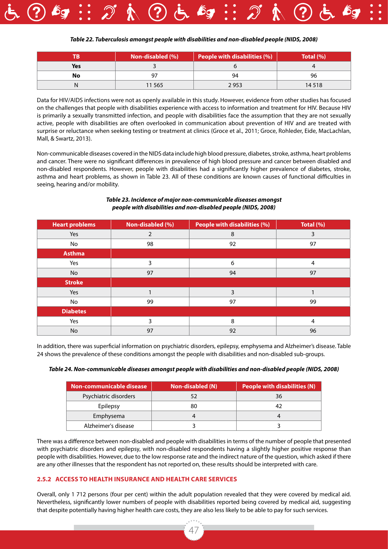![](_page_46_Picture_0.jpeg)

#### *Table 22. Tuberculosis amongst people with disabilities and non-disabled people (NIDS, 2008)*

|            | Non-disabled (%) | <b>People with disabilities (%)</b> | Total $(\% )$ |
|------------|------------------|-------------------------------------|---------------|
| <b>Yes</b> |                  |                                     |               |
| No         |                  | 94                                  | 96            |
|            | 11 565           | 2953                                | 14 5 18       |

Data for HIV/AIDS infections were not as openly available in this study. However, evidence from other studies has focused on the challenges that people with disabilities experience with access to information and treatment for HIV. Because HIV is primarily a sexually transmitted infection, and people with disabilities face the assumption that they are not sexually active, people with disabilities are often overlooked in communication about prevention of HIV and are treated with surprise or reluctance when seeking testing or treatment at clinics (Groce et al., 2011; Groce, Rohleder, Eide, MacLachlan, Mall, & Swartz, 2013).

Non-communicable diseases covered in the NIDS data include high blood pressure, diabetes, stroke, asthma, heart problems and cancer. There were no significant differences in prevalence of high blood pressure and cancer between disabled and non-disabled respondents. However, people with disabilities had a significantly higher prevalence of diabetes, stroke, asthma and heart problems, as shown in Table 23. All of these conditions are known causes of functional difficulties in seeing, hearing and/or mobility.

| <b>Heart problems</b> | Non-disabled (%) | People with disabilities (%) | Total (%) |
|-----------------------|------------------|------------------------------|-----------|
| Yes                   | 2                | 8                            | 3         |
| No                    | 98               | 92                           | 97        |
| <b>Asthma</b>         |                  |                              |           |
| Yes                   | 3                | 6                            | 4         |
| No                    | 97               | 94                           | 97        |
| <b>Stroke</b>         |                  |                              |           |
| Yes                   |                  | 3                            |           |
| No                    | 99               | 97                           | 99        |
| <b>Diabetes</b>       |                  |                              |           |
| Yes                   | 3                | 8                            | 4         |
| No                    | 97               | 92                           | 96        |

#### *Table 23. Incidence of major non-communicable diseases amongst people with disabilities and non-disabled people (NIDS, 2008)*

In addition, there was superficial information on psychiatric disorders, epilepsy, emphysema and Alzheimer's disease. Table 24 shows the prevalence of these conditions amongst the people with disabilities and non-disabled sub-groups.

|  | Table 24. Non-communicable diseases amongst people with disabilities and non-disabled people (NIDS, 2008) |  |
|--|-----------------------------------------------------------------------------------------------------------|--|
|--|-----------------------------------------------------------------------------------------------------------|--|

| Non-communicable disease | <b>Non-disabled (N)</b> | <b>People with disabilities <math>(N)</math></b> |
|--------------------------|-------------------------|--------------------------------------------------|
| Psychiatric disorders    |                         | 36                                               |
| Epilepsy                 | 80                      | 42                                               |
| Emphysema                |                         |                                                  |
| Alzheimer's disease      |                         |                                                  |

There was a difference between non-disabled and people with disabilities in terms of the number of people that presented with psychiatric disorders and epilepsy, with non-disabled respondents having a slightly higher positive response than people with disabilities. However, due to the low response rate and the indirect nature of the question, which asked if there are any other illnesses that the respondent has not reported on, these results should be interpreted with care.

#### **2.5.2 Access to health insurance and health care services**

Overall, only 1 712 persons (four per cent) within the adult population revealed that they were covered by medical aid. Nevertheless, significantly lower numbers of people with disabilities reported being covered by medical aid, suggesting that despite potentially having higher health care costs, they are also less likely to be able to pay for such services.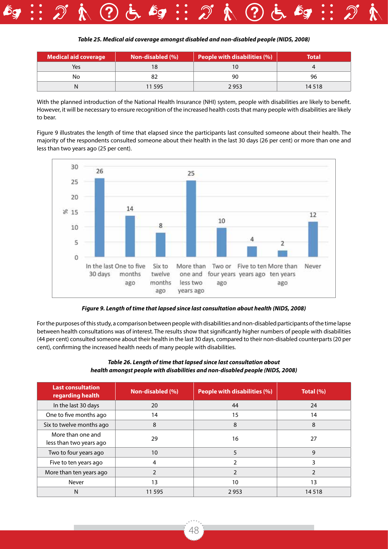![](_page_47_Picture_0.jpeg)

| <b>Medical aid coverage</b> | Non-disabled (%) | <b>People with disabilities (%)</b> | Total   |
|-----------------------------|------------------|-------------------------------------|---------|
| Yes                         | 8                |                                     |         |
| No                          |                  | 90                                  | 96      |
|                             | 11 595           | 2953                                | 14 5 18 |

With the planned introduction of the National Health Insurance (NHI) system, people with disabilities are likely to benefit. However, it will be necessary to ensure recognition of the increased health costs that many people with disabilities are likely to bear.

Figure 9 illustrates the length of time that elapsed since the participants last consulted someone about their health. The majority of the respondents consulted someone about their health in the last 30 days (26 per cent) or more than one and less than two years ago (25 per cent).

![](_page_47_Figure_4.jpeg)

*Figure 9. Length of time that lapsed since last consultation about health (NIDS, 2008)*

For the purposes of this study, a comparison between people with disabilities and non-disabled participants of the time lapse between health consultations was of interest. The results show that significantly higher numbers of people with disabilities (44 per cent) consulted someone about their health in the last 30 days, compared to their non-disabled counterparts (20 per cent), confirming the increased health needs of many people with disabilities.

| <b>Last consultation</b><br>regarding health | Non-disabled (%) | People with disabilities (%) | Total $(%)$   |
|----------------------------------------------|------------------|------------------------------|---------------|
| In the last 30 days                          | 20               | 44                           | 24            |
| One to five months ago                       | 14               | 15                           | 14            |
| Six to twelve months ago                     | 8                | 8                            | 8             |
| More than one and<br>less than two years ago | 29               | 16                           | 27            |
| Two to four years ago                        | 10               | 5                            | 9             |
| Five to ten years ago                        | 4                | $\mathcal{P}$                | 3             |
| More than ten years ago                      |                  | C                            | $\mathcal{P}$ |
| Never                                        | 13               | 10                           | 13            |
| N                                            | 11 5 9 5         | 2953                         | 14518         |

#### *Table 26. Length of time that lapsed since last consultation about health amongst people with disabilities and non-disabled people (NIDS, 2008)*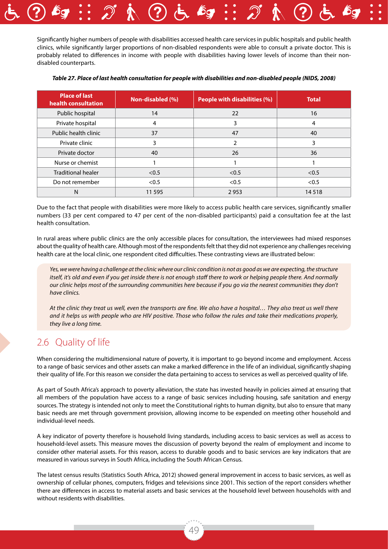![](_page_48_Picture_0.jpeg)

| <b>Place of last</b><br>health consultation | Non-disabled (%) | <b>People with disabilities (%)</b> | <b>Total</b> |
|---------------------------------------------|------------------|-------------------------------------|--------------|
| Public hospital                             | 14               | 22                                  | 16           |
| Private hospital                            | 4                | 3                                   | 4            |
| Public health clinic                        | 37               | 47                                  | 40           |
| Private clinic                              | 3                | 2                                   | 3            |
| Private doctor                              | 40               | 26                                  | 36           |
| Nurse or chemist                            |                  |                                     |              |
| <b>Traditional healer</b>                   | < 0.5            | < 0.5                               | < 0.5        |
| Do not remember                             | < 0.5            | < 0.5                               | < 0.5        |
| N                                           | 11 5 9 5         | 2953                                | 14518        |

*Table 27. Place of last health consultation for people with disabilities and non-disabled people (NIDS, 2008)*

Due to the fact that people with disabilities were more likely to access public health care services, significantly smaller numbers (33 per cent compared to 47 per cent of the non-disabled participants) paid a consultation fee at the last health consultation.

In rural areas where public clinics are the only accessible places for consultation, the interviewees had mixed responses about the quality of health care. Although most of the respondents felt that they did not experience any challenges receiving health care at the local clinic, one respondent cited difficulties. These contrasting views are illustrated below:

*Yes, we were having a challenge at the clinic where our clinic condition is not as good as we are expecting, the structure itself, it's old and even if you get inside there is not enough staff there to work or helping people there. And normally our clinic helps most of the surrounding communities here because if you go via the nearest communities they don't have clinics.*

*At the clinic they treat us well, even the transports are fine. We also have a hospital… They also treat us well there and it helps us with people who are HIV positive. Those who follow the rules and take their medications properly, they live a long time.*

### 2.6 Quality of life

When considering the multidimensional nature of poverty, it is important to go beyond income and employment. Access to a range of basic services and other assets can make a marked difference in the life of an individual, significantly shaping their quality of life. For this reason we consider the data pertaining to access to services as well as perceived quality of life.

As part of South Africa's approach to poverty alleviation, the state has invested heavily in policies aimed at ensuring that all members of the population have access to a range of basic services including housing, safe sanitation and energy sources. The strategy is intended not only to meet the Constitutional rights to human dignity, but also to ensure that many basic needs are met through government provision, allowing income to be expended on meeting other household and individual-level needs.

A key indicator of poverty therefore is household living standards, including access to basic services as well as access to household-level assets. This measure moves the discussion of poverty beyond the realm of employment and income to consider other material assets. For this reason, access to durable goods and to basic services are key indicators that are measured in various surveys in South Africa, including the South African Census.

The latest census results (Statistics South Africa, 2012) showed general improvement in access to basic services, as well as ownership of cellular phones, computers, fridges and televisions since 2001. This section of the report considers whether there are differences in access to material assets and basic services at the household level between households with and without residents with disabilities.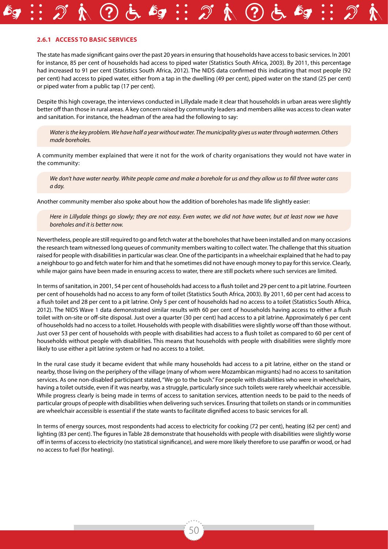#### **2.6.1 Access to basic services**

The state has made significant gains over the past 20 years in ensuring that households have access to basic services. In 2001 for instance, 85 per cent of households had access to piped water (Statistics South Africa, 2003). By 2011, this percentage had increased to 91 per cent (Statistics South Africa, 2012). The NIDS data confirmed this indicating that most people (92 per cent) had access to piped water, either from a tap in the dwelling (49 per cent), piped water on the stand (25 per cent) or piped water from a public tap (17 per cent).

Despite this high coverage, the interviews conducted in Lillydale made it clear that households in urban areas were slightly better off than those in rural areas. A key concern raised by community leaders and members alike was access to clean water and sanitation. For instance, the headman of the area had the following to say:

*Water is the key problem. We have half a year without water. The municipality gives us water through watermen. Others made boreholes.*

A community member explained that were it not for the work of charity organisations they would not have water in the community:

*We don't have water nearby. White people came and make a borehole for us and they allow us to fill three water cans a day.* 

Another community member also spoke about how the addition of boreholes has made life slightly easier:

*Here in Lillydale things go slowly; they are not easy. Even water, we did not have water, but at least now we have boreholes and it is better now.*

Nevertheless, people are still required to go and fetch water at the boreholes that have been installed and on many occasions the research team witnessed long queues of community members waiting to collect water. The challenge that this situation raised for people with disabilities in particular was clear. One of the participants in a wheelchair explained that he had to pay a neighbour to go and fetch water for him and that he sometimes did not have enough money to pay for this service. Clearly, while major gains have been made in ensuring access to water, there are still pockets where such services are limited.

In terms of sanitation, in 2001, 54 per cent of households had access to a flush toilet and 29 per cent to a pit latrine. Fourteen per cent of households had no access to any form of toilet (Statistics South Africa, 2003). By 2011, 60 per cent had access to a flush toilet and 28 per cent to a pit latrine. Only 5 per cent of households had no access to a toilet (Statistics South Africa, 2012). The NIDS Wave 1 data demonstrated similar results with 60 per cent of households having access to either a flush toilet with on-site or off-site disposal. Just over a quarter (30 per cent) had access to a pit latrine. Approximately 6 per cent of households had no access to a toilet. Households with people with disabilities were slightly worse off than those without. Just over 53 per cent of households with people with disabilities had access to a flush toilet as compared to 60 per cent of households without people with disabilities. This means that households with people with disabilities were slightly more likely to use either a pit latrine system or had no access to a toilet.

In the rural case study it became evident that while many households had access to a pit latrine, either on the stand or nearby, those living on the periphery of the village (many of whom were Mozambican migrants) had no access to sanitation services. As one non-disabled participant stated, "We go to the bush." For people with disabilities who were in wheelchairs, having a toilet outside, even if it was nearby, was a struggle, particularly since such toilets were rarely wheelchair accessible. While progress clearly is being made in terms of access to sanitation services, attention needs to be paid to the needs of particular groups of people with disabilities when delivering such services. Ensuring that toilets on stands or in communities are wheelchair accessible is essential if the state wants to facilitate dignified access to basic services for all.

In terms of energy sources, most respondents had access to electricity for cooking (72 per cent), heating (62 per cent) and lighting (83 per cent). The figures in Table 28 demonstrate that households with people with disabilities were slightly worse off in terms of access to electricity (no statistical significance), and were more likely therefore to use paraffin or wood, or had no access to fuel (for heating).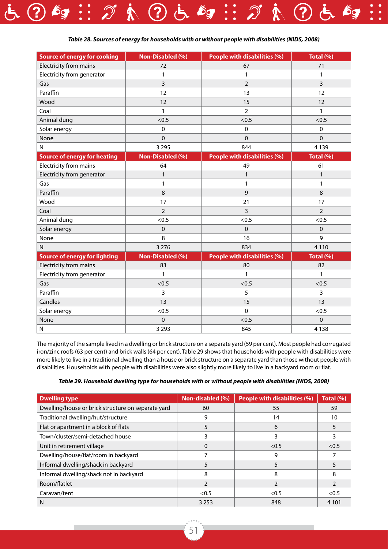![](_page_50_Picture_0.jpeg)

| <b>Source of energy for cooking</b>  | <b>Non-Disabled (%)</b> | People with disabilities (%) | Total (%)      |
|--------------------------------------|-------------------------|------------------------------|----------------|
| Electricity from mains               | 72                      | 67                           | 71             |
| Electricity from generator           | $\mathbf{1}$            | $\mathbf{1}$                 | 1              |
| Gas                                  | 3                       | $\overline{2}$               | 3              |
| Paraffin                             | 12                      | 13                           | 12             |
| Wood                                 | 12                      | 15                           | 12             |
| Coal                                 | 1                       | $\overline{2}$               | $\mathbf{1}$   |
| Animal dung                          | < 0.5                   | < 0.5                        | < 0.5          |
| Solar energy                         | 0                       | 0                            | 0              |
| None                                 | $\Omega$                | $\Omega$                     | $\Omega$       |
| $\mathsf{N}$                         | 3 2 9 5                 | 844                          | 4 1 3 9        |
| <b>Source of energy for heating</b>  | <b>Non-Disabled (%)</b> | People with disabilities (%) | Total (%)      |
| Electricity from mains               | 64                      | 49                           | 61             |
| Electricity from generator           | 1                       | $\mathbf{1}$                 | $\mathbf{1}$   |
| Gas                                  | 1                       | 1                            | 1              |
| Paraffin                             | 8                       | 9                            | 8              |
| Wood                                 | 17                      | 21                           | 17             |
| Coal                                 | $\overline{2}$          | 3                            | $\overline{2}$ |
| Animal dung                          | < 0.5                   | <0.5                         | <0.5           |
| Solar energy                         | $\mathbf 0$             | $\Omega$                     | $\Omega$       |
| None                                 | 8                       | 16                           | 9              |
| $\mathsf{N}$                         | 3 2 7 6                 | 834                          | 4 1 1 0        |
| <b>Source of energy for lighting</b> | Non-Disabled (%)        | People with disabilities (%) | Total (%)      |
| Electricity from mains               | 83                      | 80                           | 82             |
| Electricity from generator           | 1                       | $\mathbf{1}$                 | 1              |
| Gas                                  | < 0.5                   | < 0.5                        | < 0.5          |
| Paraffin                             | 3                       | 5                            | 3              |
| Candles                              | 13                      | 15                           | 13             |
| Solar energy                         | < 0.5                   | $\pmb{0}$                    | < 0.5          |
| None                                 | 0                       | < 0.5                        | $\mathbf{0}$   |
| $\mathsf{N}$                         | 3 2 9 3                 | 845                          | 4 1 3 8        |

The majority of the sample lived in a dwelling or brick structure on a separate yard (59 per cent). Most people had corrugated iron/zinc roofs (63 per cent) and brick walls (64 per cent). Table 29 shows that households with people with disabilities were more likely to live in a traditional dwelling than a house or brick structure on a separate yard than those without people with disabilities. Households with people with disabilities were also slightly more likely to live in a backyard room or flat.

| (NIDS, 2008) Table 29. Household dwelling type for households with or without people with disabilities |  |  |
|--------------------------------------------------------------------------------------------------------|--|--|
|                                                                                                        |  |  |

| <b>Dwelling type</b>                               | Non-disabled (%) | <b>People with disabilities (%)</b> | Total (%) |
|----------------------------------------------------|------------------|-------------------------------------|-----------|
| Dwelling/house or brick structure on separate yard | 60               | 55                                  | 59        |
| Traditional dwelling/hut/structure                 | 9                | 14                                  | 10        |
| Flat or apartment in a block of flats              |                  | 6                                   |           |
| Town/cluster/semi-detached house                   |                  | 3                                   |           |
| Unit in retirement village                         | 0                | < 0.5                               | < 0.5     |
| Dwelling/house/flat/room in backyard               |                  | 9                                   |           |
| Informal dwelling/shack in backyard                |                  | 5                                   |           |
| Informal dwelling/shack not in backyard            | 8                | 8                                   | 8         |
| Room/flatlet                                       | 2                |                                     |           |
| Caravan/tent                                       | < 0.5            | < 0.5                               | < 0.5     |
| N                                                  | 3 2 5 3          | 848                                 | 4 10 1    |

![](_page_50_Picture_5.jpeg)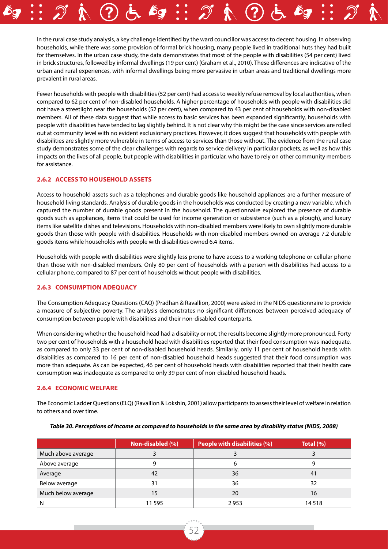In the rural case study analysis, a key challenge identified by the ward councillor was access to decent housing. In observing households, while there was some provision of formal brick housing, many people lived in traditional huts they had built for themselves. In the urban case study, the data demonstrates that most of the people with disabilities (54 per cent) lived in brick structures, followed by informal dwellings (19 per cent) (Graham et al., 2010). These differences are indicative of the urban and rural experiences, with informal dwellings being more pervasive in urban areas and traditional dwellings more prevalent in rural areas.

Fewer households with people with disabilities (52 per cent) had access to weekly refuse removal by local authorities, when compared to 62 per cent of non-disabled households. A higher percentage of households with people with disabilities did not have a streetlight near the households (52 per cent), when compared to 43 per cent of households with non-disabled members. All of these data suggest that while access to basic services has been expanded significantly, households with people with disabilities have tended to lag slightly behind. It is not clear why this might be the case since services are rolled out at community level with no evident exclusionary practices. However, it does suggest that households with people with disabilities are slightly more vulnerable in terms of access to services than those without. The evidence from the rural case study demonstrates some of the clear challenges with regards to service delivery in particular pockets, as well as how this impacts on the lives of all people, but people with disabilities in particular, who have to rely on other community members for assistance.

#### **2.6.2 Access to household assets**

Access to household assets such as a telephones and durable goods like household appliances are a further measure of household living standards. Analysis of durable goods in the households was conducted by creating a new variable, which captured the number of durable goods present in the household. The questionnaire explored the presence of durable goods such as appliances, items that could be used for income generation or subsistence (such as a plough), and luxury items like satellite dishes and televisions. Households with non-disabled members were likely to own slightly more durable goods than those with people with disabilities. Households with non-disabled members owned on average 7.2 durable goods items while households with people with disabilities owned 6.4 items.

Households with people with disabilities were slightly less prone to have access to a working telephone or cellular phone than those with non-disabled members. Only 80 per cent of households with a person with disabilities had access to a cellular phone, compared to 87 per cent of households without people with disabilities.

#### **2.6.3 Consumption adequacy**

The Consumption Adequacy Questions (CAQ) (Pradhan & Ravallion, 2000) were asked in the NIDS questionnaire to provide a measure of subjective poverty. The analysis demonstrates no significant differences between perceived adequacy of consumption between people with disabilities and their non-disabled counterparts.

When considering whether the household head had a disability or not, the results become slightly more pronounced. Forty two per cent of households with a household head with disabilities reported that their food consumption was inadequate, as compared to only 33 per cent of non-disabled household heads. Similarly, only 11 per cent of household heads with disabilities as compared to 16 per cent of non-disabled household heads suggested that their food consumption was more than adequate. As can be expected, 46 per cent of household heads with disabilities reported that their health care consumption was inadequate as compared to only 39 per cent of non-disabled household heads.

#### **2.6.4 Economic welfare**

The Economic Ladder Questions (ELQ) (Ravallion & Lokshin, 2001) allow participants to assess their level of welfare in relation to others and over time.

|                    | Non-disabled (%) | People with disabilities (%) | Total $(\% )$ |
|--------------------|------------------|------------------------------|---------------|
| Much above average |                  |                              |               |
| Above average      |                  |                              |               |
| Average            | 42               | 36                           | 41            |
| Below average      | 31               | 36                           | 32            |
| Much below average | כ ו              | 20                           | 16            |
|                    | 11 595           | 2953                         | 14518         |

#### *Table 30. Perceptions of income as compared to households in the same area by disability status (NIDS, 2008)*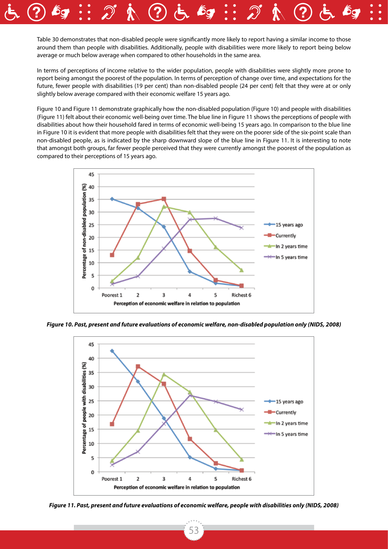Table 30 demonstrates that non-disabled people were significantly more likely to report having a similar income to those around them than people with disabilities. Additionally, people with disabilities were more likely to report being below average or much below average when compared to other households in the same area.

In terms of perceptions of income relative to the wider population, people with disabilities were slightly more prone to report being amongst the poorest of the population. In terms of perception of change over time, and expectations for the future, fewer people with disabilities (19 per cent) than non-disabled people (24 per cent) felt that they were at or only slightly below average compared with their economic welfare 15 years ago.

Figure 10 and Figure 11 demonstrate graphically how the non-disabled population (Figure 10) and people with disabilities (Figure 11) felt about their economic well-being over time. The blue line in Figure 11 shows the perceptions of people with disabilities about how their household fared in terms of economic well-being 15 years ago. In comparison to the blue line in Figure 10 it is evident that more people with disabilities felt that they were on the poorer side of the six-point scale than non-disabled people, as is indicated by the sharp downward slope of the blue line in Figure 11. It is interesting to note that amongst both groups, far fewer people perceived that they were currently amongst the poorest of the population as compared to their perceptions of 15 years ago.

![](_page_52_Figure_3.jpeg)

*Figure 10. Past, present and future evaluations of economic welfare, non-disabled population only (NIDS, 2008)*

![](_page_52_Figure_5.jpeg)

*Figure 11. Past, present and future evaluations of economic welfare, people with disabilities only (NIDS, 2008)*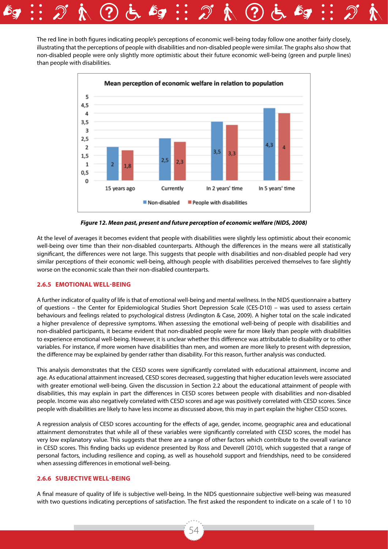The red line in both figures indicating people's perceptions of economic well-being today follow one another fairly closely, illustrating that the perceptions of people with disabilities and non-disabled people were similar. The graphs also show that non-disabled people were only slightly more optimistic about their future economic well-being (green and purple lines) than people with disabilities.

![](_page_53_Figure_1.jpeg)

*Figure 12. Mean past, present and future perception of economic welfare (NIDS, 2008)*

At the level of averages it becomes evident that people with disabilities were slightly less optimistic about their economic well-being over time than their non-disabled counterparts. Although the differences in the means were all statistically significant, the differences were not large. This suggests that people with disabilities and non-disabled people had very similar perceptions of their economic well-being, although people with disabilities perceived themselves to fare slightly worse on the economic scale than their non-disabled counterparts.

#### **2.6.5 Emotional well-being**

A further indicator of quality of life is that of emotional well-being and mental wellness. In the NIDS questionnaire a battery of questions – the Center for Epidemiological Studies Short Depression Scale (CES-D10) – was used to assess certain behaviours and feelings related to psychological distress (Ardington & Case, 2009). A higher total on the scale indicated a higher prevalence of depressive symptoms. When assessing the emotional well-being of people with disabilities and non-disabled participants, it became evident that non-disabled people were far more likely than people with disabilities to experience emotional well-being. However, it is unclear whether this difference was attributable to disability or to other variables. For instance, if more women have disabilities than men, and women are more likely to present with depression, the difference may be explained by gender rather than disability. For this reason, further analysis was conducted.

This analysis demonstrates that the CESD scores were significantly correlated with educational attainment, income and age. As educational attainment increased, CESD scores decreased, suggesting that higher education levels were associated with greater emotional well-being. Given the discussion in Section 2.2 about the educational attainment of people with disabilities, this may explain in part the differences in CESD scores between people with disabilities and non-disabled people. Income was also negatively correlated with CESD scores and age was positively correlated with CESD scores. Since people with disabilities are likely to have less income as discussed above, this may in part explain the higher CESD scores.

A regression analysis of CESD scores accounting for the effects of age, gender, income, geographic area and educational attainment demonstrates that while all of these variables were significantly correlated with CESD scores, the model has very low explanatory value. This suggests that there are a range of other factors which contribute to the overall variance in CESD scores. This finding backs up evidence presented by Ross and Deverell (2010), which suggested that a range of personal factors, including resilience and coping, as well as household support and friendships, need to be considered when assessing differences in emotional well-being.

#### **2.6.6 Subjective well-being**

A final measure of quality of life is subjective well-being. In the NIDS questionnaire subjective well-being was measured with two questions indicating perceptions of satisfaction. The first asked the respondent to indicate on a scale of 1 to 10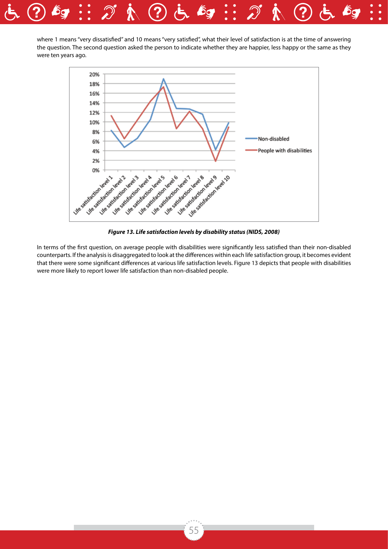![](_page_54_Picture_0.jpeg)

where 1 means "very dissatisfied" and 10 means "very satisfied", what their level of satisfaction is at the time of answering the question. The second question asked the person to indicate whether they are happier, less happy or the same as they were ten years ago.

![](_page_54_Figure_2.jpeg)

*Figure 13. Life satisfaction levels by disability status (NIDS, 2008)*

In terms of the first question, on average people with disabilities were significantly less satisfied than their non-disabled counterparts. If the analysis is disaggregated to look at the differences within each life satisfaction group, it becomes evident that there were some significant differences at various life satisfaction levels. Figure 13 depicts that people with disabilities were more likely to report lower life satisfaction than non-disabled people.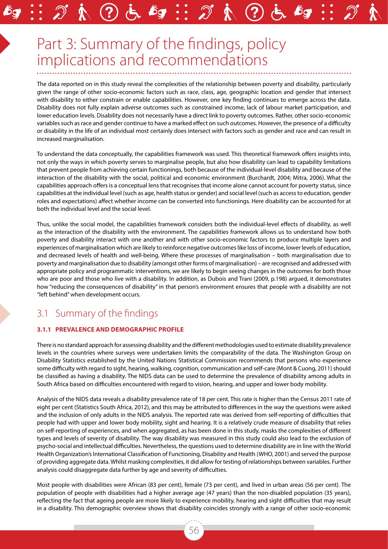# Part 3: Summary of the findings, policy implications and recommendations

The data reported on in this study reveal the complexities of the relationship between poverty and disability, particularly given the range of other socio-economic factors such as race, class, age, geographic location and gender that intersect with disability to either constrain or enable capabilities. However, one key finding continues to emerge across the data. Disability does not fully explain adverse outcomes such as constrained income, lack of labour market participation, and lower education levels. Disability does not necessarily have a direct link to poverty outcomes. Rather, other socio-economic variables such as race and gender continue to have a marked effect on such outcomes. However, the presence of a difficulty or disability in the life of an individual most certainly does intersect with factors such as gender and race and can result in increased marginalisation.

To understand the data conceptually, the capabilities framework was used. This theoretical framework offers insights into, not only the ways in which poverty serves to marginalise people, but also how disability can lead to capability limitations that prevent people from achieving certain functionings, both because of the individual-level disability and because of the interaction of the disability with the social, political and economic environment (Burchardt, 2004; Mitra, 2006). What the capabilities approach offers is a conceptual lens that recognises that income alone cannot account for poverty status, since capabilities at the individual level (such as age, health status or gender) and social level (such as access to education, gender roles and expectations) affect whether income can be converted into functionings. Here disability can be accounted for at both the individual level and the social level.

Thus, unlike the social model, the capabilities framework considers both the individual-level effects of disability, as well as the interaction of the disability with the environment. The capabilities framework allows us to understand how both poverty and disability interact with one another and with other socio-economic factors to produce multiple layers and experiences of marginalisation which are likely to reinforce negative outcomes like loss of income, lower levels of education, and decreased levels of health and well-being. Where these processes of marginalisation – both marginalisation due to poverty and marginalisation due to disability (amongst other forms of marginalisation) – are recognised and addressed with appropriate policy and programmatic interventions, we are likely to begin seeing changes in the outcomes for both those who are poor and those who live with a disability. In addition, as Dubois and Trani (2009, p.198) argued, it demonstrates how "reducing the consequences of disability" in that person's environment ensures that people with a disability are not "left behind" when development occurs.

## 3.1 Summary of the findings

#### **3.1.1 Prevalence and demographic profile**

There is no standard approach for assessing disability and the different methodologies used to estimate disability prevalence levels in the countries where surveys were undertaken limits the comparability of the data. The Washington Group on Disability Statistics established by the United Nations Statistical Commission recommends that persons who experience some difficulty with regard to sight, hearing, walking, cognition, communication and self-care (Mont & Cuong, 2011) should be classified as having a disability. The NIDS data can be used to determine the prevalence of disability among adults in South Africa based on difficulties encountered with regard to vision, hearing, and upper and lower body mobility.

Analysis of the NIDS data reveals a disability prevalence rate of 18 per cent. This rate is higher than the Census 2011 rate of eight per cent (Statistics South Africa, 2012), and this may be attributed to differences in the way the questions were asked and the inclusion of only adults in the NIDS analysis. The reported rate was derived from self-reporting of difficulties that people had with upper and lower body mobility, sight and hearing. It is a relatively crude measure of disability that relies on self-reporting of experiences, and when aggregated, as has been done in this study, masks the complexities of different types and levels of severity of disability. The way disability was measured in this study could also lead to the exclusion of psycho-social and intellectual difficulties. Nevertheless, the questions used to determine disability are in line with the World Health Organization's International Classification of Functioning, Disability and Health (WHO, 2001) and served the purpose of providing aggregate data. Whilst masking complexities, it did allow for testing of relationships between variables. Further analysis could disaggregate data further by age and severity of difficulties.

Most people with disabilities were African (83 per cent), female (73 per cent), and lived in urban areas (56 per cent). The population of people with disabilities had a higher average age (47 years) than the non-disabled population (35 years), reflecting the fact that ageing people are more likely to experience mobility, hearing and sight difficulties that may result in a disability. This demographic overview shows that disability coincides strongly with a range of other socio-economic

56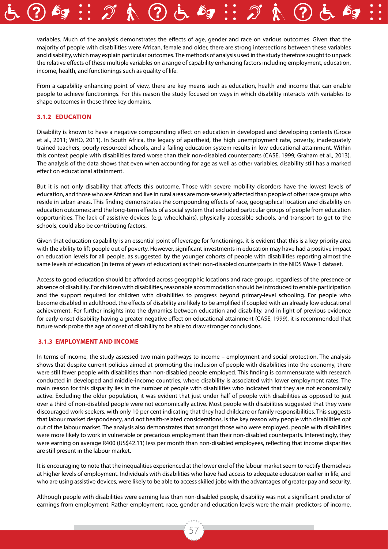variables. Much of the analysis demonstrates the effects of age, gender and race on various outcomes. Given that the majority of people with disabilities were African, female and older, there are strong intersections between these variables and disability, which may explain particular outcomes. The methods of analysis used in the study therefore sought to unpack the relative effects of these multiple variables on a range of capability enhancing factors including employment, education, income, health, and functionings such as quality of life.

From a capability enhancing point of view, there are key means such as education, health and income that can enable people to achieve functionings. For this reason the study focused on ways in which disability interacts with variables to shape outcomes in these three key domains.

#### **3.1.2 Education**

Disability is known to have a negative compounding effect on education in developed and developing contexts (Groce et al., 2011; WHO, 2011). In South Africa, the legacy of apartheid, the high unemployment rate, poverty, inadequately trained teachers, poorly resourced schools, and a failing education system results in low educational attainment. Within this context people with disabilities fared worse than their non-disabled counterparts (CASE, 1999; Graham et al., 2013). The analysis of the data shows that even when accounting for age as well as other variables, disability still has a marked effect on educational attainment.

But it is not only disability that affects this outcome. Those with severe mobility disorders have the lowest levels of education, and those who are African and live in rural areas are more severely affected than people of other race groups who reside in urban areas. This finding demonstrates the compounding effects of race, geographical location and disability on education outcomes; and the long-term effects of a social system that excluded particular groups of people from education opportunities. The lack of assistive devices (e.g. wheelchairs), physically accessible schools, and transport to get to the schools, could also be contributing factors.

Given that education capability is an essential point of leverage for functionings, it is evident that this is a key priority area with the ability to lift people out of poverty. However, significant investments in education may have had a positive impact on education levels for all people, as suggested by the younger cohorts of people with disabilities reporting almost the same levels of education (in terms of years of education) as their non-disabled counterparts in the NIDS Wave 1 dataset.

Access to good education should be afforded across geographic locations and race groups, regardless of the presence or absence of disability. For children with disabilities, reasonable accommodation should be introduced to enable participation and the support required for children with disabilities to progress beyond primary-level schooling. For people who become disabled in adulthood, the effects of disability are likely to be amplified if coupled with an already low educational achievement. For further insights into the dynamics between education and disability, and in light of previous evidence for early-onset disability having a greater negative effect on educational attainment (CASE, 1999), it is recommended that future work probe the age of onset of disability to be able to draw stronger conclusions.

#### **3.1.3 Employment and income**

In terms of income, the study assessed two main pathways to income – employment and social protection. The analysis shows that despite current policies aimed at promoting the inclusion of people with disabilities into the economy, there were still fewer people with disabilities than non-disabled people employed. This finding is commensurate with research conducted in developed and middle-income countries, where disability is associated with lower employment rates. The main reason for this disparity lies in the number of people with disabilities who indicated that they are not economically active. Excluding the older population, it was evident that just under half of people with disabilities as opposed to just over a third of non-disabled people were not economically active. Most people with disabilities suggested that they were discouraged work-seekers, with only 10 per cent indicating that they had childcare or family responsibilities. This suggests that labour market despondency, and not health-related considerations, is the key reason why people with disabilities opt out of the labour market. The analysis also demonstrates that amongst those who were employed, people with disabilities were more likely to work in vulnerable or precarious employment than their non-disabled counterparts. Interestingly, they were earning on average R400 (US\$42.11) less per month than non-disabled employees, reflecting that income disparities are still present in the labour market.

It is encouraging to note that the inequalities experienced at the lower end of the labour market seem to rectify themselves at higher levels of employment. Individuals with disabilities who have had access to adequate education earlier in life, and who are using assistive devices, were likely to be able to access skilled jobs with the advantages of greater pay and security.

Although people with disabilities were earning less than non-disabled people, disability was not a significant predictor of earnings from employment. Rather employment, race, gender and education levels were the main predictors of income.

57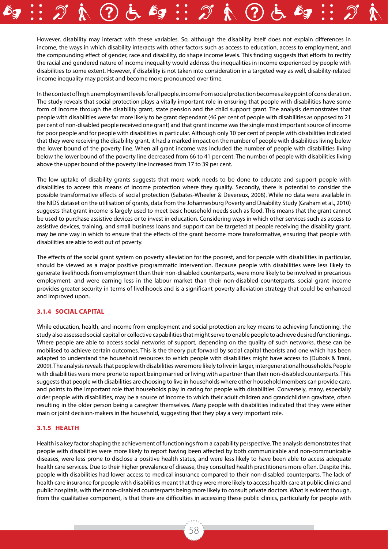However, disability may interact with these variables. So, although the disability itself does not explain differences in income, the ways in which disability interacts with other factors such as access to education, access to employment, and the compounding effect of gender, race and disability, do shape income levels. This finding suggests that efforts to rectify the racial and gendered nature of income inequality would address the inequalities in income experienced by people with disabilities to some extent. However, if disability is not taken into consideration in a targeted way as well, disability-related income inequality may persist and become more pronounced over time.

In the context of high unemployment levels for all people, income from social protection becomes a key point of consideration. The study reveals that social protection plays a vitally important role in ensuring that people with disabilities have some form of income through the disability grant, state pension and the child support grant. The analysis demonstrates that people with disabilities were far more likely to be grant dependant (46 per cent of people with disabilities as opposed to 21 per cent of non-disabled people received one grant) and that grant income was the single most important source of income for poor people and for people with disabilities in particular. Although only 10 per cent of people with disabilities indicated that they were receiving the disability grant, it had a marked impact on the number of people with disabilities living below the lower bound of the poverty line. When all grant income was included the number of people with disabilities living below the lower bound of the poverty line decreased from 66 to 41 per cent. The number of people with disabilities living above the upper bound of the poverty line increased from 17 to 39 per cent.

The low uptake of disability grants suggests that more work needs to be done to educate and support people with disabilities to access this means of income protection where they qualify. Secondly, there is potential to consider the possible transformative effects of social protection (Sabates-Wheeler & Devereux, 2008). While no data were available in the NIDS dataset on the utilisation of grants, data from the Johannesburg Poverty and Disability Study (Graham et al., 2010) suggests that grant income is largely used to meet basic household needs such as food. This means that the grant cannot be used to purchase assistive devices or to invest in education. Considering ways in which other services such as access to assistive devices, training, and small business loans and support can be targeted at people receiving the disability grant, may be one way in which to ensure that the effects of the grant become more transformative, ensuring that people with disabilities are able to exit out of poverty.

The effects of the social grant system on poverty alleviation for the poorest, and for people with disabilities in particular, should be viewed as a major positive programmatic intervention. Because people with disabilities were less likely to generate livelihoods from employment than their non-disabled counterparts, were more likely to be involved in precarious employment, and were earning less in the labour market than their non-disabled counterparts, social grant income provides greater security in terms of livelihoods and is a significant poverty alleviation strategy that could be enhanced and improved upon.

#### **3.1.4 Social capital**

While education, health, and income from employment and social protection are key means to achieving functioning, the study also assessed social capital or collective capabilities that might serve to enable people to achieve desired functionings. Where people are able to access social networks of support, depending on the quality of such networks, these can be mobilised to achieve certain outcomes. This is the theory put forward by social capital theorists and one which has been adapted to understand the household resources to which people with disabilities might have access to (Dubois & Trani, 2009). The analysis reveals that people with disabilities were more likely to live in larger, intergenerational households. People with disabilities were more prone to report being married or living with a partner than their non-disabled counterparts. This suggests that people with disabilities are choosing to live in households where other household members can provide care, and points to the important role that households play in caring for people with disabilities. Conversely, many, especially older people with disabilities, may be a source of income to which their adult children and grandchildren gravitate, often resulting in the older person being a caregiver themselves. Many people with disabilities indicated that they were either main or joint decision-makers in the household, suggesting that they play a very important role.

#### **3.1.5 Health**

Health is a key factor shaping the achievement of functionings from a capability perspective. The analysis demonstrates that people with disabilities were more likely to report having been affected by both communicable and non-communicable diseases, were less prone to disclose a positive health status, and were less likely to have been able to access adequate health care services. Due to their higher prevalence of disease, they consulted health practitioners more often. Despite this, people with disabilities had lower access to medical insurance compared to their non-disabled counterparts. The lack of health care insurance for people with disabilities meant that they were more likely to access health care at public clinics and public hospitals, with their non-disabled counterparts being more likely to consult private doctors. What is evident though, from the qualitative component, is that there are difficulties in accessing these public clinics, particularly for people with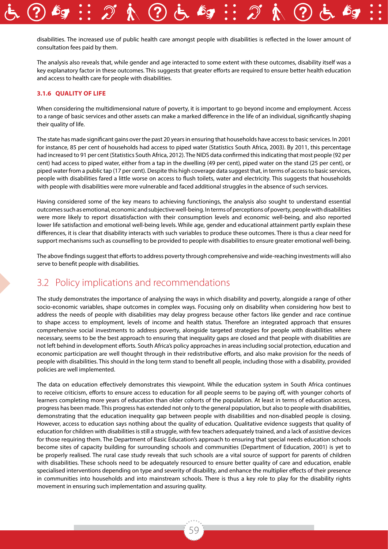disabilities. The increased use of public health care amongst people with disabilities is reflected in the lower amount of consultation fees paid by them.

The analysis also reveals that, while gender and age interacted to some extent with these outcomes, disability itself was a key explanatory factor in these outcomes. This suggests that greater efforts are required to ensure better health education and access to health care for people with disabilities.

#### **3.1.6 Quality of life**

When considering the multidimensional nature of poverty, it is important to go beyond income and employment. Access to a range of basic services and other assets can make a marked difference in the life of an individual, significantly shaping their quality of life.

The state has made significant gains over the past 20 years in ensuring that households have access to basic services. In 2001 for instance, 85 per cent of households had access to piped water (Statistics South Africa, 2003). By 2011, this percentage had increased to 91 per cent (Statistics South Africa, 2012). The NIDS data confirmed this indicating that most people (92 per cent) had access to piped water, either from a tap in the dwelling (49 per cent), piped water on the stand (25 per cent), or piped water from a public tap (17 per cent). Despite this high coverage data suggest that, in terms of access to basic services, people with disabilities fared a little worse on access to flush toilets, water and electricity. This suggests that households with people with disabilities were more vulnerable and faced additional struggles in the absence of such services.

Having considered some of the key means to achieving functionings, the analysis also sought to understand essential outcomes such as emotional, economic and subjective well-being. In terms of perceptions of poverty, people with disabilities were more likely to report dissatisfaction with their consumption levels and economic well-being, and also reported lower life satisfaction and emotional well-being levels. While age, gender and educational attainment partly explain these differences, it is clear that disability interacts with such variables to produce these outcomes. There is thus a clear need for support mechanisms such as counselling to be provided to people with disabilities to ensure greater emotional well-being.

The above findings suggest that efforts to address poverty through comprehensive and wide-reaching investments will also serve to benefit people with disabilities.

### 3.2 Policy implications and recommendations

The study demonstrates the importance of analysing the ways in which disability and poverty, alongside a range of other socio-economic variables, shape outcomes in complex ways. Focusing only on disability when considering how best to address the needs of people with disabilities may delay progress because other factors like gender and race continue to shape access to employment, levels of income and health status. Therefore an integrated approach that ensures comprehensive social investments to address poverty, alongside targeted strategies for people with disabilities where necessary, seems to be the best approach to ensuring that inequality gaps are closed and that people with disabilities are not left behind in development efforts. South Africa's policy approaches in areas including social protection, education and economic participation are well thought through in their redistributive efforts, and also make provision for the needs of people with disabilities. This should in the long term stand to benefit all people, including those with a disability, provided policies are well implemented.

The data on education effectively demonstrates this viewpoint. While the education system in South Africa continues to receive criticism, efforts to ensure access to education for all people seems to be paying off, with younger cohorts of learners completing more years of education than older cohorts of the population. At least in terms of education access, progress has been made. This progress has extended not only to the general population, but also to people with disabilities, demonstrating that the education inequality gap between people with disabilities and non-disabled people is closing. However, access to education says nothing about the quality of education. Qualitative evidence suggests that quality of education for children with disabilities is still a struggle, with few teachers adequately trained, and a lack of assistive devices for those requiring them. The Department of Basic Education's approach to ensuring that special needs education schools become sites of capacity building for surrounding schools and communities (Department of Education, 2001) is yet to be properly realised. The rural case study reveals that such schools are a vital source of support for parents of children with disabilities. These schools need to be adequately resourced to ensure better quality of care and education, enable specialised interventions depending on type and severity of disability, and enhance the multiplier effects of their presence in communities into households and into mainstream schools. There is thus a key role to play for the disability rights movement in ensuring such implementation and assuring quality.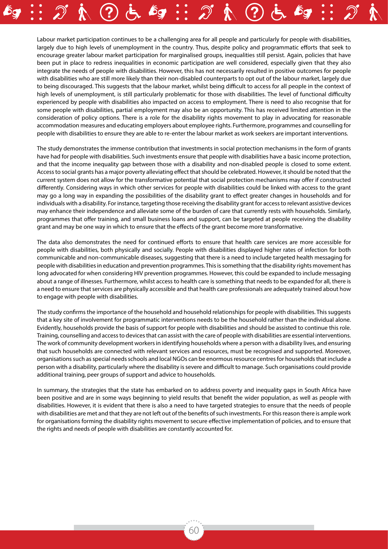Labour market participation continues to be a challenging area for all people and particularly for people with disabilities, largely due to high levels of unemployment in the country. Thus, despite policy and programmatic efforts that seek to encourage greater labour market participation for marginalised groups, inequalities still persist. Again, policies that have been put in place to redress inequalities in economic participation are well considered, especially given that they also integrate the needs of people with disabilities. However, this has not necessarily resulted in positive outcomes for people with disabilities who are still more likely than their non-disabled counterparts to opt out of the labour market, largely due to being discouraged. This suggests that the labour market, whilst being difficult to access for all people in the context of high levels of unemployment, is still particularly problematic for those with disabilities. The level of functional difficulty experienced by people with disabilities also impacted on access to employment. There is need to also recognise that for some people with disabilities, partial employment may also be an opportunity. This has received limited attention in the consideration of policy options. There is a role for the disability rights movement to play in advocating for reasonable accommodation measures and educating employers about employee rights. Furthermore, programmes and counselling for people with disabilities to ensure they are able to re-enter the labour market as work seekers are important interventions.

The study demonstrates the immense contribution that investments in social protection mechanisms in the form of grants have had for people with disabilities. Such investments ensure that people with disabilities have a basic income protection, and that the income inequality gap between those with a disability and non-disabled people is closed to some extent. Access to social grants has a major poverty alleviating effect that should be celebrated. However, it should be noted that the current system does not allow for the transformative potential that social protection mechanisms may offer if constructed differently. Considering ways in which other services for people with disabilities could be linked with access to the grant may go a long way in expanding the possibilities of the disability grant to effect greater changes in households and for individuals with a disability. For instance, targeting those receiving the disability grant for access to relevant assistive devices may enhance their independence and alleviate some of the burden of care that currently rests with households. Similarly, programmes that offer training, and small business loans and support, can be targeted at people receiving the disability grant and may be one way in which to ensure that the effects of the grant become more transformative.

The data also demonstrates the need for continued efforts to ensure that health care services are more accessible for people with disabilities, both physically and socially. People with disabilities displayed higher rates of infection for both communicable and non-communicable diseases, suggesting that there is a need to include targeted health messaging for people with disabilities in education and prevention programmes. This is something that the disability rights movement has long advocated for when considering HIV prevention programmes. However, this could be expanded to include messaging about a range of illnesses. Furthermore, whilst access to health care is something that needs to be expanded for all, there is a need to ensure that services are physically accessible and that health care professionals are adequately trained about how to engage with people with disabilities.

The study confirms the importance of the household and household relationships for people with disabilities. This suggests that a key site of involvement for programmatic interventions needs to be the household rather than the individual alone. Evidently, households provide the basis of support for people with disabilities and should be assisted to continue this role. Training, counselling and access to devices that can assist with the care of people with disabilities are essential interventions. The work of community development workers in identifying households where a person with a disability lives, and ensuring that such households are connected with relevant services and resources, must be recognised and supported. Moreover, organisations such as special needs schools and local NGOs can be enormous resource centres for households that include a person with a disability, particularly where the disability is severe and difficult to manage. Such organisations could provide additional training, peer groups of support and advice to households.

In summary, the strategies that the state has embarked on to address poverty and inequality gaps in South Africa have been positive and are in some ways beginning to yield results that benefit the wider population, as well as people with disabilities. However, it is evident that there is also a need to have targeted strategies to ensure that the needs of people with disabilities are met and that they are not left out of the benefits of such investments. For this reason there is ample work for organisations forming the disability rights movement to secure effective implementation of policies, and to ensure that the rights and needs of people with disabilities are constantly accounted for.

60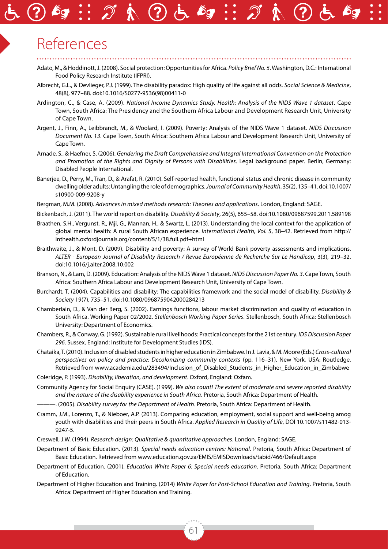# References

- Adato, M., & Hoddinott, J. (2008). Social protection: Opportunities for Africa. *Policy Brief No. 5*. Washington, D.C.: International Food Policy Research Institute (IFPRI).
- Albrecht, G.L., & Devlieger, P.J. (1999). The disability paradox: High quality of life against all odds. *Social Science & Medicine*, 48(8), 977–88. doi:10.1016/S0277-9536(98)00411-0
- Ardington, C., & Case, A. (2009). *National Income Dynamics Study. Health: Analysis of the NIDS Wave 1 dataset*. Cape Town, South Africa: The Presidency and the Southern Africa Labour and Development Research Unit, University of Cape Town.
- Argent, J., Finn, A., Leibbrandt, M., & Woolard, I. (2009). Poverty: Analysis of the NIDS Wave 1 dataset. *NIDS Discussion Document No. 13*. Cape Town, South Africa: Southern Africa Labour and Development Research Unit, University of Cape Town.
- Arnade, S., & Haefner, S. (2006). *Gendering the Draft Comprehensive and Integral International Convention on the Protection and Promotion of the Rights and Dignity of Persons with Disabilities*. Legal background paper. Berlin, Germany: Disabled People International.
- Banerjee, D., Perry, M., Tran, D., & Arafat, R. (2010). Self-reported health, functional status and chronic disease in community dwelling older adults: Untangling the role of demographics. *Journal of Community Health*, 35(2), 135–41. doi:10.1007/ s10900-009-9208-y
- Bergman, M.M. (2008). *Advances in mixed methods research: Theories and applications*. London, England: SAGE.
- Bickenbach, J. (2011). The world report on disability. *Disability & Society*, 26(5), 655–58. doi:10.1080/09687599.2011.589198
- Braathen, S.H., Vergunst, R., Mji, G., Mannan, H., & Swartz, L. (2013). Understanding the local context for the application of global mental health: A rural South African experience. *International Health, Vol. 5*, 38–42. Retrieved from http:// inthealth.oxfordjournals.org/content/5/1/38.full.pdf+html
- Braithwaite, J., & Mont, D. (2009). Disability and poverty: A survey of World Bank poverty assessments and implications. *ALTER - European Journal of Disability Research / Revue Européenne de Recherche Sur Le Handicap*, 3(3), 219–32. doi:10.1016/j.alter.2008.10.002
- Branson, N., & Lam, D. (2009). Education: Analysis of the NIDS Wave 1 dataset. *NIDS Discussion Paper No. 3*. Cape Town, South Africa: Southern Africa Labour and Development Research Unit, University of Cape Town.
- Burchardt, T. (2004). Capabilities and disability: The capabilities framework and the social model of disability. *Disability & Society* 19(7), 735–51. doi:10.1080/0968759042000284213
- Chamberlain, D., & Van der Berg, S. (2002). Earnings functions, labour market discrimination and quality of education in South Africa. Working Paper 02/2002. *Stellenbosch Working Paper Series*. Stellenbosch, South Africa: Stellenbosch University: Department of Economics.
- Chambers, R., & Conway, G. (1992). Sustainable rural livelihoods: Practical concepts for the 21st century. *IDS Discussion Paper 296*. Sussex, England: Institute for Development Studies (IDS).
- Chataika, T. (2010). Inclusion of disabled students in higher education in Zimbabwe. In J. Lavia, & M. Moore (Eds.) *Cross-cultural perspectives on policy and practice: Decolonizing community contexts* (pp. 116–31). New York, USA: Routledge. Retrieved from www.academia.edu/283494/Inclusion\_of\_Disabled\_Students\_in\_Higher\_Education\_in\_Zimbabwe
- Coleridge, P. (1993). *Disability, liberation, and development*. Oxford, England: Oxfam.
- Community Agency for Social Enquiry (CASE). (1999). *We also count! The extent of moderate and severe reported disability and the nature of the disability experience in South Africa*. Pretoria, South Africa: Department of Health.
- ———. (2005). *Disability survey for the Department of Health*. Pretoria, South Africa: Department of Health.
- Cramm, J.M., Lorenzo, T., & Nieboer, A.P. (2013). Comparing education, employment, social support and well-being amog youth with disabilities and their peers in South Africa. *Applied Research in Quality of Life*, DOI 10.1007/s11482-013- 9247-5.
- Creswell, J.W. (1994). *Research design: Qualitative & quantitative approaches*. London, England: SAGE.
- Department of Basic Education. (2013). *Special needs education centres: National*. Pretoria, South Africa: Department of Basic Education. Retrieved from www.education.gov.za/EMIS/EMISDownloads/tabid/466/Default.aspx
- Department of Education. (2001). *Education White Paper 6: Special needs education*. Pretoria, South Africa: Department of Education.
- Department of Higher Education and Training. (2014) *White Paper for Post-School Education and Training*. Pretoria, South Africa: Department of Higher Education and Training.

61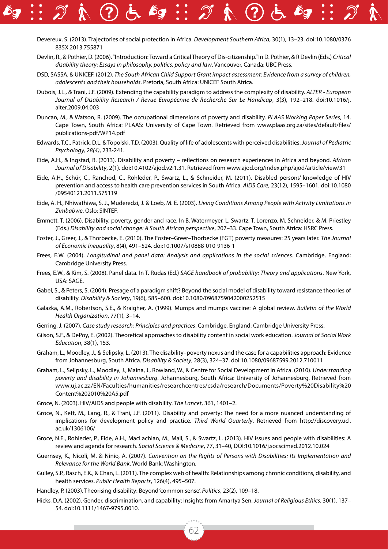- Devereux, S. (2013). Trajectories of social protection in Africa. *Development Southern Africa*, 30(1), 13–23. doi:10.1080/0376 835X.2013.755871
- Devlin, R., & Pothier, D. (2006). "Introduction: Toward a Critical Theory of Dis-citizenship." In D. Pothier, & R Devlin (Eds.) *Critical disability theory: Essays in philosophy, politics, policy and law*. Vancouver, Canada: UBC Press.
- DSD, SASSA, & UNICEF. (2012). *The South African Child Support Grant impact assessment: Evidence from a survey of children, adolescents and their households*. Pretoria, South Africa: UNICEF South Africa.
- Dubois, J.L., & Trani, J.F. (2009). Extending the capability paradigm to address the complexity of disability. *ALTER European Journal of Disability Research / Revue Européenne de Recherche Sur Le Handicap*, 3(3), 192–218. doi:10.1016/j. alter.2009.04.003
- Duncan, M., & Watson, R. (2009). The occupational dimensions of poverty and disability. *PLAAS Working Paper Series*, 14. Cape Town, South Africa: PLAAS: University of Cape Town. Retrieved from www.plaas.org.za/sites/default/files/ publications-pdf/WP14.pdf
- Edwards, T.C., Patrick, D.L. & Topolski, T.D. (2003). Quality of life of adolescents with perceived disabilities. *Journal of Pediatric Psychology, 28(4)*, 233-241.
- Eide, A.H., & Ingstad, B. (2013). Disability and poverty reflections on research experiences in Africa and beyond. *African Journal of Disability*, 2(1). doi:10.4102/ajod.v2i1.31. Retrieved from www.ajod.org/index.php/ajod/article/view/31
- Eide, A.H., Schür, C., Ranchod, C., Rohleder, P., Swartz, L., & Schneider, M. (2011). Disabled persons' knowledge of HIV prevention and access to health care prevention services in South Africa. *AIDS Care*, 23(12), 1595–1601. doi:10.1080 /09540121.2011.575119
- Eide, A. H., Nhiwathiwa, S. J., Muderedzi, J. & Loeb, M. E. (2003). *Living Conditions Among People with Activity Limitations in Zimbabwe*. Oslo: SINTEF.
- Emmett, T. (2006). Disability, poverty, gender and race. In B. Watermeyer, L. Swartz, T. Lorenzo, M. Schneider, & M. Priestley (Eds.) *Disability and social change: A South African perspective*, 207–33. Cape Town, South Africa: HSRC Press.
- Foster, J., Greer, J., & Thorbecke, E. (2010). The Foster–Greer–Thorbecke (FGT) poverty measures: 25 years later. *The Journal of Economic Inequality*, 8(4), 491–524. doi:10.1007/s10888-010-9136-1
- Frees, E.W. (2004). *Longitudinal and panel data: Analysis and applications in the social sciences*. Cambridge, England: Cambridge University Press.
- Frees, E.W., & Kim, S. (2008). Panel data. In T. Rudas (Ed.) *SAGE handbook of probability: Theory and applications*. New York, USA: SAGE.
- Gabel, S., & Peters, S. (2004). Presage of a paradigm shift? Beyond the social model of disability toward resistance theories of disability. *Disability & Society*, 19(6), 585–600. doi:10.1080/0968759042000252515
- Galazka, A.M., Robertson, S.E., & Kraigher, A. (1999). Mumps and mumps vaccine: A global review. *Bulletin of the World Health Organization*, 77(1), 3–14.
- Gerring, J. (2007). *Case study research: Principles and practices*. Cambridge, England: Cambridge University Press.
- Gilson, S.F., & DePoy, E. (2002). Theoretical approaches to disability content in social work education. *Journal of Social Work Education*, 38(1), 153.
- Graham, L., Moodley, J., & Selipsky, L. (2013). The disability–poverty nexus and the case for a capabilities approach: Evidence from Johannesburg, South Africa. *Disability & Society*, 28(3), 324–37. doi:10.1080/09687599.2012.710011
- Graham, L., Selipsky, L., Moodley, J., Maina, J., Rowland, W., & Centre for Social Development in Africa. (2010). *Understanding poverty and disability in Johannesburg*. Johannesburg, South Africa: University of Johannesburg. Retrieved from www.uj.ac.za/EN/Faculties/humanities/researchcentres/csda/research/Documents/Poverty%20Disability%20 Content%202010%20A5.pdf
- Groce, N. (2003). HIV/AIDS and people with disability. *The Lancet*, 361, 1401–2.
- Groce, N., Kett, M., Lang, R., & Trani, J.F. (2011). Disability and poverty: The need for a more nuanced understanding of implications for development policy and practice. *Third World Quarterly*. Retrieved from http://discovery.ucl. ac.uk/1306106/
- Groce, N.E., Rohleder, P., Eide, A.H., MacLachlan, M., Mall, S., & Swartz, L. (2013). HIV issues and people with disabilities: A review and agenda for research. *Social Science & Medicine*, 77, 31–40, DOI:10.1016/j.socscimed.2012.10.024
- Guernsey, K., Nicoli, M. & Ninio, A. (2007). *Convention on the Rights of Persons with Disabilities: Its Implementation and Relevance for the World Bank*. World Bank: Washington.
- Gulley, S.P., Rasch, E.K., & Chan, L. (2011). The complex web of health: Relationships among chronic conditions, disability, and health services. *Public Health Reports*, 126(4), 495–507.
- Handley, P. (2003). Theorising disability: Beyond 'common sense'. *Politics*, 23(2), 109–18.
- Hicks, D.A. (2002). Gender, discrimination, and capability: Insights from Amartya Sen. *Journal of Religious Ethics*, 30(1), 137– 54. doi:10.1111/1467-9795.0010.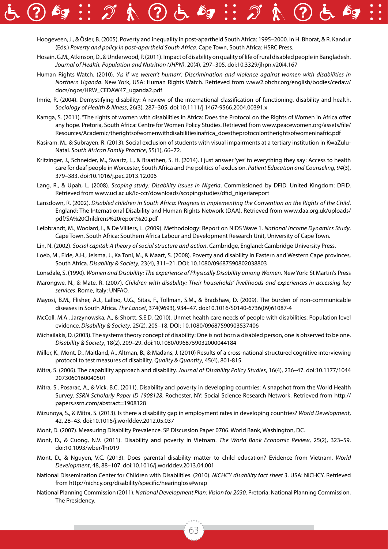- Hoogeveen, J., & Ösler, B. (2005). Poverty and inequality in post-apartheid South Africa: 1995–2000. In H. Bhorat, & R. Kandur (Eds.) *Poverty and policy in post-apartheid South Africa*. Cape Town, South Africa: HSRC Press.
	- Hosain, G.M., Atkinson, D., & Underwood, P. (2011). Impact of disability on quality of life of rural disabled people in Bangladesh. *Journal of Health, Population and Nutrition (JHPN)*, 20(4), 297–305. doi:10.3329/jhpn.v20i4.167
	- Human Rights Watch. (2010). *'As if we weren't human': Discrimination and violence against women with disabilities in Northern Uganda*. New York, USA: Human Rights Watch. Retrieved from www2.ohchr.org/english/bodies/cedaw/ docs/ngos/HRW\_CEDAW47\_uganda2.pdf
	- Imrie, R. (2004). Demystifying disability: A review of the international classification of functioning, disability and health. *Sociology of Health & Illness*, 26(3), 287–305. doi:10.1111/j.1467-9566.2004.00391.x
	- Kamga, S. (2011). "The rights of women with disabilities in Africa: Does the Protocol on the Rights of Women in Africa offer any hope. Pretoria, South Africa: Centre for Women Policy Studies. Retrieved from www.peacewomen.org/assets/file/ Resources/Academic/therightsofwomenwithdisabilitiesinafrica\_doestheprotocolontherightsofwomeninafric.pdf
	- Kasiram, M., & Subrayen, R. (2013). Social exclusion of students with visual impairments at a tertiary institution in KwaZulu-Natal. *South African Family Practice*, 55(1), 66–72.
	- Kritzinger, J., Schneider, M., Swartz, L., & Braathen, S. H. (2014). I just answer 'yes' to everything they say: Access to health care for deaf people in Worcester, South Africa and the politics of exclusion. *Patient Education and Counseling, 94*(3), 379–383. doi:10.1016/j.pec.2013.12.006
	- Lang, R., & Upah, L. (2008). *Scoping study: Disability issues in Nigeria*. Commissioned by DFID. United Kingdom: DFID. Retrieved from www.ucl.ac.uk/lc-ccr/downloads/scopingstudies/dfid\_nigeriareport
	- Lansdown, R. (2002). *Disabled children in South Africa: Progress in implementing the Convention on the Rights of the Child*. England: The International Disability and Human Rights Network (DAA). Retrieved from www.daa.org.uk/uploads/ pdf/SA%20Childrens%20report%20.pdf
	- Leibbrandt, M., Woolard, I., & De Villiers, L. (2009). Methodology: Report on NIDS Wave 1. *National Income Dynamics Study*. Cape Town, South Africa: Southern Africa Labour and Development Research Unit, University of Cape Town.
	- Lin, N. (2002). *Social capital: A theory of social structure and action*. Cambridge, England: Cambridge University Press.
	- Loeb, M., Eide, A.H., Jelsma, J., Ka Toni, M., & Maart, S. (2008). Poverty and disability in Eastern and Western Cape provinces, South Africa. *Disability & Society*, 23(4), 311–21. DOI: 10.1080/09687590802038803
	- Lonsdale, S. (1990). *Women and Disability: The experience of Physically Disability among Women*. New York: St Martin's Press
	- Marongwe, N., & Mate, R. (2007). *Children with disability: Their households' livelihoods and experiences in accessing key services*. Rome, Italy: UNFAO.
	- Mayosi, B.M., Flisher, A.J., Lalloo, U.G., Sitas, F., Tollman, S.M., & Bradshaw, D. (2009). The burden of non-communicable diseases in South Africa. *The Lancet*, 374(9693), 934–47. doi:10.1016/S0140-6736(09)61087-4
	- McColl, M.A., Jarzynowska, A., & Shortt. S.E.D. (2010). Unmet health care needs of people with disabilities: Population level evidence. *Disability & Society*, 25(2), 205–18. DOI: 10.1080/09687590903537406
	- Michailakis, D. (2003). The systems theory concept of disability: One is not born a disabled person, one is observed to be one. *Disability & Society*, 18(2), 209–29. doi:10.1080/0968759032000044184
	- Miller, K., Mont, D., Maitland, A., Altman, B., & Madans, J. (2010) Results of a cross-national structured cognitive interviewing protocol to test measures of disability. *Quality & Quantity*, 45(4), 801-815.
	- Mitra, S. (2006). The capability approach and disability. *Journal of Disability Policy Studies*, 16(4), 236–47. doi:10.1177/1044 2073060160040501
	- Mitra, S., Posarac, A., & Vick, B.C. (2011). Disability and poverty in developing countries: A snapshot from the World Health Survey. *SSRN Scholarly Paper ID 1908128*. Rochester, NY: Social Science Research Network. Retrieved from http:// papers.ssrn.com/abstract=1908128
	- Mizunoya, S., & Mitra, S. (2013). Is there a disability gap in employment rates in developing countries? *World Development*, 42, 28–43. doi:10.1016/j.worlddev.2012.05.037
	- Mont, D. (2007). Measuring Disability Prevalence. SP Discussion Paper 0706. World Bank, Washington, DC.
	- Mont, D., & Cuong, N.V. (2011). Disability and poverty in Vietnam. *The World Bank Economic Review*, 25(2), 323–59. doi:10.1093/wber/lhr019
	- Mont, D., & Nguyen, V.C. (2013). Does parental disability matter to child education? Evidence from Vietnam. *World Development*, 48, 88–107. doi:10.1016/j.worlddev.2013.04.001
	- National Dissemination Center for Children with Disabilities. (2010). *NICHCY disability fact sheet 3*. USA: NICHCY. Retrieved from http://nichcy.org/disability/specific/hearingloss#wrap
	- National Planning Commission (2011). *National Development Plan: Vision for 2030*. Pretoria: National Planning Commission, The Presidency.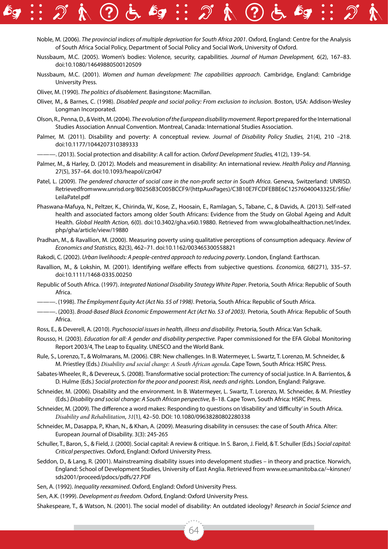- - Noble, M. (2006). *The provincial indices of multiple deprivation for South Africa 2001*. Oxford, England: Centre for the Analysis of South Africa Social Policy, Department of Social Policy and Social Work, University of Oxford.
	- Nussbaum, M.C. (2005). Women's bodies: Violence, security, capabilities. *Journal of Human Development,* 6(2), 167–83. doi:10.1080/14649880500120509
	- Nussbaum, M.C. (2001). *Women and human development: The capabilities approach*. Cambridge, England: Cambridge University Press.
	- Oliver, M. (1990). *The politics of disablement.* Basingstone: Macmillan.
	- Oliver, M., & Barnes, C. (1998). *Disabled people and social policy: From exclusion to inclusion*. Boston, USA: Addison-Wesley Longman Incorporated.
	- Olson, R., Penna, D., & Veith, M. (2004). *The evolution of the European disability movement*. Report prepared for the International Studies Association Annual Convention. Montreal, Canada: International Studies Association.
	- Palmer, M. (2011). Disability and poverty: A conceptual review. *Journal of Disability Policy Studies,* 21(4), 210 –218. doi:10.1177/1044207310389333
	- ———. (2013). Social protection and disability: A call for action. *Oxford Development Studies,* 41(2), 139–54.
	- Palmer, M., & Harley, D. (2012). Models and measurement in disability: An international review. *Health Policy and Planning,* 27(5), 357–64. doi:10.1093/heapol/czr047
	- Patel, L. (2009). *The gendered character of social care in the non-profit sector in South Africa*. Geneva, Switzerland: UNRISD. Retrieved from www.unrisd.org/80256B3C005BCCF9/(httpAuxPages)/C3B10E7FCDFEBBE6C12576040043325E/\$file/ LeilaPatel.pdf
	- Phaswana-Mafuya, N., Peltzer, K., Chirinda, W., Kose, Z., Hoosain, E., Ramlagan, S., Tabane, C., & Davids, A. (2013). Self-rated health and associated factors among older South Africans: Evidence from the Study on Global Ageing and Adult Health. *Global Health Action,* 6(0). doi:10.3402/gha.v6i0.19880. Retrieved from www.globalhealthaction.net/index. php/gha/article/view/19880
	- Pradhan, M., & Ravallion, M. (2000). Measuring poverty using qualitative perceptions of consumption adequacy. *Review of Economics and Statistics,* 82(3), 462–71. doi:10.1162/003465300558821
	- Rakodi, C. (2002). *Urban livelihoods: A people-centred approach to reducing poverty*. London, England: Earthscan.
	- Ravallion, M., & Lokshin, M. (2001). Identifying welfare effects from subjective questions. *Economica,* 68(271), 335–57. doi:10.1111/1468-0335.00250
	- Republic of South Africa. (1997). *Integrated National Disability Strategy White Paper*. Pretoria, South Africa: Republic of South Africa.
	- ———. (1998). *The Employment Equity Act (Act No. 55 of 1998)*. Pretoria, South Africa: Republic of South Africa.
	- ———. (2003). *Broad-Based Black Economic Empowerment Act (Act No. 53 of 2003)*. Pretoria, South Africa: Republic of South Africa.
	- Ross, E., & Deverell, A. (2010). *Psychosocial issues in health, illness and disability.* Pretoria, South Africa: Van Schaik.
	- Rousso, H. (2003). *Education for all: A gender and disability perspective.* Paper commissioned for the EFA Global Monitoring Report 2003/4, The Leap to Equality. UNESCO and the World Bank.
	- Rule, S., Lorenzo, T., & Wolmarans, M. (2006). CBR: New challenges. In B. Watermeyer, L. Swartz, T. Lorenzo, M. Schneider, & M. Priestley (Eds.) *Disability and social change: A South African agenda*. Cape Town, South Africa: HSRC Press.
	- Sabates-Wheeler, R., & Devereux, S. (2008). Transformative social protection: The currency of social justice. In A. Barrientos, & D. Hulme (Eds.) *Social protection for the poor and poorest: Risk, needs and rights*. London, England: Palgrave.
	- Schneider, M. (2006). Disability and the environment. In B. Watermeyer, L. Swartz, T. Lorenzo, M. Schneider, & M. Priestley (Eds.) *Disability and social change: A South African perspective*, 8–18. Cape Town, South Africa: HSRC Press.
	- Schneider, M. (2009). The difference a word makes: Responding to questions on 'disability' and 'difficulty' in South Africa. *Disability and Rehabilitation*, *31*(1), 42–50. DOI: 10.1080/09638280802280338
	- Schneider, M., Dasappa, P., Khan, N., & Khan, A. (2009). Measuring disability in censuses: the case of South Africa. Alter: European Journal of Disability. 3(3): 245-265
	- Schuller, T., Baron, S., & Field, J. (2000). Social capital: A review & critique. In S. Baron, J. Field, & T. Schuller (Eds.) *Social capital: Critical perspectives*. Oxford, England: Oxford University Press.
	- Seddon, D., & Lang, R. (2001). Mainstreaming disability issues into development studies in theory and practice. Norwich, England: School of Development Studies, University of East Anglia. Retrieved from www.ee.umanitoba.ca/~kinsner/ sds2001/proceed/pdocs/pdfs/27.PDF
	- Sen, A. (1992). *Inequality reexamined*. Oxford, England: Oxford University Press.

Sen, A.K. (1999). *Development as freedom*. Oxford, England: Oxford University Press.

Shakespeare, T., & Watson, N. (2001). The social model of disability: An outdated ideology? *Research in Social Science and*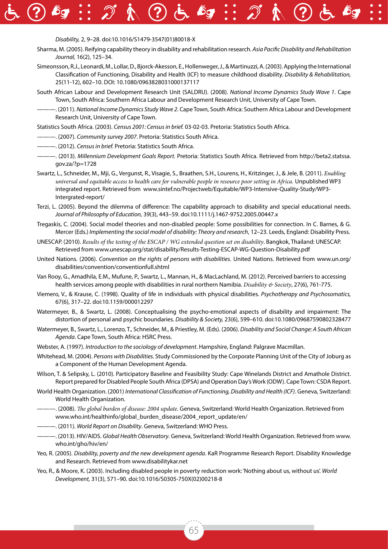#### *Disability,* 2, 9–28. doi:10.1016/S1479-3547(01)80018-X

- Sharma, M. (2005). Reifying capability theory in disability and rehabilitation research. *Asia Pacific Disability and Rehabilitation Journal,* 16(2), 125–34.
- Simeonsson, R.J., Leonardi, M., Lollar, D., Bjorck-Akesson, E., Hollenweger, J., & Martinuzzi, A. (2003). Applying the International Classification of Functioning, Disability and Health (ICF) to measure childhood disability. *Disability & Rehabilitation,* 25(11-12), 602–10. DOI: 10.1080/0963828031000137117
- South African Labour and Development Research Unit (SALDRU). (2008). *National Income Dynamics Study Wave 1*. Cape Town, South Africa: Southern Africa Labour and Development Research Unit, University of Cape Town.
- ———. (2011). *National Income Dynamics Study Wave 2*. Cape Town, South Africa: Southern Africa Labour and Development Research Unit, University of Cape Town.
- Statistics South Africa. (2003). *Census 2001: Census in brief.* 03-02-03. Pretoria: Statistics South Africa.
- ———. (2007). *Community survey 2007*. Pretoria: Statistics South Africa.
- ———. (2012). *Census in brief.* Pretoria: Statistics South Africa.
- ———. (2013). *Millennium Development Goals Report.* Pretoria: Statistics South Africa. Retrieved from http://beta2.statssa. gov.za/?p=1728
- Swartz, L., Schneider, M., Mji, G., Vergunst, R., Visagie, S., Braathen, S.H., Lourens, H., Kritzinger, J., & Jele, B. (2011). *Enabling universal and equitable access to health care for vulnerable people in resource poor setting in Africa.* Unpublished WP3 integrated report. Retrieved from www.sintef.no/Projectweb/Equitable/WP3-Intensive-Quality-Study/WP3- Intergrated-report/
- Terzi, L. (2005). Beyond the dilemma of difference: The capability approach to disability and special educational needs. *Journal of Philosophy of Education,* 39(3), 443–59. doi:10.1111/j.1467-9752.2005.00447.x
- Tregaskis, C. (2004). Social model theories and non-disabled people: Some possibilities for connection. In C. Barnes, & G. Mercer (Eds.) *Implementing the social model of disability: Theory and research*, 12–23. Leeds, England: Disability Press.
- UNESCAP. (2010). *Results of the testing of the ESCAP / WG extended question set on disability*. Bangkok, Thailand: UNESCAP. Retrieved from www.unescap.org/stat/disability/Results-Testing-ESCAP-WG-Question-Disability.pdf
- United Nations. (2006). *Convention on the rights of persons with disabilities.* United Nations. Retrieved from www.un.org/ disabilities/convention/conventionfull.shtml
- Van Rooy, G., Amadhila, E.M., Mufune, P., Swartz, L., Mannan, H., & MacLachland, M. (2012). Perceived barriers to accessing health services among people with disabilities in rural northern Namibia. *Disability & Society*, 27(6), 761-775.
- Viemero, V., & Krause, C. (1998). Quality of life in individuals with physical disabilities. *Psychotherapy and Psychosomatics,* 67(6), 317–22. doi:10.1159/000012297
- Watermeyer, B., & Swartz, L. (2008). Conceptualising the psycho-emotional aspects of disability and impairment: The distortion of personal and psychic boundaries. *Disability & Society,* 23(6), 599–610. doi:10.1080/09687590802328477
- Watermeyer, B., Swartz, L., Lorenzo, T., Schneider, M., & Priestley, M. (Eds). (2006). *Disability and Social Change: A South African Agenda*. Cape Town, South Africa: HSRC Press.
- Webster, A. (1997). *Introduction to the sociology of development*. Hampshire, England: Palgrave Macmillan.
- Whitehead, M. (2004). *Persons with Disabilities.* Study Commissioned by the Corporate Planning Unit of the City of Joburg as a Component of the Human Development Agenda.
- Wilson, T. & Selipsky, L. (2010). Participatory Baseline and Feasibility Study: Cape Winelands District and Amathole District. Report prepared for Disabled People South Africa (DPSA) and Operation Day's Work (ODW). Cape Town: CSDA Report.
- World Health Organization. (2001) *International Classification of Functioning, Disability and Health (ICF)*. Geneva, Switzerland: World Health Organization.
- ———. (2008). *The global burden of disease: 2004 update.* Geneva, Switzerland: World Health Organization. Retrieved from www.who.int/healthinfo/global\_burden\_disease/2004\_report\_update/en/
- ———. (2011). *World Report on Disability*. Geneva, Switzerland: WHO Press.
- ———. (2013). HIV/AIDS. *Global Health Observatory*. Geneva, Switzerland: World Health Organization. Retrieved from www. who.int/gho/hiv/en/
- Yeo, R. (2005). *Disability, poverty and the new development agenda*. KaR Programme Research Report. Disability Knowledge and Research. Retrieved from www.disabilitykar.net
- Yeo, R., & Moore, K. (2003). Including disabled people in poverty reduction work: 'Nothing about us, without us'. *World Development,* 31(3), 571–90. doi:10.1016/S0305-750X(02)00218-8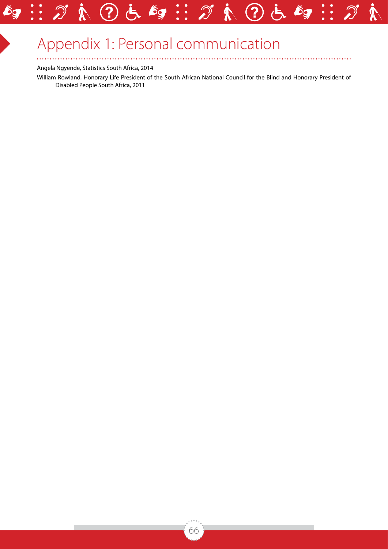# Appendix 1: Personal communication

 $\epsilon$ g

 $\ddot{\bullet}$  $\ddot{\bullet}$ 

 $\overline{G}$ 

?

#### Angela Ngyende, Statistics South Africa, 2014

 $\ddotsc$ 

William Rowland, Honorary Life President of the South African National Council for the Blind and Honorary President of Disabled People South Africa, 2011

?

 $\mathcal{C}^{\mathsf{E}}$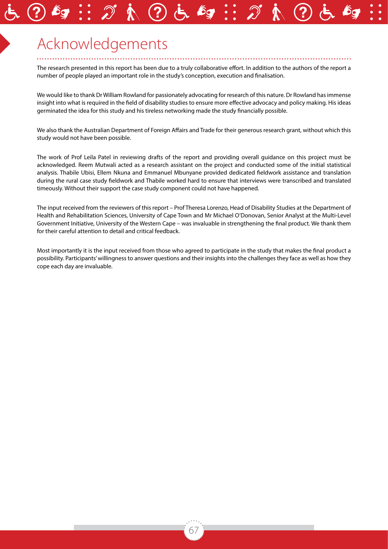# Acknowledgements

The research presented in this report has been due to a truly collaborative effort. In addition to the authors of the report a number of people played an important role in the study's conception, execution and finalisation.

We would like to thank Dr William Rowland for passionately advocating for research of this nature. Dr Rowland has immense insight into what is required in the field of disability studies to ensure more effective advocacy and policy making. His ideas germinated the idea for this study and his tireless networking made the study financially possible.

We also thank the Australian Department of Foreign Affairs and Trade for their generous research grant, without which this study would not have been possible.

The work of Prof Leila Patel in reviewing drafts of the report and providing overall guidance on this project must be acknowledged. Reem Mutwali acted as a research assistant on the project and conducted some of the initial statistical analysis. Thabile Ubisi, Ellem Nkuna and Emmanuel Mbunyane provided dedicated fieldwork assistance and translation during the rural case study fieldwork and Thabile worked hard to ensure that interviews were transcribed and translated timeously. Without their support the case study component could not have happened.

The input received from the reviewers of this report – Prof Theresa Lorenzo, Head of Disability Studies at the Department of Health and Rehabilitation Sciences, University of Cape Town and Mr Michael O'Donovan, Senior Analyst at the Multi-Level Government Initiative, University of the Western Cape – was invaluable in strengthening the final product. We thank them for their careful attention to detail and critical feedback.

Most importantly it is the input received from those who agreed to participate in the study that makes the final product a possibility. Participants' willingness to answer questions and their insights into the challenges they face as well as how they cope each day are invaluable.

67